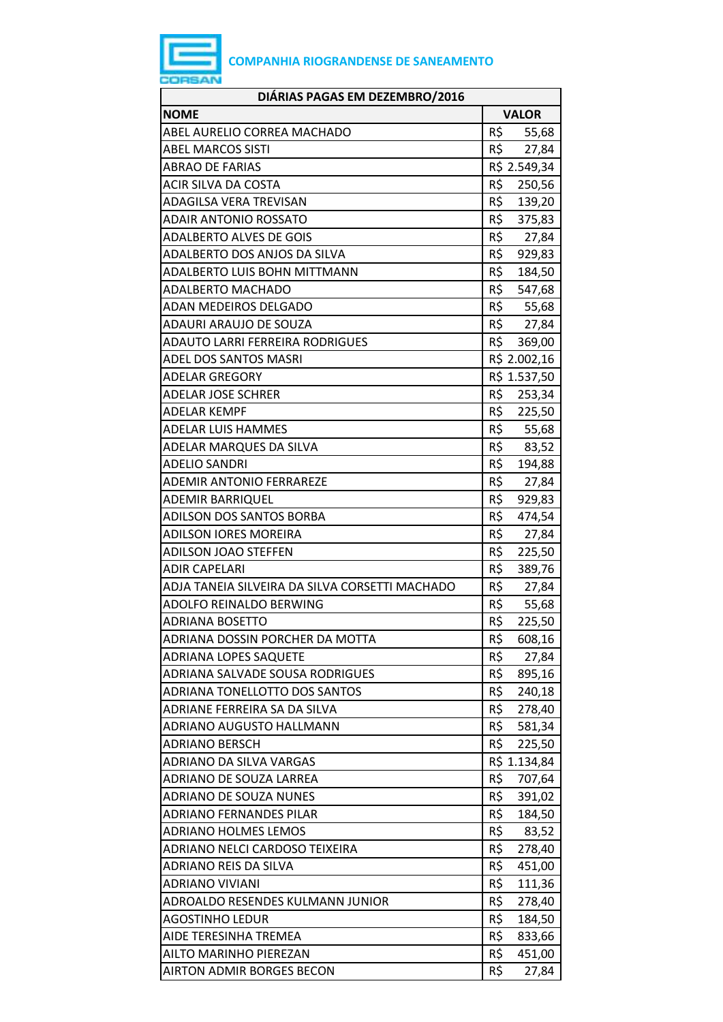

| DIÁRIAS PAGAS EM DEZEMBRO/2016                 |               |
|------------------------------------------------|---------------|
| <b>NOME</b>                                    | <b>VALOR</b>  |
| ABEL AURELIO CORREA MACHADO                    | R\$<br>55,68  |
| <b>ABEL MARCOS SISTI</b>                       | R\$<br>27,84  |
| <b>ABRAO DE FARIAS</b>                         | R\$ 2.549,34  |
| <b>ACIR SILVA DA COSTA</b>                     | R\$ 250,56    |
| <b>ADAGILSA VERA TREVISAN</b>                  | R\$<br>139,20 |
| ADAIR ANTONIO ROSSATO                          | R\$<br>375,83 |
| <b>ADALBERTO ALVES DE GOIS</b>                 | R\$<br>27,84  |
| ADALBERTO DOS ANJOS DA SILVA                   | R\$<br>929,83 |
| ADALBERTO LUIS BOHN MITTMANN                   | R\$<br>184,50 |
| <b>ADALBERTO MACHADO</b>                       | R\$<br>547,68 |
| ADAN MEDEIROS DELGADO                          | R\$<br>55,68  |
| ADAURI ARAUJO DE SOUZA                         | R\$<br>27,84  |
| ADAUTO LARRI FERREIRA RODRIGUES                | R\$<br>369,00 |
| <b>ADEL DOS SANTOS MASRI</b>                   | R\$ 2.002,16  |
| <b>ADELAR GREGORY</b>                          | R\$ 1.537,50  |
| <b>ADELAR JOSE SCHRER</b>                      | R\$<br>253,34 |
| <b>ADELAR KEMPF</b>                            | R\$<br>225,50 |
| <b>ADELAR LUIS HAMMES</b>                      | R\$ 55,68     |
| ADELAR MARQUES DA SILVA                        | R\$<br>83,52  |
| <b>ADELIO SANDRI</b>                           | R\$<br>194,88 |
| <b>ADEMIR ANTONIO FERRAREZE</b>                | R\$<br>27,84  |
| <b>ADEMIR BARRIQUEL</b>                        | R\$<br>929,83 |
| <b>ADILSON DOS SANTOS BORBA</b>                | R\$<br>474,54 |
| <b>ADILSON IORES MOREIRA</b>                   | R\$<br>27,84  |
| <b>ADILSON JOAO STEFFEN</b>                    | R\$<br>225,50 |
| <b>ADIR CAPELARI</b>                           | R\$<br>389,76 |
| ADJA TANEIA SILVEIRA DA SILVA CORSETTI MACHADO | R\$<br>27,84  |
| ADOLFO REINALDO BERWING                        | R\$<br>55,68  |
| <b>ADRIANA BOSETTO</b>                         | R\$<br>225,50 |
| ADRIANA DOSSIN PORCHER DA MOTTA                | R\$<br>608,16 |
| ADRIANA LOPES SAQUETE                          | R\$<br>27,84  |
| ADRIANA SALVADE SOUSA RODRIGUES                | R\$<br>895,16 |
| ADRIANA TONELLOTTO DOS SANTOS                  | R\$<br>240,18 |
| ADRIANE FERREIRA SA DA SILVA                   | R\$<br>278,40 |
| <b>ADRIANO AUGUSTO HALLMANN</b>                | R\$<br>581,34 |
| <b>ADRIANO BERSCH</b>                          | R\$<br>225,50 |
| <b>ADRIANO DA SILVA VARGAS</b>                 | R\$ 1.134,84  |
| ADRIANO DE SOUZA LARREA                        | R\$<br>707,64 |
| <b>ADRIANO DE SOUZA NUNES</b>                  | R\$<br>391,02 |
| <b>ADRIANO FERNANDES PILAR</b>                 | R\$<br>184,50 |
| <b>ADRIANO HOLMES LEMOS</b>                    | R\$<br>83,52  |
| ADRIANO NELCI CARDOSO TEIXEIRA                 | R\$<br>278,40 |
| ADRIANO REIS DA SILVA                          | R\$<br>451,00 |
| ADRIANO VIVIANI                                | R\$<br>111,36 |
| ADROALDO RESENDES KULMANN JUNIOR               | R\$<br>278,40 |
| <b>AGOSTINHO LEDUR</b>                         | R\$<br>184,50 |
| AIDE TERESINHA TREMEA                          | R\$<br>833,66 |
| AILTO MARINHO PIEREZAN                         | R\$<br>451,00 |
| <b>AIRTON ADMIR BORGES BECON</b>               | R\$<br>27,84  |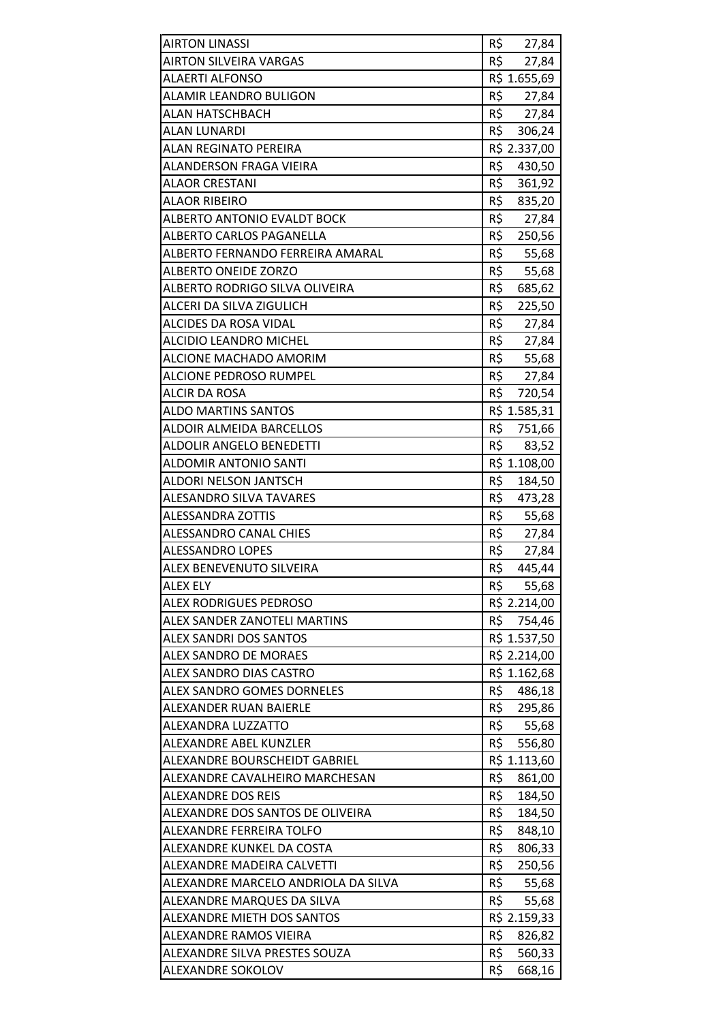| <b>AIRTON LINASSI</b>               | R\$ 27,84     |
|-------------------------------------|---------------|
| <b>AIRTON SILVEIRA VARGAS</b>       | R\$<br>27,84  |
| ALAERTI ALFONSO                     | R\$ 1.655,69  |
| ALAMIR LEANDRO BULIGON              | R\$<br>27,84  |
| ALAN HATSCHBACH                     | R\$ 27,84     |
| ALAN LUNARDI                        | R\$ 306,24    |
| ALAN REGINATO PEREIRA               | R\$ 2.337,00  |
| ALANDERSON FRAGA VIEIRA             | R\$<br>430,50 |
| ALAOR CRESTANI                      | R\$<br>361,92 |
| ALAOR RIBEIRO                       | R\$<br>835,20 |
| <b>ALBERTO ANTONIO EVALDT BOCK</b>  | R\$<br>27,84  |
| ALBERTO CARLOS PAGANELLA            | R\$<br>250,56 |
| ALBERTO FERNANDO FERREIRA AMARAL    | R\$<br>55,68  |
| <b>ALBERTO ONEIDE ZORZO</b>         | R\$<br>55,68  |
| ALBERTO RODRIGO SILVA OLIVEIRA      | R\$<br>685,62 |
| ALCERI DA SILVA ZIGULICH            | R\$<br>225,50 |
| ALCIDES DA ROSA VIDAL               | R\$<br>27,84  |
| <b>ALCIDIO LEANDRO MICHEL</b>       | R\$<br>27,84  |
| ALCIONE MACHADO AMORIM              | R\$<br>55,68  |
| <b>ALCIONE PEDROSO RUMPEL</b>       | R\$<br>27,84  |
| ALCIR DA ROSA                       | R\$ 720,54    |
| <b>ALDO MARTINS SANTOS</b>          | R\$ 1.585,31  |
| ALDOIR ALMEIDA BARCELLOS            | R\$<br>751,66 |
| ALDOLIR ANGELO BENEDETTI            | R\$<br>83,52  |
| <b>ALDOMIR ANTONIO SANTI</b>        | R\$ 1.108,00  |
| ALDORI NELSON JANTSCH               | R\$<br>184,50 |
| <b>ALESANDRO SILVA TAVARES</b>      | R\$<br>473,28 |
| <b>ALESSANDRA ZOTTIS</b>            | R\$<br>55,68  |
| <b>ALESSANDRO CANAL CHIES</b>       | R\$<br>27,84  |
| <b>ALESSANDRO LOPES</b>             | R\$<br>27,84  |
| ALEX BENEVENUTO SILVEIRA            | R\$<br>445,44 |
| <b>ALEX ELY</b>                     | R\$<br>55,68  |
| <b>ALEX RODRIGUES PEDROSO</b>       | R\$ 2.214,00  |
| ALEX SANDER ZANOTELI MARTINS        | R\$<br>754,46 |
| <b>ALEX SANDRI DOS SANTOS</b>       | R\$ 1.537,50  |
| <b>ALEX SANDRO DE MORAES</b>        | R\$ 2.214,00  |
| ALEX SANDRO DIAS CASTRO             | R\$ 1.162,68  |
| <b>ALEX SANDRO GOMES DORNELES</b>   | R\$<br>486,18 |
| ALEXANDER RUAN BAIERLE              | R\$<br>295,86 |
| ALEXANDRA LUZZATTO                  | R\$<br>55,68  |
| ALEXANDRE ABEL KUNZLER              | R\$<br>556,80 |
| ALEXANDRE BOURSCHEIDT GABRIEL       | R\$ 1.113,60  |
| ALEXANDRE CAVALHEIRO MARCHESAN      | R\$<br>861,00 |
| <b>ALEXANDRE DOS REIS</b>           | R\$<br>184,50 |
| ALEXANDRE DOS SANTOS DE OLIVEIRA    | R\$<br>184,50 |
| ALEXANDRE FERREIRA TOLFO            | R\$<br>848,10 |
| ALEXANDRE KUNKEL DA COSTA           | R\$<br>806,33 |
| ALEXANDRE MADEIRA CALVETTI          | R\$<br>250,56 |
| ALEXANDRE MARCELO ANDRIOLA DA SILVA | R\$<br>55,68  |
| ALEXANDRE MARQUES DA SILVA          | R\$<br>55,68  |
| ALEXANDRE MIETH DOS SANTOS          | R\$ 2.159,33  |
| ALEXANDRE RAMOS VIEIRA              | R\$<br>826,82 |
| ALEXANDRE SILVA PRESTES SOUZA       | R\$<br>560,33 |
| ALEXANDRE SOKOLOV                   | R\$<br>668,16 |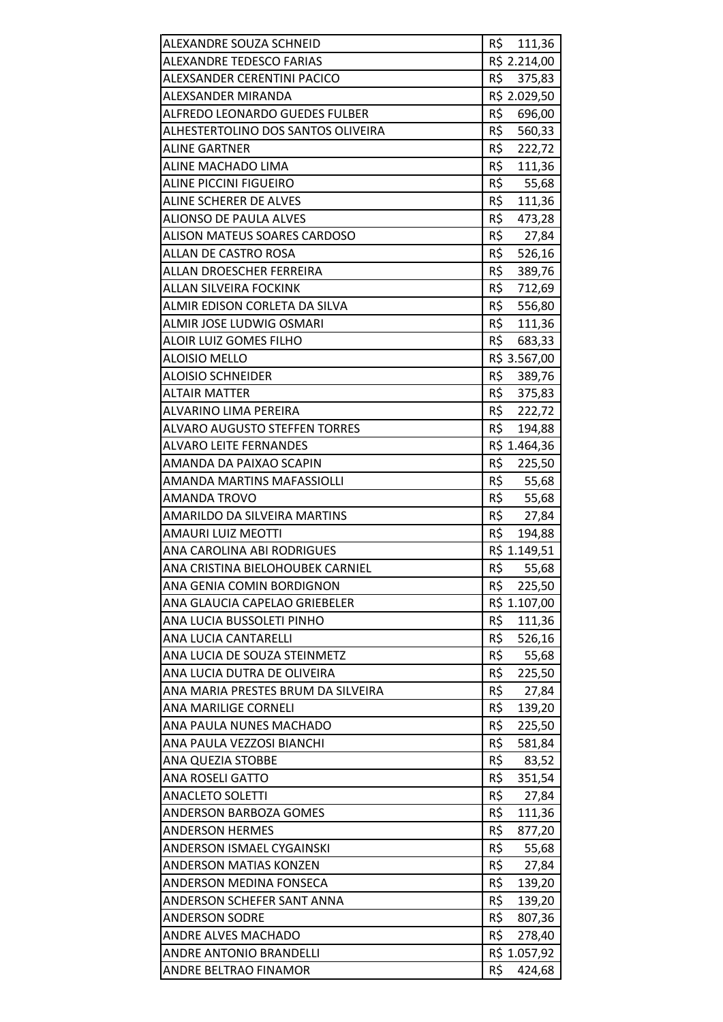| ALEXANDRE SOUZA SCHNEID                                  | R\$ 111,36              |
|----------------------------------------------------------|-------------------------|
| <b>ALEXANDRE TEDESCO FARIAS</b>                          | R\$ 2.214,00            |
| ALEXSANDER CERENTINI PACICO                              | R\$<br>375,83           |
| <b>ALEXSANDER MIRANDA</b>                                | R\$ 2.029,50            |
| ALFREDO LEONARDO GUEDES FULBER                           | R\$<br>696,00           |
| ALHESTERTOLINO DOS SANTOS OLIVEIRA                       | R\$<br>560,33           |
| <b>ALINE GARTNER</b>                                     | R\$<br>222,72           |
| ALINE MACHADO LIMA                                       | R\$<br>111,36           |
| <b>ALINE PICCINI FIGUEIRO</b>                            | R\$<br>55,68            |
| <b>ALINE SCHERER DE ALVES</b>                            | R\$<br>111,36           |
| <b>ALIONSO DE PAULA ALVES</b>                            | R\$<br>473,28           |
| ALISON MATEUS SOARES CARDOSO                             | R\$<br>27,84            |
| ALLAN DE CASTRO ROSA                                     | R\$<br>526,16           |
| ALLAN DROESCHER FERREIRA                                 | R\$<br>389,76           |
| ALLAN SILVEIRA FOCKINK                                   | R\$<br>712,69           |
| ALMIR EDISON CORLETA DA SILVA                            | R\$ 556,80              |
| <b>ALMIR JOSE LUDWIG OSMARI</b>                          | R\$<br>111,36           |
| ALOIR LUIZ GOMES FILHO                                   | R\$<br>683,33           |
| <b>ALOISIO MELLO</b>                                     | R\$ 3.567,00            |
| <b>ALOISIO SCHNEIDER</b>                                 | R\$ 389,76              |
| <b>ALTAIR MATTER</b>                                     | R\$ 375,83              |
| ALVARINO LIMA PEREIRA                                    | R\$<br>222,72           |
| <b>ALVARO AUGUSTO STEFFEN TORRES</b>                     | R\$<br>194,88           |
| <b>ALVARO LEITE FERNANDES</b>                            | R\$ 1.464,36            |
| AMANDA DA PAIXAO SCAPIN                                  | R\$ 225,50              |
| AMANDA MARTINS MAFASSIOLLI                               | R\$ 55,68               |
| <b>AMANDA TROVO</b>                                      | R\$<br>55,68            |
| AMARILDO DA SILVEIRA MARTINS                             | R\$<br>27,84            |
| <b>AMAURI LUIZ MEOTTI</b>                                | R\$<br>194,88           |
| ANA CAROLINA ABI RODRIGUES                               | R\$ 1.149,51            |
| ANA CRISTINA BIELOHOUBEK CARNIEL                         | R\$<br>55,68            |
| ANA GENIA COMIN BORDIGNON                                | R\$<br>225,50           |
| ANA GLAUCIA CAPELAO GRIEBELER                            | R\$ 1.107,00            |
| ANA LUCIA BUSSOLETI PINHO                                | R\$<br>111,36           |
| ANA LUCIA CANTARELLI                                     | R\$<br>526,16           |
| ANA LUCIA DE SOUZA STEINMETZ                             | R\$<br>55,68            |
| ANA LUCIA DUTRA DE OLIVEIRA                              | R\$<br>225,50           |
| ANA MARIA PRESTES BRUM DA SILVEIRA                       | R\$<br>27,84            |
| ANA MARILIGE CORNELI                                     | R\$<br>139,20           |
| ANA PAULA NUNES MACHADO                                  | R\$<br>225,50           |
| ANA PAULA VEZZOSI BIANCHI                                | R\$<br>581,84           |
| ANA QUEZIA STOBBE                                        | R\$<br>83,52            |
| <b>ANA ROSELI GATTO</b>                                  | R\$<br>351,54           |
| <b>ANACLETO SOLETTI</b>                                  | R\$<br>27,84            |
| <b>ANDERSON BARBOZA GOMES</b>                            | R\$<br>111,36           |
| <b>ANDERSON HERMES</b>                                   | R\$<br>877,20<br>R\$    |
| ANDERSON ISMAEL CYGAINSKI                                | 55,68                   |
| <b>ANDERSON MATIAS KONZEN</b><br>ANDERSON MEDINA FONSECA | R\$<br>27,84<br>R\$     |
| ANDERSON SCHEFER SANT ANNA                               | 139,20<br>R\$<br>139,20 |
| <b>ANDERSON SODRE</b>                                    | R\$<br>807,36           |
| ANDRE ALVES MACHADO                                      | R\$<br>278,40           |
| ANDRE ANTONIO BRANDELLI                                  | R\$ 1.057,92            |
| ANDRE BELTRAO FINAMOR                                    | R\$<br>424,68           |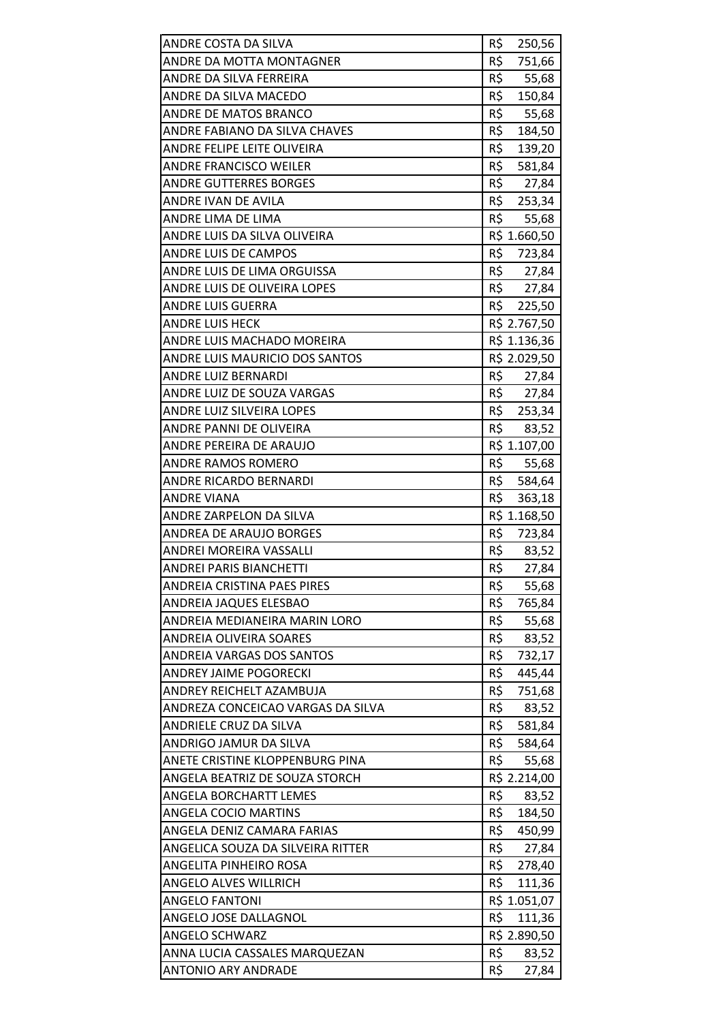| ANDRE COSTA DA SILVA<br>ANDRE DA MOTTA MONTAGNER | R\$<br>250,56<br>R\$      |
|--------------------------------------------------|---------------------------|
| ANDRE DA SILVA FERREIRA                          | 751,66<br>R\$             |
| ANDRE DA SILVA MACEDO                            | 55,68<br>R\$<br>150,84    |
| ANDRE DE MATOS BRANCO                            | R\$                       |
| ANDRE FABIANO DA SILVA CHAVES                    | 55,68<br>R\$              |
| ANDRE FELIPE LEITE OLIVEIRA                      | 184,50<br>R\$             |
| <b>ANDRE FRANCISCO WEILER</b>                    | 139,20<br>R\$             |
| <b>ANDRE GUTTERRES BORGES</b>                    | 581,84<br>R\$             |
| ANDRE IVAN DE AVILA                              | 27,84<br>R\$ 253,34       |
|                                                  | R\$                       |
| ANDRE LIMA DE LIMA                               | 55,68                     |
| ANDRE LUIS DA SILVA OLIVEIRA                     | R\$ 1.660,50              |
| <b>ANDRE LUIS DE CAMPOS</b>                      | R\$<br>723,84<br>$R\zeta$ |
| ANDRE LUIS DE LIMA ORGUISSA                      | 27,84                     |
| ANDRE LUIS DE OLIVEIRA LOPES                     | R\$ 27,84                 |
| <b>ANDRE LUIS GUERRA</b>                         | R\$ 225,50                |
| <b>ANDRE LUIS HECK</b>                           | R\$ 2.767,50              |
| ANDRE LUIS MACHADO MOREIRA                       | R\$ 1.136,36              |
| ANDRE LUIS MAURICIO DOS SANTOS                   | R\$ 2.029,50              |
| <b>ANDRE LUIZ BERNARDI</b>                       | R\$ 27,84                 |
| ANDRE LUIZ DE SOUZA VARGAS                       | R\$ 27,84                 |
| ANDRE LUIZ SILVEIRA LOPES                        | R\$<br>253,34             |
| ANDRE PANNI DE OLIVEIRA                          | R\$<br>83,52              |
| ANDRE PEREIRA DE ARAUJO                          | R\$ 1.107,00              |
| <b>ANDRE RAMOS ROMERO</b>                        | R\$<br>55,68              |
| ANDRE RICARDO BERNARDI                           | R\$ 584,64                |
| <b>ANDRE VIANA</b>                               | R\$<br>363,18             |
| ANDRE ZARPELON DA SILVA                          | R\$ 1.168,50              |
| ANDREA DE ARAUJO BORGES                          | R\$<br>723,84             |
| ANDREI MOREIRA VASSALLI                          | R\$ 83,52                 |
| <b>ANDREI PARIS BIANCHETTI</b>                   | R\$<br>27,84              |
| ANDREIA CRISTINA PAES PIRES                      | R\$<br>55,68              |
| ANDREIA JAQUES ELESBAO                           | R\$<br>765,84             |
| ANDREIA MEDIANEIRA MARIN LORO                    | R\$<br>55,68              |
| ANDREIA OLIVEIRA SOARES                          | R\$<br>83,52              |
| ANDREIA VARGAS DOS SANTOS                        | R\$<br>732,17             |
| <b>ANDREY JAIME POGORECKI</b>                    | R\$<br>445,44             |
| ANDREY REICHELT AZAMBUJA                         | R\$<br>751,68             |
| ANDREZA CONCEICAO VARGAS DA SILVA                | R\$<br>83,52              |
| ANDRIELE CRUZ DA SILVA                           | R\$<br>581,84             |
| ANDRIGO JAMUR DA SILVA                           | R\$<br>584,64             |
| ANETE CRISTINE KLOPPENBURG PINA                  | R\$<br>55,68              |
| ANGELA BEATRIZ DE SOUZA STORCH                   | R\$ 2.214,00              |
| <b>ANGELA BORCHARTT LEMES</b>                    | R\$<br>83,52              |
| ANGELA COCIO MARTINS                             | R\$<br>184,50             |
| ANGELA DENIZ CAMARA FARIAS                       | R\$<br>450,99             |
| ANGELICA SOUZA DA SILVEIRA RITTER                | R\$<br>27,84              |
| ANGELITA PINHEIRO ROSA                           | R\$<br>278,40             |
| <b>ANGELO ALVES WILLRICH</b>                     | R\$<br>111,36             |
| <b>ANGELO FANTONI</b>                            | R\$ 1.051,07              |
| ANGELO JOSE DALLAGNOL                            | R\$<br>111,36             |
| <b>ANGELO SCHWARZ</b>                            | R\$ 2.890,50              |
| ANNA LUCIA CASSALES MARQUEZAN                    | R\$<br>83,52              |
| <b>ANTONIO ARY ANDRADE</b>                       | R\$<br>27,84              |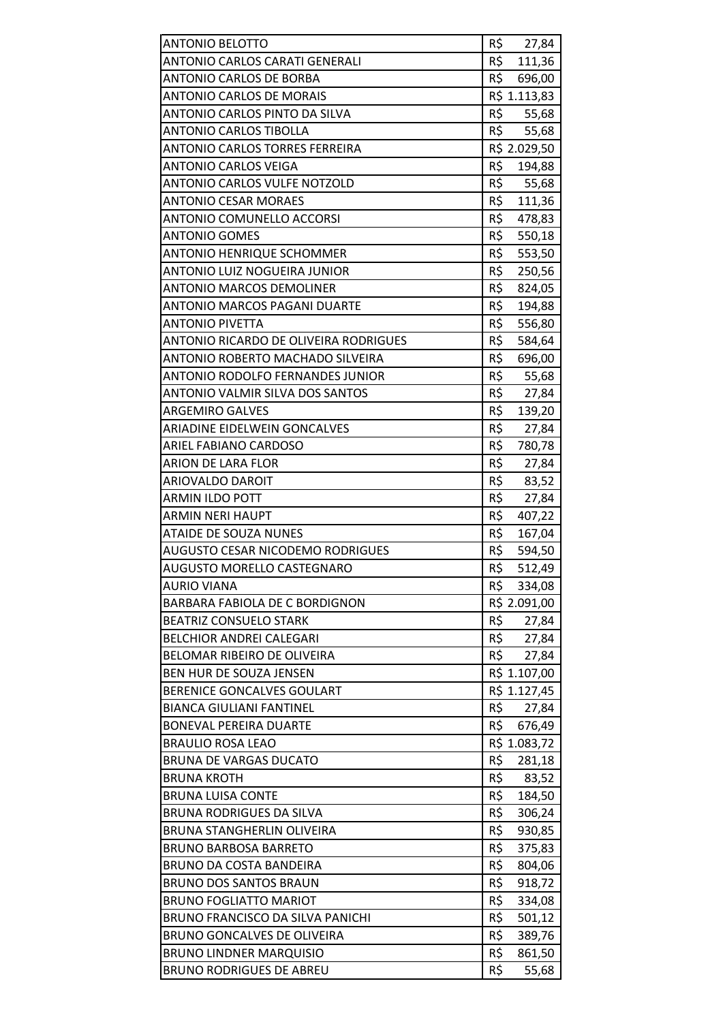| <b>ANTONIO BELOTTO</b>                  | R\$<br>27,84  |
|-----------------------------------------|---------------|
| ANTONIO CARLOS CARATI GENERALI          | R\$<br>111,36 |
| <b>ANTONIO CARLOS DE BORBA</b>          | R\$<br>696,00 |
| <b>ANTONIO CARLOS DE MORAIS</b>         | R\$ 1.113,83  |
| ANTONIO CARLOS PINTO DA SILVA           | R\$<br>55,68  |
| <b>ANTONIO CARLOS TIBOLLA</b>           | R\$<br>55,68  |
| ANTONIO CARLOS TORRES FERREIRA          | R\$ 2.029,50  |
| <b>ANTONIO CARLOS VEIGA</b>             | R\$<br>194,88 |
| <b>ANTONIO CARLOS VULFE NOTZOLD</b>     | R\$<br>55,68  |
| <b>ANTONIO CESAR MORAES</b>             | R\$<br>111,36 |
| <b>ANTONIO COMUNELLO ACCORSI</b>        | R\$<br>478,83 |
| <b>ANTONIO GOMES</b>                    | R\$<br>550,18 |
| <b>ANTONIO HENRIQUE SCHOMMER</b>        | R\$<br>553,50 |
| ANTONIO LUIZ NOGUEIRA JUNIOR            | R\$<br>250,56 |
| <b>ANTONIO MARCOS DEMOLINER</b>         | R\$<br>824,05 |
| <b>ANTONIO MARCOS PAGANI DUARTE</b>     | R\$<br>194,88 |
| ANTONIO PIVETTA                         | R\$<br>556,80 |
| ANTONIO RICARDO DE OLIVEIRA RODRIGUES   | R\$<br>584,64 |
| ANTONIO ROBERTO MACHADO SILVEIRA        | R\$<br>696,00 |
| <b>ANTONIO RODOLFO FERNANDES JUNIOR</b> | R\$<br>55,68  |
| ANTONIO VALMIR SILVA DOS SANTOS         | R\$<br>27,84  |
| <b>ARGEMIRO GALVES</b>                  | R\$<br>139,20 |
| ARIADINE EIDELWEIN GONCALVES            | R\$<br>27,84  |
| ARIEL FABIANO CARDOSO                   | R\$<br>780,78 |
| <b>ARION DE LARA FLOR</b>               | R\$<br>27,84  |
| ARIOVALDO DAROIT                        | R\$<br>83,52  |
| <b>ARMIN ILDO POTT</b>                  | R\$<br>27,84  |
| <b>ARMIN NERI HAUPT</b>                 | R\$<br>407,22 |
| <b>ATAIDE DE SOUZA NUNES</b>            | R\$<br>167,04 |
| <b>AUGUSTO CESAR NICODEMO RODRIGUES</b> | R\$<br>594,50 |
| <b>AUGUSTO MORELLO CASTEGNARO</b>       | R\$<br>512,49 |
| <b>AURIO VIANA</b>                      | R\$<br>334,08 |
| BARBARA FABIOLA DE C BORDIGNON          | R\$ 2.091,00  |
| <b>BEATRIZ CONSUELO STARK</b>           | R\$<br>27,84  |
| <b>BELCHIOR ANDREI CALEGARI</b>         | R\$<br>27,84  |
| <b>BELOMAR RIBEIRO DE OLIVEIRA</b>      | R\$<br>27,84  |
| BEN HUR DE SOUZA JENSEN                 | R\$ 1.107,00  |
| BERENICE GONCALVES GOULART              | R\$ 1.127,45  |
| <b>BIANCA GIULIANI FANTINEL</b>         | R\$<br>27,84  |
| <b>BONEVAL PEREIRA DUARTE</b>           | R\$<br>676,49 |
| <b>BRAULIO ROSA LEAO</b>                | R\$ 1.083,72  |
| <b>BRUNA DE VARGAS DUCATO</b>           | R\$<br>281,18 |
| <b>BRUNA KROTH</b>                      | R\$<br>83,52  |
| <b>BRUNA LUISA CONTE</b>                | R\$<br>184,50 |
| <b>BRUNA RODRIGUES DA SILVA</b>         | R\$<br>306,24 |
| BRUNA STANGHERLIN OLIVEIRA              | R\$<br>930,85 |
| <b>BRUNO BARBOSA BARRETO</b>            | R\$<br>375,83 |
| <b>BRUNO DA COSTA BANDEIRA</b>          | R\$<br>804,06 |
| <b>BRUNO DOS SANTOS BRAUN</b>           | R\$<br>918,72 |
| <b>BRUNO FOGLIATTO MARIOT</b>           | R\$<br>334,08 |
| BRUNO FRANCISCO DA SILVA PANICHI        | R\$<br>501,12 |
| <b>BRUNO GONCALVES DE OLIVEIRA</b>      | R\$<br>389,76 |
| <b>BRUNO LINDNER MARQUISIO</b>          | R\$<br>861,50 |
| <b>BRUNO RODRIGUES DE ABREU</b>         | R\$<br>55,68  |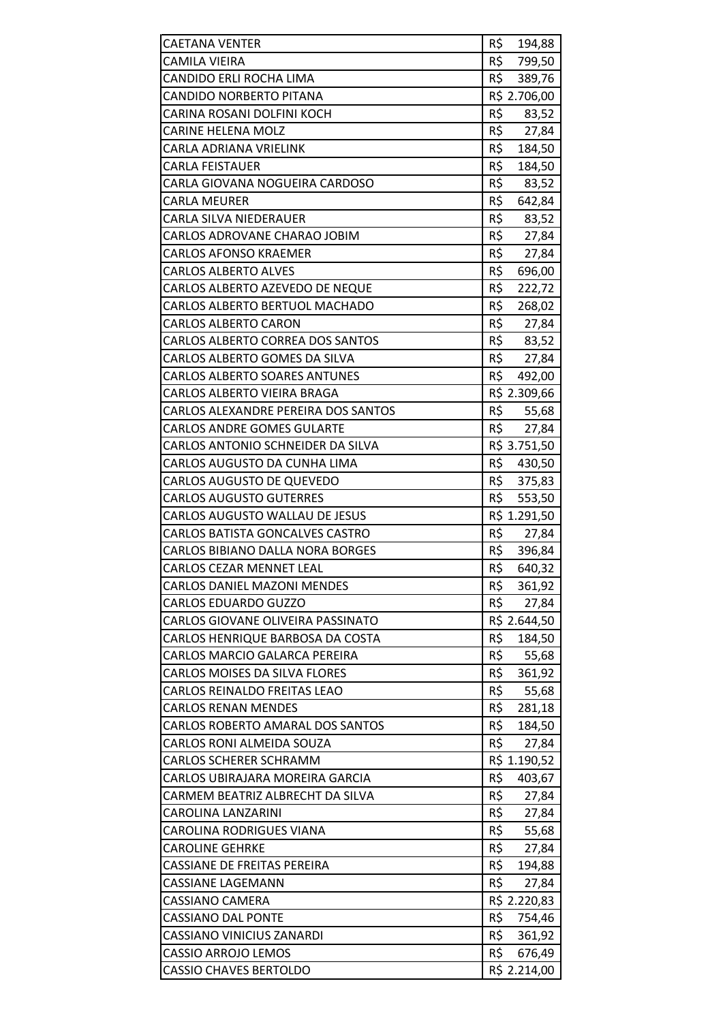| <b>CAETANA VENTER</b>                | R\$<br>194,88 |
|--------------------------------------|---------------|
| <b>CAMILA VIEIRA</b>                 | R\$<br>799,50 |
| CANDIDO ERLI ROCHA LIMA              | R\$<br>389,76 |
| CANDIDO NORBERTO PITANA              | R\$ 2.706,00  |
| CARINA ROSANI DOLFINI KOCH           | R\$<br>83,52  |
| <b>CARINE HELENA MOLZ</b>            | R\$<br>27,84  |
| CARLA ADRIANA VRIELINK               | R\$<br>184,50 |
| <b>CARLA FEISTAUER</b>               | R\$<br>184,50 |
| CARLA GIOVANA NOGUEIRA CARDOSO       | R\$<br>83,52  |
| <b>CARLA MEURER</b>                  | R\$<br>642,84 |
| CARLA SILVA NIEDERAUER               | R\$<br>83,52  |
| CARLOS ADROVANE CHARAO JOBIM         | R\$<br>27,84  |
| <b>CARLOS AFONSO KRAEMER</b>         | R\$<br>27,84  |
| <b>CARLOS ALBERTO ALVES</b>          | R\$<br>696,00 |
| CARLOS ALBERTO AZEVEDO DE NEQUE      | R\$<br>222,72 |
| CARLOS ALBERTO BERTUOL MACHADO       | R\$<br>268,02 |
| <b>CARLOS ALBERTO CARON</b>          | R\$<br>27,84  |
| CARLOS ALBERTO CORREA DOS SANTOS     | R\$<br>83,52  |
| CARLOS ALBERTO GOMES DA SILVA        | R\$<br>27,84  |
| <b>CARLOS ALBERTO SOARES ANTUNES</b> | R\$<br>492,00 |
| CARLOS ALBERTO VIEIRA BRAGA          | R\$ 2.309,66  |
| CARLOS ALEXANDRE PEREIRA DOS SANTOS  | R\$<br>55,68  |
| <b>CARLOS ANDRE GOMES GULARTE</b>    | R\$<br>27,84  |
| CARLOS ANTONIO SCHNEIDER DA SILVA    | R\$ 3.751,50  |
| CARLOS AUGUSTO DA CUNHA LIMA         | R\$<br>430,50 |
| CARLOS AUGUSTO DE QUEVEDO            | R\$ 375,83    |
| <b>CARLOS AUGUSTO GUTERRES</b>       | R\$<br>553,50 |
| CARLOS AUGUSTO WALLAU DE JESUS       | R\$ 1.291,50  |
| CARLOS BATISTA GONCALVES CASTRO      | R\$<br>27,84  |
| CARLOS BIBIANO DALLA NORA BORGES     | R\$<br>396,84 |
| CARLOS CEZAR MENNET LEAL             | R\$<br>640,32 |
| <b>CARLOS DANIEL MAZONI MENDES</b>   | R\$<br>361,92 |
| <b>CARLOS EDUARDO GUZZO</b>          | R\$<br>27,84  |
| CARLOS GIOVANE OLIVEIRA PASSINATO    | R\$ 2.644,50  |
| CARLOS HENRIQUE BARBOSA DA COSTA     | R\$<br>184,50 |
| CARLOS MARCIO GALARCA PEREIRA        | R\$<br>55,68  |
| <b>CARLOS MOISES DA SILVA FLORES</b> | R\$<br>361,92 |
| <b>CARLOS REINALDO FREITAS LEAO</b>  | R\$<br>55,68  |
| <b>CARLOS RENAN MENDES</b>           | R\$<br>281,18 |
| CARLOS ROBERTO AMARAL DOS SANTOS     | R\$<br>184,50 |
| CARLOS RONI ALMEIDA SOUZA            | R\$<br>27,84  |
| <b>CARLOS SCHERER SCHRAMM</b>        | R\$ 1.190,52  |
| CARLOS UBIRAJARA MOREIRA GARCIA      | R\$<br>403,67 |
| CARMEM BEATRIZ ALBRECHT DA SILVA     | R\$<br>27,84  |
| CAROLINA LANZARINI                   | R\$<br>27,84  |
| <b>CAROLINA RODRIGUES VIANA</b>      | R\$<br>55,68  |
| <b>CAROLINE GEHRKE</b>               | R\$<br>27,84  |
| <b>CASSIANE DE FREITAS PEREIRA</b>   | R\$<br>194,88 |
| <b>CASSIANE LAGEMANN</b>             | R\$<br>27,84  |
| CASSIANO CAMERA                      | R\$ 2.220,83  |
| <b>CASSIANO DAL PONTE</b>            | R\$<br>754,46 |
| CASSIANO VINICIUS ZANARDI            | R\$<br>361,92 |
| CASSIO ARROJO LEMOS                  | R\$<br>676,49 |
| <b>CASSIO CHAVES BERTOLDO</b>        | R\$ 2.214,00  |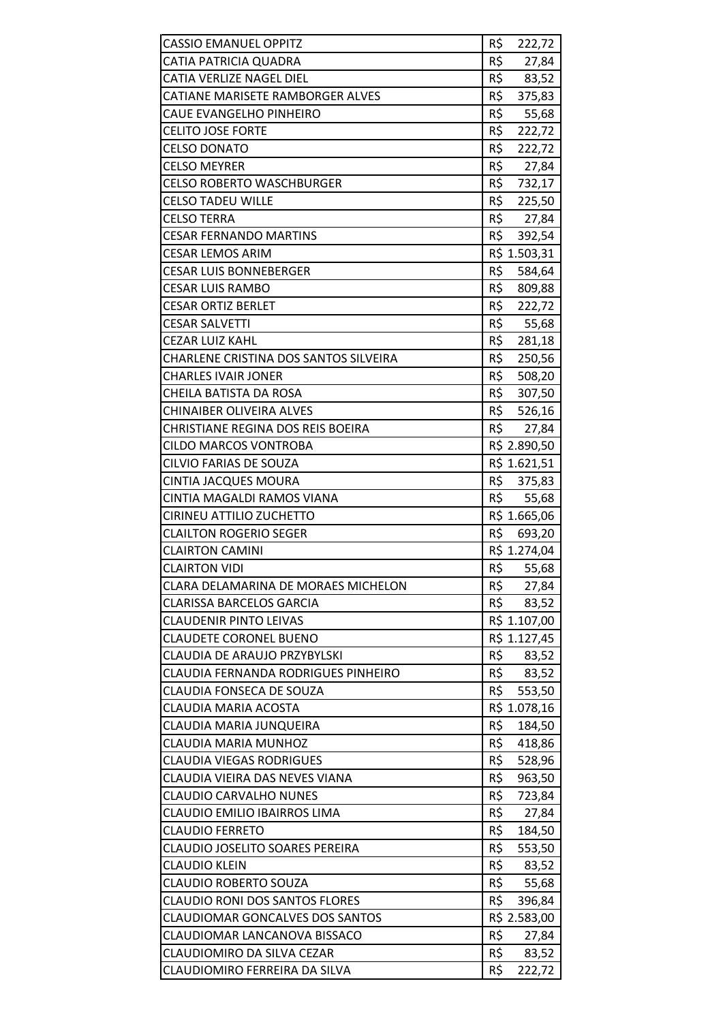| <b>CASSIO EMANUEL OPPITZ</b>           | R\$<br>222,72 |
|----------------------------------------|---------------|
| CATIA PATRICIA QUADRA                  | R\$<br>27,84  |
| <b>CATIA VERLIZE NAGEL DIEL</b>        | R\$<br>83,52  |
| CATIANE MARISETE RAMBORGER ALVES       | R\$<br>375,83 |
| CAUE EVANGELHO PINHEIRO                | R\$<br>55,68  |
| <b>CELITO JOSE FORTE</b>               | R\$<br>222,72 |
| <b>CELSO DONATO</b>                    | R\$<br>222,72 |
| <b>CELSO MEYRER</b>                    | R\$<br>27,84  |
| <b>CELSO ROBERTO WASCHBURGER</b>       | R\$<br>732,17 |
| <b>CELSO TADEU WILLE</b>               | R\$<br>225,50 |
| <b>CELSO TERRA</b>                     | R\$<br>27,84  |
| <b>CESAR FERNANDO MARTINS</b>          | R\$<br>392,54 |
| <b>CESAR LEMOS ARIM</b>                | R\$ 1.503,31  |
| <b>CESAR LUIS BONNEBERGER</b>          | R\$<br>584,64 |
| <b>CESAR LUIS RAMBO</b>                | R\$<br>809,88 |
| <b>CESAR ORTIZ BERLET</b>              | R\$<br>222,72 |
| <b>CESAR SALVETTI</b>                  | R\$<br>55,68  |
| <b>CEZAR LUIZ KAHL</b>                 | R\$<br>281,18 |
| CHARLENE CRISTINA DOS SANTOS SILVEIRA  | R\$<br>250,56 |
| <b>CHARLES IVAIR JONER</b>             | R\$<br>508,20 |
| CHEILA BATISTA DA ROSA                 | R\$<br>307,50 |
| <b>CHINAIBER OLIVEIRA ALVES</b>        | R\$<br>526,16 |
| CHRISTIANE REGINA DOS REIS BOEIRA      | R\$<br>27,84  |
| <b>CILDO MARCOS VONTROBA</b>           | R\$ 2.890,50  |
| CILVIO FARIAS DE SOUZA                 | R\$ 1.621,51  |
| <b>CINTIA JACQUES MOURA</b>            | R\$ 375,83    |
| CINTIA MAGALDI RAMOS VIANA             | R\$<br>55,68  |
| CIRINEU ATTILIO ZUCHETTO               | R\$ 1.665,06  |
| <b>CLAILTON ROGERIO SEGER</b>          | R\$<br>693,20 |
| <b>CLAIRTON CAMINI</b>                 | R\$ 1.274,04  |
| <b>CLAIRTON VIDI</b>                   | R\$<br>55,68  |
| CLARA DELAMARINA DE MORAES MICHELON    | R\$<br>27,84  |
| <b>CLARISSA BARCELOS GARCIA</b>        | R\$<br>83,52  |
| <b>CLAUDENIR PINTO LEIVAS</b>          | R\$ 1.107,00  |
| <b>CLAUDETE CORONEL BUENO</b>          | R\$ 1.127,45  |
| CLAUDIA DE ARAUJO PRZYBYLSKI           | R\$<br>83,52  |
| CLAUDIA FERNANDA RODRIGUES PINHEIRO    | R\$<br>83,52  |
| CLAUDIA FONSECA DE SOUZA               | R\$<br>553,50 |
| <b>CLAUDIA MARIA ACOSTA</b>            | R\$ 1.078,16  |
| CLAUDIA MARIA JUNQUEIRA                | R\$<br>184,50 |
| CLAUDIA MARIA MUNHOZ                   | R\$<br>418,86 |
| <b>CLAUDIA VIEGAS RODRIGUES</b>        | R\$<br>528,96 |
| CLAUDIA VIEIRA DAS NEVES VIANA         | R\$<br>963,50 |
| <b>CLAUDIO CARVALHO NUNES</b>          | R\$<br>723,84 |
| CLAUDIO EMILIO IBAIRROS LIMA           | R\$<br>27,84  |
| <b>CLAUDIO FERRETO</b>                 | R\$<br>184,50 |
| <b>CLAUDIO JOSELITO SOARES PEREIRA</b> | R\$<br>553,50 |
| <b>CLAUDIO KLEIN</b>                   | R\$<br>83,52  |
| <b>CLAUDIO ROBERTO SOUZA</b>           | R\$<br>55,68  |
| <b>CLAUDIO RONI DOS SANTOS FLORES</b>  | R\$<br>396,84 |
| <b>CLAUDIOMAR GONCALVES DOS SANTOS</b> | R\$ 2.583,00  |
| CLAUDIOMAR LANCANOVA BISSACO           | R\$<br>27,84  |
| CLAUDIOMIRO DA SILVA CEZAR             | R\$<br>83,52  |
| CLAUDIOMIRO FERREIRA DA SILVA          | R\$<br>222,72 |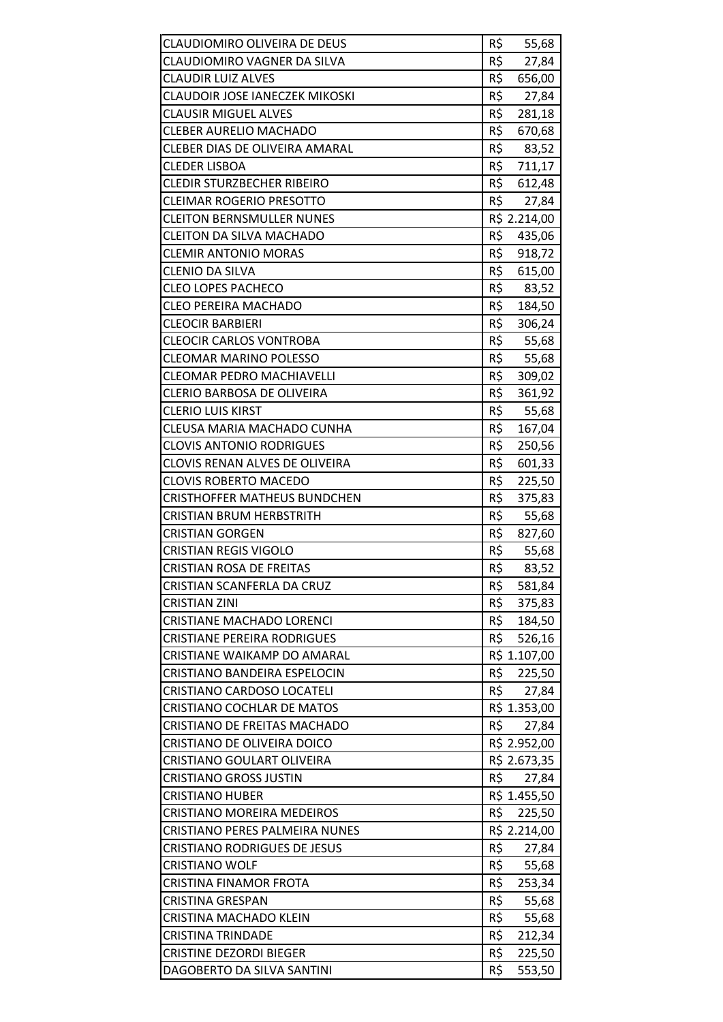| CLAUDIOMIRO OLIVEIRA DE DEUS<br>CLAUDIOMIRO VAGNER DA SILVA       | R\$<br>55,68<br>R\$          |
|-------------------------------------------------------------------|------------------------------|
| <b>CLAUDIR LUIZ ALVES</b>                                         | 27,84<br>R\$                 |
| <b>CLAUDOIR JOSE IANECZEK MIKOSKI</b>                             | 656,00<br>R\$<br>27,84       |
| <b>CLAUSIR MIGUEL ALVES</b>                                       | R\$                          |
| <b>CLEBER AURELIO MACHADO</b>                                     | 281,18<br>R\$                |
| <b>CLEBER DIAS DE OLIVEIRA AMARAL</b>                             | 670,68<br>R\$<br>83,52       |
|                                                                   | R\$<br>711,17                |
| <b>CLEDER LISBOA</b><br><b>CLEDIR STURZBECHER RIBEIRO</b>         | R\$                          |
|                                                                   | 612,48<br>R\$                |
| <b>CLEIMAR ROGERIO PRESOTTO</b>                                   | 27,84                        |
| <b>CLEITON BERNSMULLER NUNES</b>                                  | R\$ 2.214,00                 |
| <b>CLEITON DA SILVA MACHADO</b>                                   | R\$<br>435,06                |
| <b>CLEMIR ANTONIO MORAS</b>                                       | R\$<br>918,72                |
| <b>CLENIO DA SILVA</b>                                            | R\$<br>615,00                |
| <b>CLEO LOPES PACHECO</b>                                         | R\$<br>83,52                 |
| <b>CLEO PEREIRA MACHADO</b>                                       | R\$<br>184,50                |
| <b>CLEOCIR BARBIERI</b>                                           | R\$<br>306,24                |
| <b>CLEOCIR CARLOS VONTROBA</b>                                    | R\$<br>55,68                 |
| <b>CLEOMAR MARINO POLESSO</b>                                     | R\$<br>55,68                 |
| <b>CLEOMAR PEDRO MACHIAVELLI</b>                                  | R\$<br>309,02                |
| CLERIO BARBOSA DE OLIVEIRA                                        | R\$<br>361,92                |
| <b>CLERIO LUIS KIRST</b>                                          | R\$<br>55,68                 |
| CLEUSA MARIA MACHADO CUNHA                                        | R\$<br>167,04                |
| <b>CLOVIS ANTONIO RODRIGUES</b>                                   | R\$<br>250,56                |
| <b>CLOVIS RENAN ALVES DE OLIVEIRA</b>                             | R\$<br>601,33                |
| <b>CLOVIS ROBERTO MACEDO</b>                                      | R\$<br>225,50                |
| <b>CRISTHOFFER MATHEUS BUNDCHEN</b>                               | R\$<br>375,83                |
| <b>CRISTIAN BRUM HERBSTRITH</b>                                   | R\$<br>55,68                 |
| <b>CRISTIAN GORGEN</b>                                            | R\$<br>827,60                |
| <b>CRISTIAN REGIS VIGOLO</b>                                      | R\$<br>55,68                 |
| <b>CRISTIAN ROSA DE FREITAS</b>                                   | R\$<br>83,52                 |
| <b>CRISTIAN SCANFERLA DA CRUZ</b><br><b>CRISTIAN ZINI</b>         | R\$<br>581,84<br>R\$         |
| <b>CRISTIANE MACHADO LORENCI</b>                                  | 375,83<br>R\$<br>184,50      |
|                                                                   | R\$                          |
| <b>CRISTIANE PEREIRA RODRIGUES</b>                                | 526,16                       |
| CRISTIANE WAIKAMP DO AMARAL                                       | R\$ 1.107,00<br>R\$          |
| CRISTIANO BANDEIRA ESPELOCIN<br><b>CRISTIANO CARDOSO LOCATELI</b> | 225,50<br>R\$                |
| <b>CRISTIANO COCHLAR DE MATOS</b>                                 | 27,84                        |
| CRISTIANO DE FREITAS MACHADO                                      | R\$ 1.353,00<br>R\$<br>27,84 |
| CRISTIANO DE OLIVEIRA DOICO                                       | R\$ 2.952,00                 |
|                                                                   | R\$ 2.673,35                 |
| CRISTIANO GOULART OLIVEIRA<br><b>CRISTIANO GROSS JUSTIN</b>       | R\$<br>27,84                 |
| <b>CRISTIANO HUBER</b>                                            | R\$ 1.455,50                 |
| <b>CRISTIANO MOREIRA MEDEIROS</b>                                 | R\$<br>225,50                |
| CRISTIANO PERES PALMEIRA NUNES                                    | R\$ 2.214,00                 |
| <b>CRISTIANO RODRIGUES DE JESUS</b>                               | R\$<br>27,84                 |
| <b>CRISTIANO WOLF</b>                                             | R\$<br>55,68                 |
| <b>CRISTINA FINAMOR FROTA</b>                                     | R\$<br>253,34                |
| <b>CRISTINA GRESPAN</b>                                           | R\$<br>55,68                 |
| <b>CRISTINA MACHADO KLEIN</b>                                     | R\$<br>55,68                 |
| <b>CRISTINA TRINDADE</b>                                          | R\$<br>212,34                |
| <b>CRISTINE DEZORDI BIEGER</b>                                    | R\$<br>225,50                |
| DAGOBERTO DA SILVA SANTINI                                        | R\$<br>553,50                |
|                                                                   |                              |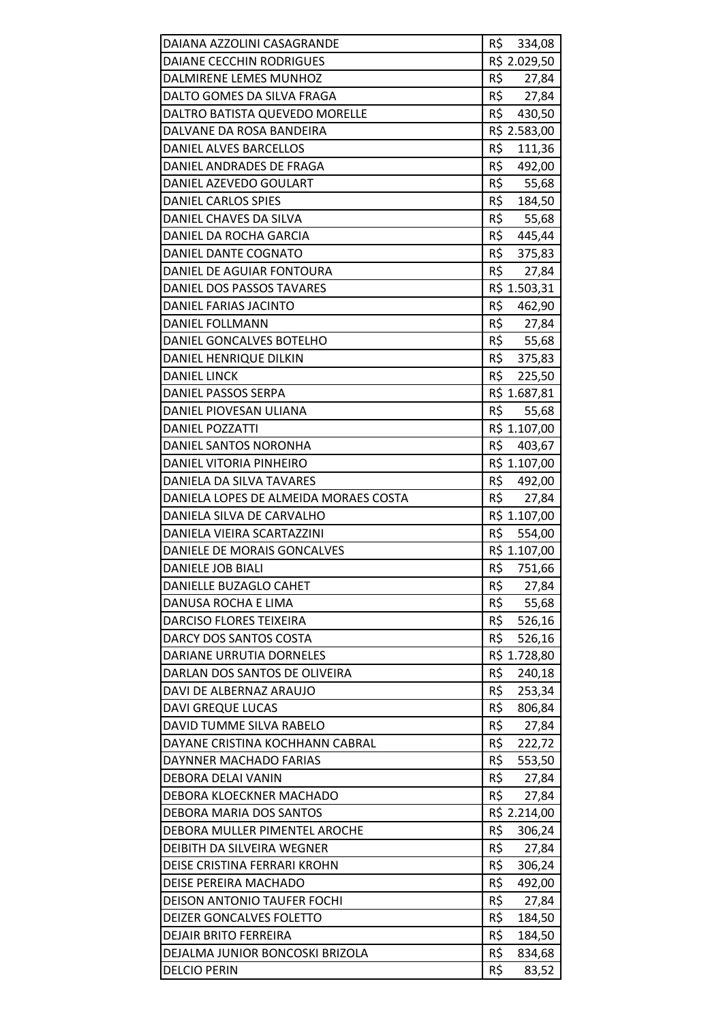| DAIANA AZZOLINI CASAGRANDE            | R\$ 334,08    |
|---------------------------------------|---------------|
| <b>DAIANE CECCHIN RODRIGUES</b>       | R\$ 2.029,50  |
| DALMIRENE LEMES MUNHOZ                | R\$<br>27,84  |
| DALTO GOMES DA SILVA FRAGA            | R\$<br>27,84  |
| DALTRO BATISTA QUEVEDO MORELLE        | R\$<br>430,50 |
| DALVANE DA ROSA BANDEIRA              | R\$ 2.583,00  |
| DANIEL ALVES BARCELLOS                | R\$<br>111,36 |
| DANIEL ANDRADES DE FRAGA              | R\$<br>492,00 |
| DANIEL AZEVEDO GOULART                | R\$<br>55,68  |
| DANIEL CARLOS SPIES                   | R\$<br>184,50 |
| DANIEL CHAVES DA SILVA                | R\$<br>55,68  |
| DANIEL DA ROCHA GARCIA                | R\$<br>445,44 |
| DANIEL DANTE COGNATO                  | R\$<br>375,83 |
| DANIEL DE AGUIAR FONTOURA             | R\$<br>27,84  |
| DANIEL DOS PASSOS TAVARES             | R\$ 1.503,31  |
| DANIEL FARIAS JACINTO                 | R\$<br>462,90 |
| <b>DANIEL FOLLMANN</b>                | R\$<br>27,84  |
| DANIEL GONCALVES BOTELHO              | R\$ 55,68     |
| DANIEL HENRIQUE DILKIN                | R\$<br>375,83 |
| <b>DANIEL LINCK</b>                   | R\$<br>225,50 |
| DANIEL PASSOS SERPA                   | R\$ 1.687,81  |
| DANIEL PIOVESAN ULIANA                | R\$<br>55,68  |
| <b>DANIEL POZZATTI</b>                | R\$ 1.107,00  |
| DANIEL SANTOS NORONHA                 | R\$<br>403,67 |
| DANIEL VITORIA PINHEIRO               | R\$ 1.107,00  |
| DANIELA DA SILVA TAVARES              | R\$ 492,00    |
| DANIELA LOPES DE ALMEIDA MORAES COSTA | R\$<br>27,84  |
| DANIELA SILVA DE CARVALHO             | R\$ 1.107,00  |
| DANIELA VIEIRA SCARTAZZINI            | R\$<br>554,00 |
| DANIELE DE MORAIS GONCALVES           | R\$ 1.107,00  |
| DANIELE JOB BIALI                     | R\$<br>751,66 |
| DANIELLE BUZAGLO CAHET                | R\$<br>27,84  |
| DANUSA ROCHA E LIMA                   | R\$<br>55,68  |
| <b>DARCISO FLORES TEIXEIRA</b>        | R\$<br>526,16 |
| DARCY DOS SANTOS COSTA                | R\$<br>526,16 |
| DARIANE URRUTIA DORNELES              | R\$ 1.728,80  |
| DARLAN DOS SANTOS DE OLIVEIRA         | R\$<br>240,18 |
| DAVI DE ALBERNAZ ARAUJO               | R\$<br>253,34 |
| <b>DAVI GREQUE LUCAS</b>              | R\$<br>806,84 |
| DAVID TUMME SILVA RABELO              | R\$<br>27,84  |
| DAYANE CRISTINA KOCHHANN CABRAL       | R\$<br>222,72 |
| DAYNNER MACHADO FARIAS                | R\$<br>553,50 |
| DEBORA DELAI VANIN                    | R\$<br>27,84  |
| DEBORA KLOECKNER MACHADO              | R\$<br>27,84  |
| DEBORA MARIA DOS SANTOS               | R\$ 2.214,00  |
| DEBORA MULLER PIMENTEL AROCHE         | R\$<br>306,24 |
| <b>DEIBITH DA SILVEIRA WEGNER</b>     | R\$<br>27,84  |
| DEISE CRISTINA FERRARI KROHN          | R\$<br>306,24 |
| DEISE PEREIRA MACHADO                 | R\$<br>492,00 |
| DEISON ANTONIO TAUFER FOCHI           | R\$<br>27,84  |
| DEIZER GONCALVES FOLETTO              | R\$<br>184,50 |
| <b>DEJAIR BRITO FERREIRA</b>          | R\$<br>184,50 |
| DEJALMA JUNIOR BONCOSKI BRIZOLA       | R\$<br>834,68 |
| <b>DELCIO PERIN</b>                   | R\$<br>83,52  |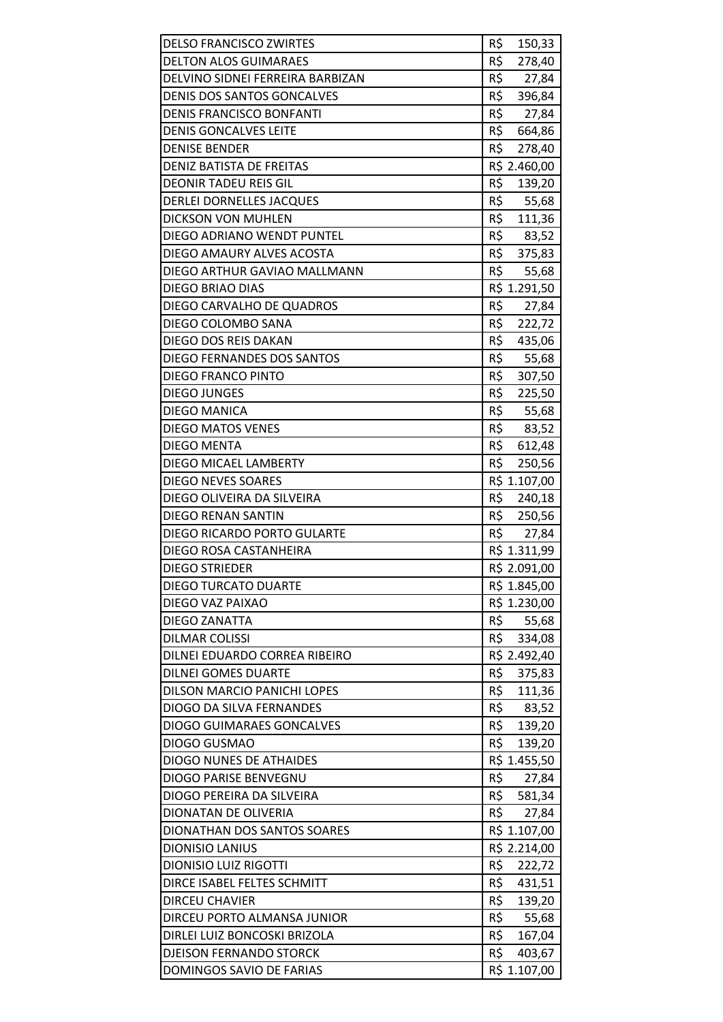| <b>DELSO FRANCISCO ZWIRTES</b>    | R\$<br>150,33 |
|-----------------------------------|---------------|
| <b>DELTON ALOS GUIMARAES</b>      | R\$<br>278,40 |
| DELVINO SIDNEI FERREIRA BARBIZAN  | R\$<br>27,84  |
| <b>DENIS DOS SANTOS GONCALVES</b> | R\$<br>396,84 |
| <b>DENIS FRANCISCO BONFANTI</b>   | R\$<br>27,84  |
| <b>DENIS GONCALVES LEITE</b>      | R\$ 664,86    |
| <b>DENISE BENDER</b>              | R\$<br>278,40 |
| <b>DENIZ BATISTA DE FREITAS</b>   | R\$ 2.460,00  |
| <b>DEONIR TADEU REIS GIL</b>      | R\$<br>139,20 |
| <b>DERLEI DORNELLES JACQUES</b>   | R\$ 55,68     |
| <b>DICKSON VON MUHLEN</b>         | R\$ 111,36    |
| DIEGO ADRIANO WENDT PUNTEL        | R\$<br>83,52  |
| DIEGO AMAURY ALVES ACOSTA         | R\$<br>375,83 |
| DIEGO ARTHUR GAVIAO MALLMANN      | R\$<br>55,68  |
| DIEGO BRIAO DIAS                  | R\$ 1.291,50  |
| DIEGO CARVALHO DE QUADROS         | R\$ 27,84     |
| DIEGO COLOMBO SANA                | R\$<br>222,72 |
| DIEGO DOS REIS DAKAN              | R\$<br>435,06 |
| DIEGO FERNANDES DOS SANTOS        | R\$<br>55,68  |
| <b>DIEGO FRANCO PINTO</b>         | R\$<br>307,50 |
| <b>DIEGO JUNGES</b>               | R\$<br>225,50 |
| <b>DIEGO MANICA</b>               | R\$<br>55,68  |
| <b>DIEGO MATOS VENES</b>          | R\$<br>83,52  |
| <b>DIEGO MENTA</b>                | R\$<br>612,48 |
| DIEGO MICAEL LAMBERTY             | R\$<br>250,56 |
| <b>DIEGO NEVES SOARES</b>         | R\$ 1.107,00  |
| DIEGO OLIVEIRA DA SILVEIRA        | R\$<br>240,18 |
| <b>DIEGO RENAN SANTIN</b>         | R\$<br>250,56 |
| DIEGO RICARDO PORTO GULARTE       | R\$<br>27,84  |
| DIEGO ROSA CASTANHEIRA            | R\$ 1.311,99  |
| <b>DIEGO STRIEDER</b>             | R\$ 2.091,00  |
| <b>DIEGO TURCATO DUARTE</b>       | R\$ 1.845,00  |
| DIEGO VAZ PAIXAO                  | R\$ 1.230,00  |
| <b>DIEGO ZANATTA</b>              | R\$<br>55,68  |
| <b>DILMAR COLISSI</b>             | R\$<br>334,08 |
| DILNEI EDUARDO CORREA RIBEIRO     | R\$ 2.492,40  |
| <b>DILNEI GOMES DUARTE</b>        | R\$<br>375,83 |
| DILSON MARCIO PANICHI LOPES       | R\$<br>111,36 |
| DIOGO DA SILVA FERNANDES          | R\$<br>83,52  |
| <b>DIOGO GUIMARAES GONCALVES</b>  | R\$<br>139,20 |
| DIOGO GUSMAO                      | R\$<br>139,20 |
| <b>DIOGO NUNES DE ATHAIDES</b>    | R\$ 1.455,50  |
| DIOGO PARISE BENVEGNU             | R\$<br>27,84  |
| DIOGO PEREIRA DA SILVEIRA         | R\$<br>581,34 |
| DIONATAN DE OLIVERIA              | R\$<br>27,84  |
| DIONATHAN DOS SANTOS SOARES       | R\$ 1.107,00  |
| <b>DIONISIO LANIUS</b>            | R\$ 2.214,00  |
| <b>DIONISIO LUIZ RIGOTTI</b>      | R\$<br>222,72 |
| DIRCE ISABEL FELTES SCHMITT       | R\$<br>431,51 |
| <b>DIRCEU CHAVIER</b>             | R\$<br>139,20 |
| DIRCEU PORTO ALMANSA JUNIOR       | R\$<br>55,68  |
| DIRLEI LUIZ BONCOSKI BRIZOLA      | R\$<br>167,04 |
| <b>DJEISON FERNANDO STORCK</b>    | R\$<br>403,67 |
| DOMINGOS SAVIO DE FARIAS          | R\$ 1.107,00  |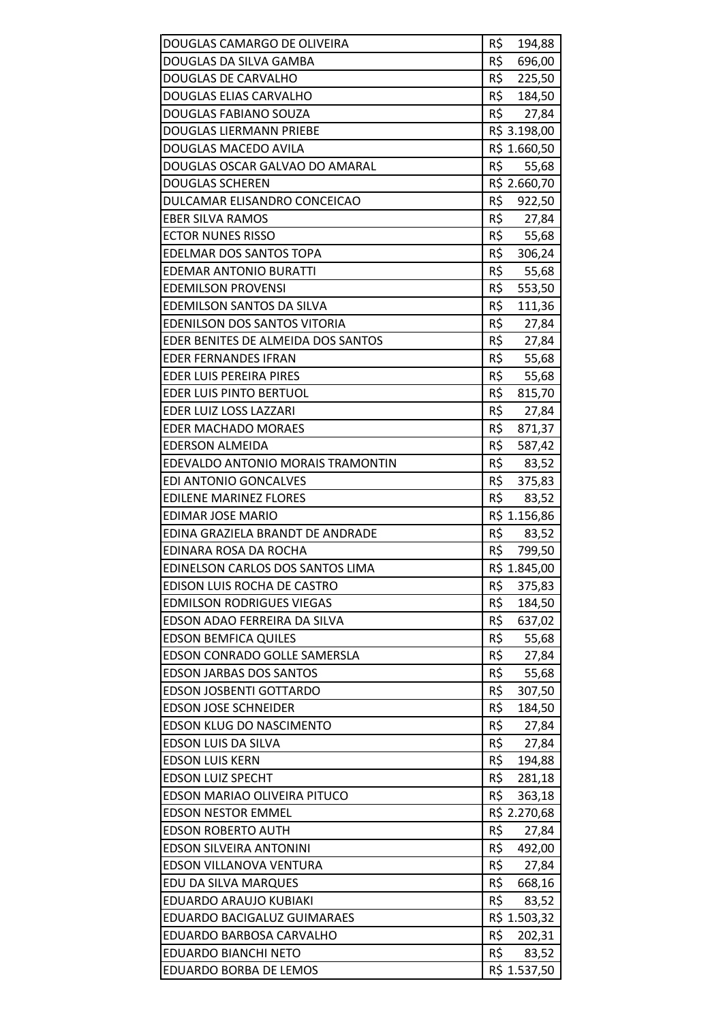| DOUGLAS CAMARGO DE OLIVEIRA                     | R\$<br>194,88                 |
|-------------------------------------------------|-------------------------------|
| DOUGLAS DA SILVA GAMBA                          | R\$<br>696,00                 |
| <b>DOUGLAS DE CARVALHO</b>                      | R\$<br>225,50                 |
| DOUGLAS ELIAS CARVALHO                          | R\$<br>184,50                 |
| DOUGLAS FABIANO SOUZA                           | R\$<br>27,84                  |
| <b>DOUGLAS LIERMANN PRIEBE</b>                  | R\$ 3.198,00                  |
| DOUGLAS MACEDO AVILA                            | R\$ 1.660,50                  |
| DOUGLAS OSCAR GALVAO DO AMARAL                  | R\$<br>55,68                  |
| <b>DOUGLAS SCHEREN</b>                          | R\$ 2.660,70                  |
| DULCAMAR ELISANDRO CONCEICAO                    | R\$<br>922,50                 |
| <b>EBER SILVA RAMOS</b>                         | R\$<br>27,84                  |
| <b>ECTOR NUNES RISSO</b>                        | R\$<br>55,68                  |
| <b>EDELMAR DOS SANTOS TOPA</b>                  | R\$<br>306,24                 |
| <b>EDEMAR ANTONIO BURATTI</b>                   | R\$<br>55,68                  |
| <b>EDEMILSON PROVENSI</b>                       | R\$<br>553,50                 |
| <b>EDEMILSON SANTOS DA SILVA</b>                | R\$<br>111,36                 |
| <b>EDENILSON DOS SANTOS VITORIA</b>             | $R\frac{1}{2}$<br>27,84       |
| EDER BENITES DE ALMEIDA DOS SANTOS              | R\$<br>27,84                  |
| <b>EDER FERNANDES IFRAN</b>                     | R\$<br>55,68                  |
| EDER LUIS PEREIRA PIRES                         | R\$<br>55,68                  |
| EDER LUIS PINTO BERTUOL                         | R\$ 815,70                    |
| EDER LUIZ LOSS LAZZARI                          | R\$<br>27,84                  |
| EDER MACHADO MORAES                             | R\$<br>871,37                 |
| <b>EDERSON ALMEIDA</b>                          | R\$<br>587,42                 |
| EDEVALDO ANTONIO MORAIS TRAMONTIN               | R\$<br>83,52                  |
| EDI ANTONIO GONCALVES                           | R\$ 375,83                    |
| <b>EDILENE MARINEZ FLORES</b>                   | R\$<br>83,52                  |
| EDIMAR JOSE MARIO                               | R\$ 1.156,86                  |
| EDINA GRAZIELA BRANDT DE ANDRADE                | R\$<br>83,52                  |
| EDINARA ROSA DA ROCHA                           | R\$<br>799,50                 |
| EDINELSON CARLOS DOS SANTOS LIMA                | R\$ 1.845,00                  |
| EDISON LUIS ROCHA DE CASTRO                     | R\$<br>375,83                 |
| <b>EDMILSON RODRIGUES VIEGAS</b>                | R\$<br>184,50                 |
| EDSON ADAO FERREIRA DA SILVA                    | R\$<br>637,02                 |
| <b>EDSON BEMFICA QUILES</b>                     | R\$<br>55,68                  |
| <b>EDSON CONRADO GOLLE SAMERSLA</b>             | R\$<br>27,84                  |
| <b>EDSON JARBAS DOS SANTOS</b>                  | R\$<br>55,68                  |
| EDSON JOSBENTI GOTTARDO                         | R\$<br>307,50                 |
| <b>EDSON JOSE SCHNEIDER</b>                     | R\$<br>184,50                 |
| <b>EDSON KLUG DO NASCIMENTO</b>                 | R\$<br>27,84                  |
| EDSON LUIS DA SILVA                             | R\$<br>27,84                  |
| <b>EDSON LUIS KERN</b>                          | R\$<br>194,88                 |
| <b>EDSON LUIZ SPECHT</b>                        | R\$<br>281,18                 |
| EDSON MARIAO OLIVEIRA PITUCO                    | R\$<br>363,18                 |
| <b>EDSON NESTOR EMMEL</b>                       | R\$ 2.270,68                  |
| <b>EDSON ROBERTO AUTH</b>                       | R\$<br>27,84<br>R\$           |
| <b>EDSON SILVEIRA ANTONINI</b>                  | 492,00                        |
| EDSON VILLANOVA VENTURA<br>EDU DA SILVA MARQUES | R\$<br>27,84<br>R\$<br>668,16 |
| EDUARDO ARAUJO KUBIAKI                          | R\$                           |
| <b>EDUARDO BACIGALUZ GUIMARAES</b>              | 83,52<br>R\$ 1.503,32         |
| EDUARDO BARBOSA CARVALHO                        | R\$<br>202,31                 |
| <b>EDUARDO BIANCHI NETO</b>                     | R\$<br>83,52                  |
| <b>EDUARDO BORBA DE LEMOS</b>                   | R\$ 1.537,50                  |
|                                                 |                               |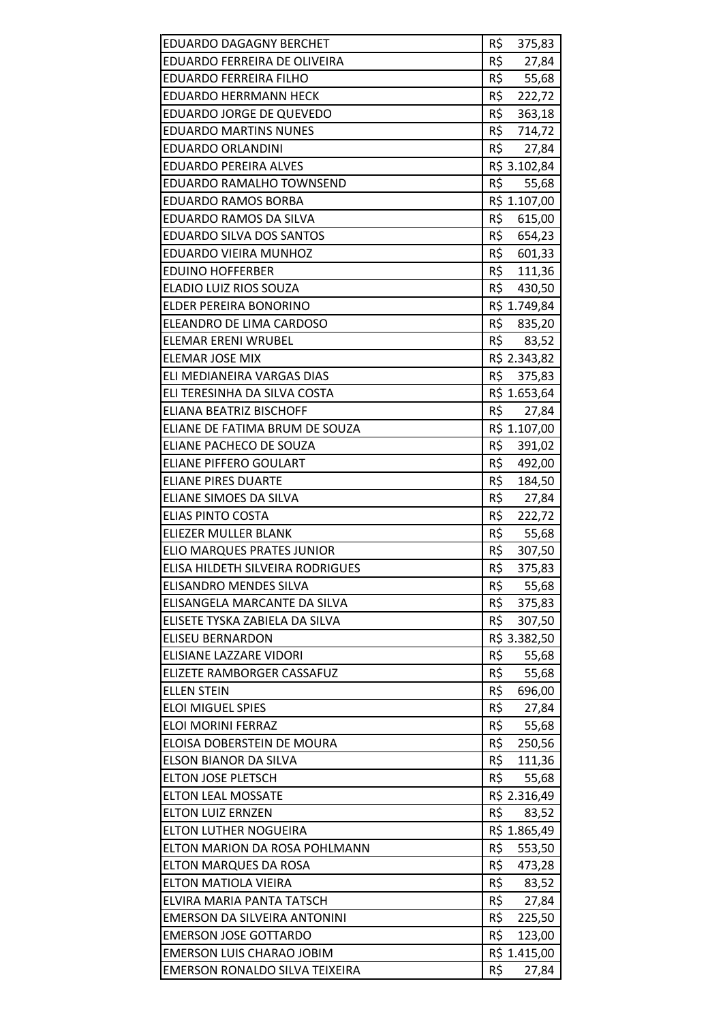| <b>EDUARDO DAGAGNY BERCHET</b>                                     | R\$<br>375,83                |
|--------------------------------------------------------------------|------------------------------|
| EDUARDO FERREIRA DE OLIVEIRA                                       | R\$<br>27,84                 |
| <b>EDUARDO FERREIRA FILHO</b>                                      | R\$<br>55,68                 |
| <b>EDUARDO HERRMANN HECK</b>                                       | R\$<br>222,72                |
| <b>EDUARDO JORGE DE QUEVEDO</b>                                    | R\$<br>363,18                |
| <b>EDUARDO MARTINS NUNES</b>                                       | R\$ 714,72                   |
| <b>EDUARDO ORLANDINI</b>                                           | R\$<br>27,84                 |
| <b>EDUARDO PEREIRA ALVES</b>                                       | R\$ 3.102,84                 |
| EDUARDO RAMALHO TOWNSEND                                           | R\$<br>55,68                 |
| <b>EDUARDO RAMOS BORBA</b>                                         | R\$ 1.107,00                 |
| EDUARDO RAMOS DA SILVA                                             | R\$<br>615,00                |
| EDUARDO SILVA DOS SANTOS                                           | R\$<br>654,23                |
| EDUARDO VIEIRA MUNHOZ                                              | R\$<br>601,33                |
| <b>EDUINO HOFFERBER</b>                                            | R\$<br>111,36                |
| ELADIO LUIZ RIOS SOUZA                                             | R\$<br>430,50                |
| ELDER PEREIRA BONORINO                                             | R\$ 1.749,84                 |
| ELEANDRO DE LIMA CARDOSO                                           | R\$ 835,20                   |
| ELEMAR ERENI WRUBEL                                                | R\$<br>83,52                 |
| <b>ELEMAR JOSE MIX</b>                                             | R\$ 2.343,82                 |
| ELI MEDIANEIRA VARGAS DIAS                                         | R\$<br>375,83                |
| ELI TERESINHA DA SILVA COSTA                                       | R\$ 1.653,64                 |
| <b>ELIANA BEATRIZ BISCHOFF</b>                                     | R\$<br>27,84                 |
| ELIANE DE FATIMA BRUM DE SOUZA                                     | R\$ 1.107,00                 |
| ELIANE PACHECO DE SOUZA                                            | R\$<br>391,02                |
| <b>ELIANE PIFFERO GOULART</b>                                      | R\$<br>492,00                |
| <b>ELIANE PIRES DUARTE</b>                                         | R\$<br>184,50                |
|                                                                    | R\$<br>27,84                 |
| ELIANE SIMOES DA SILVA                                             |                              |
| <b>ELIAS PINTO COSTA</b>                                           | R\$<br>222,72                |
| <b>ELIEZER MULLER BLANK</b>                                        | R\$<br>55,68                 |
| <b>ELIO MARQUES PRATES JUNIOR</b>                                  | R\$<br>307,50                |
| ELISA HILDETH SILVEIRA RODRIGUES                                   | R\$<br>375,83                |
| <b>ELISANDRO MENDES SILVA</b>                                      | R\$<br>55,68                 |
| ELISANGELA MARCANTE DA SILVA                                       | R\$<br>375,83                |
| ELISETE TYSKA ZABIELA DA SILVA                                     | R\$<br>307,50                |
| <b>ELISEU BERNARDON</b>                                            | R\$ 3.382,50                 |
| <b>ELISIANE LAZZARE VIDORI</b>                                     | R\$<br>55,68                 |
| ELIZETE RAMBORGER CASSAFUZ                                         | R\$<br>55,68                 |
| <b>ELLEN STEIN</b>                                                 | R\$<br>696,00                |
| <b>ELOI MIGUEL SPIES</b>                                           | R\$<br>27,84                 |
| <b>ELOI MORINI FERRAZ</b>                                          | R\$<br>55,68                 |
| ELOISA DOBERSTEIN DE MOURA                                         | R\$<br>250,56                |
| <b>ELSON BIANOR DA SILVA</b>                                       | R\$<br>111,36                |
| <b>ELTON JOSE PLETSCH</b>                                          | R\$<br>55,68                 |
| <b>ELTON LEAL MOSSATE</b>                                          | R\$ 2.316,49                 |
| <b>ELTON LUIZ ERNZEN</b>                                           | R\$<br>83,52                 |
| <b>ELTON LUTHER NOGUEIRA</b>                                       | R\$ 1.865,49                 |
| ELTON MARION DA ROSA POHLMANN                                      | R\$<br>553,50                |
| ELTON MARQUES DA ROSA                                              | R\$<br>473,28                |
| ELTON MATIOLA VIEIRA                                               | R\$<br>83,52                 |
| ELVIRA MARIA PANTA TATSCH                                          | R\$<br>27,84                 |
| EMERSON DA SILVEIRA ANTONINI                                       | R\$<br>225,50                |
| <b>EMERSON JOSE GOTTARDO</b>                                       | R\$<br>123,00                |
| <b>EMERSON LUIS CHARAO JOBIM</b><br>EMERSON RONALDO SILVA TEIXEIRA | R\$ 1.415,00<br>R\$<br>27,84 |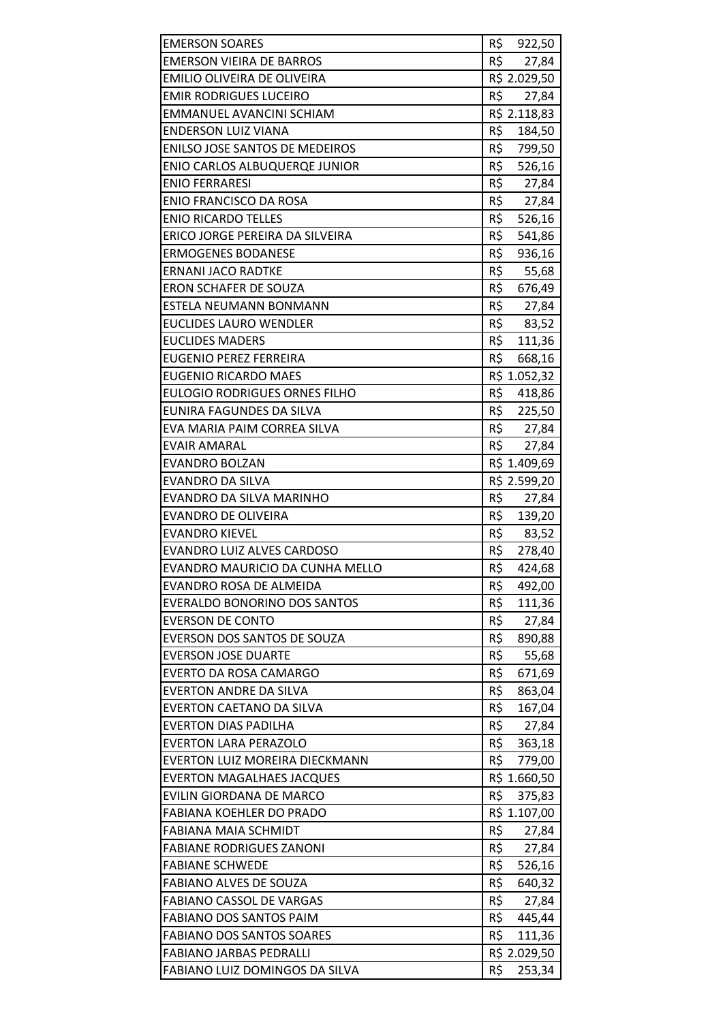| <b>EMERSON SOARES</b>                                   | R\$ 922,50               |
|---------------------------------------------------------|--------------------------|
| <b>EMERSON VIEIRA DE BARROS</b>                         | R\$<br>27,84             |
| EMILIO OLIVEIRA DE OLIVEIRA                             | R\$ 2.029,50             |
| <b>EMIR RODRIGUES LUCEIRO</b>                           | R\$<br>27,84             |
| EMMANUEL AVANCINI SCHIAM                                | R\$ 2.118,83             |
| <b>ENDERSON LUIZ VIANA</b>                              | R\$<br>184,50            |
| ENILSO JOSE SANTOS DE MEDEIROS                          | R\$<br>799,50            |
| <b>ENIO CARLOS ALBUQUERQE JUNIOR</b>                    | R\$<br>526,16            |
| <b>ENIO FERRARESI</b>                                   | $R\overline{S}$<br>27,84 |
| <b>ENIO FRANCISCO DA ROSA</b>                           | R\$ 27,84                |
| <b>ENIO RICARDO TELLES</b>                              | R\$ 526,16               |
| ERICO JORGE PEREIRA DA SILVEIRA                         | R\$<br>541,86            |
| <b>ERMOGENES BODANESE</b>                               | R\$<br>936,16            |
| <b>ERNANI JACO RADTKE</b>                               | R\$<br>55,68             |
| <b>ERON SCHAFER DE SOUZA</b>                            | R\$<br>676,49            |
| ESTELA NEUMANN BONMANN                                  | R\$<br>27,84             |
| <b>EUCLIDES LAURO WENDLER</b>                           | R\$<br>83,52             |
| <b>EUCLIDES MADERS</b>                                  | R\$<br>111,36            |
| <b>EUGENIO PEREZ FERREIRA</b>                           | R\$<br>668,16            |
| <b>EUGENIO RICARDO MAES</b>                             | R\$ 1.052,32             |
| <b>EULOGIO RODRIGUES ORNES FILHO</b>                    | R\$<br>418,86            |
| EUNIRA FAGUNDES DA SILVA                                | R\$<br>225,50            |
| EVA MARIA PAIM CORREA SILVA                             | R\$<br>27,84             |
| <b>EVAIR AMARAL</b>                                     | R\$<br>27,84             |
| <b>EVANDRO BOLZAN</b>                                   | R\$ 1.409,69             |
| <b>EVANDRO DA SILVA</b>                                 | R\$ 2.599,20             |
| EVANDRO DA SILVA MARINHO                                | R\$<br>27,84             |
| <b>EVANDRO DE OLIVEIRA</b>                              | R\$<br>139,20            |
| <b>EVANDRO KIEVEL</b>                                   | R\$<br>83,52             |
| EVANDRO LUIZ ALVES CARDOSO                              | R\$<br>278,40            |
| EVANDRO MAURICIO DA CUNHA MELLO                         | R\$<br>424,68            |
| EVANDRO ROSA DE ALMEIDA                                 | R\$<br>492,00            |
| <b>EVERALDO BONORINO DOS SANTOS</b>                     | R\$<br>111,36            |
| <b>EVERSON DE CONTO</b>                                 | R\$<br>27,84             |
| EVERSON DOS SANTOS DE SOUZA                             | R\$<br>890,88            |
| <b>EVERSON JOSE DUARTE</b>                              | R\$<br>55,68             |
| EVERTO DA ROSA CAMARGO                                  | R\$<br>671,69            |
| EVERTON ANDRE DA SILVA                                  | R\$<br>863,04            |
| <b>EVERTON CAETANO DA SILVA</b>                         | R\$<br>167,04            |
| <b>EVERTON DIAS PADILHA</b>                             | R\$<br>27,84             |
| <b>EVERTON LARA PERAZOLO</b>                            | R\$<br>363,18            |
| EVERTON LUIZ MOREIRA DIECKMANN                          | R\$<br>779,00            |
| <b>EVERTON MAGALHAES JACQUES</b>                        | R\$ 1.660,50             |
| EVILIN GIORDANA DE MARCO                                | R\$<br>375,83            |
| <b>FABIANA KOEHLER DO PRADO</b>                         | R\$ 1.107,00             |
| FABIANA MAIA SCHMIDT                                    | R\$<br>27,84<br>R\$      |
| <b>FABIANE RODRIGUES ZANONI</b>                         | 27,84                    |
| <b>FABIANE SCHWEDE</b><br><b>FABIANO ALVES DE SOUZA</b> | R\$<br>526,16<br>R\$     |
| <b>FABIANO CASSOL DE VARGAS</b>                         | 640,32<br>R\$<br>27,84   |
| <b>FABIANO DOS SANTOS PAIM</b>                          | R\$<br>445,44            |
| <b>FABIANO DOS SANTOS SOARES</b>                        | R\$<br>111,36            |
| <b>FABIANO JARBAS PEDRALLI</b>                          | R\$ 2.029,50             |
| FABIANO LUIZ DOMINGOS DA SILVA                          | R\$<br>253,34            |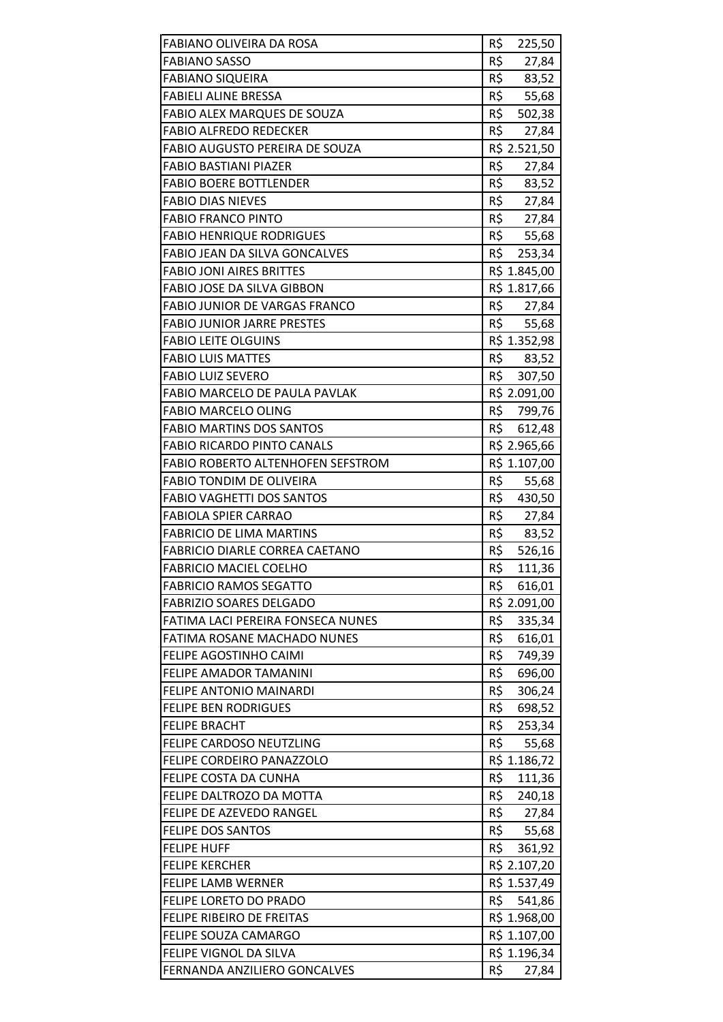| FABIANO OLIVEIRA DA ROSA             | R\$<br>225,50 |
|--------------------------------------|---------------|
| <b>FABIANO SASSO</b>                 | R\$<br>27,84  |
| <b>FABIANO SIQUEIRA</b>              | R\$<br>83,52  |
| <b>FABIELI ALINE BRESSA</b>          | R\$<br>55,68  |
| <b>FABIO ALEX MARQUES DE SOUZA</b>   | R\$<br>502,38 |
| <b>FABIO ALFREDO REDECKER</b>        | R\$ 27,84     |
| FABIO AUGUSTO PEREIRA DE SOUZA       | R\$ 2.521,50  |
| <b>FABIO BASTIANI PIAZER</b>         | R\$<br>27,84  |
| <b>FABIO BOERE BOTTLENDER</b>        | R\$<br>83,52  |
| <b>FABIO DIAS NIEVES</b>             | R\$<br>27,84  |
| <b>FABIO FRANCO PINTO</b>            | R\$ 27,84     |
| <b>FABIO HENRIQUE RODRIGUES</b>      | R\$<br>55,68  |
| <b>FABIO JEAN DA SILVA GONCALVES</b> | R\$<br>253,34 |
| <b>FABIO JONI AIRES BRITTES</b>      | R\$ 1.845,00  |
| <b>FABIO JOSE DA SILVA GIBBON</b>    | R\$ 1.817,66  |
| <b>FABIO JUNIOR DE VARGAS FRANCO</b> | R\$ 27,84     |
| <b>FABIO JUNIOR JARRE PRESTES</b>    | R\$<br>55,68  |
| <b>FABIO LEITE OLGUINS</b>           | R\$ 1.352,98  |
| <b>FABIO LUIS MATTES</b>             | R\$<br>83,52  |
| <b>FABIO LUIZ SEVERO</b>             | R\$ 307,50    |
| FABIO MARCELO DE PAULA PAVLAK        | R\$ 2.091,00  |
| <b>FABIO MARCELO OLING</b>           | R\$ 799,76    |
| <b>FABIO MARTINS DOS SANTOS</b>      | R\$<br>612,48 |
| <b>FABIO RICARDO PINTO CANALS</b>    | R\$ 2.965,66  |
| FABIO ROBERTO ALTENHOFEN SEFSTROM    | R\$ 1.107,00  |
| <b>FABIO TONDIM DE OLIVEIRA</b>      | R\$<br>55,68  |
| <b>FABIO VAGHETTI DOS SANTOS</b>     | R\$<br>430,50 |
| <b>FABIOLA SPIER CARRAO</b>          | R\$<br>27,84  |
| <b>FABRICIO DE LIMA MARTINS</b>      | R\$<br>83,52  |
| FABRICIO DIARLE CORREA CAETANO       | R\$<br>526,16 |
| <b>FABRICIO MACIEL COELHO</b>        | R\$<br>111,36 |
| <b>FABRICIO RAMOS SEGATTO</b>        | R\$<br>616,01 |
| <b>FABRIZIO SOARES DELGADO</b>       | R\$ 2.091,00  |
| FATIMA LACI PEREIRA FONSECA NUNES    | R\$<br>335,34 |
| <b>FATIMA ROSANE MACHADO NUNES</b>   | R\$<br>616,01 |
| FELIPE AGOSTINHO CAIMI               | R\$<br>749,39 |
| <b>FELIPE AMADOR TAMANINI</b>        | R\$<br>696,00 |
| FELIPE ANTONIO MAINARDI              | R\$<br>306,24 |
| <b>FELIPE BEN RODRIGUES</b>          | R\$<br>698,52 |
| <b>FELIPE BRACHT</b>                 | R\$<br>253,34 |
| FELIPE CARDOSO NEUTZLING             | R\$<br>55,68  |
| <b>FELIPE CORDEIRO PANAZZOLO</b>     | R\$ 1.186,72  |
| FELIPE COSTA DA CUNHA                | R\$<br>111,36 |
| FELIPE DALTROZO DA MOTTA             | R\$<br>240,18 |
| FELIPE DE AZEVEDO RANGEL             | R\$<br>27,84  |
| <b>FELIPE DOS SANTOS</b>             | R5<br>55,68   |
| <b>FELIPE HUFF</b>                   | R\$<br>361,92 |
| <b>FELIPE KERCHER</b>                | R\$ 2.107,20  |
| <b>FELIPE LAMB WERNER</b>            | R\$ 1.537,49  |
| <b>FELIPE LORETO DO PRADO</b>        | R\$ 541,86    |
| FELIPE RIBEIRO DE FREITAS            | R\$ 1.968,00  |
| <b>FELIPE SOUZA CAMARGO</b>          | R\$ 1.107,00  |
| FELIPE VIGNOL DA SILVA               | R\$ 1.196,34  |
| FERNANDA ANZILIERO GONCALVES         | R\$<br>27,84  |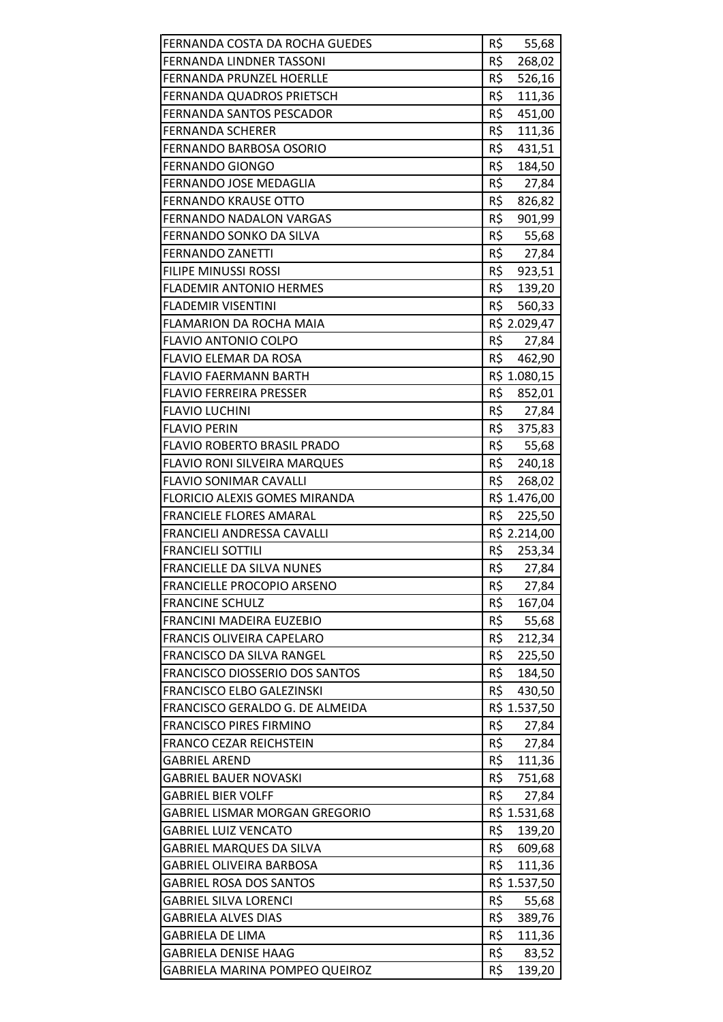| FERNANDA COSTA DA ROCHA GUEDES        | R\$<br>55,68              |
|---------------------------------------|---------------------------|
| FERNANDA LINDNER TASSONI              | R\$<br>268,02             |
| <b>FERNANDA PRUNZEL HOERLLE</b>       | R\$<br>526,16             |
| FERNANDA QUADROS PRIETSCH             | R\$<br>111,36             |
| FERNANDA SANTOS PESCADOR              | R\$<br>451,00             |
| <b>FERNANDA SCHERER</b>               | R\$<br>111,36             |
| FERNANDO BARBOSA OSORIO               | R\$<br>431,51             |
| <b>FERNANDO GIONGO</b>                | R\$<br>184,50             |
| FERNANDO JOSE MEDAGLIA                | R\$<br>27,84              |
| <b>FERNANDO KRAUSE OTTO</b>           | R\$<br>826,82             |
| FERNANDO NADALON VARGAS               | R\$<br>901,99             |
| FERNANDO SONKO DA SILVA               | R\$<br>55,68              |
| <b>FERNANDO ZANETTI</b>               | R\$<br>27,84              |
| <b>FILIPE MINUSSI ROSSI</b>           | R\$<br>923,51             |
| <b>FLADEMIR ANTONIO HERMES</b>        | R\$<br>139,20             |
| <b>FLADEMIR VISENTINI</b>             | R\$<br>560,33             |
| FLAMARION DA ROCHA MAIA               | R\$ 2.029,47              |
| <b>FLAVIO ANTONIO COLPO</b>           | R\$<br>27,84              |
| <b>FLAVIO ELEMAR DA ROSA</b>          | R\$<br>462,90             |
| <b>FLAVIO FAERMANN BARTH</b>          | R\$ 1.080,15              |
| <b>FLAVIO FERREIRA PRESSER</b>        | R\$ 852,01                |
| <b>FLAVIO LUCHINI</b>                 | R\$<br>27,84              |
| <b>FLAVIO PERIN</b>                   | R\$<br>375,83             |
| <b>FLAVIO ROBERTO BRASIL PRADO</b>    | R\$<br>55,68              |
| <b>FLAVIO RONI SILVEIRA MARQUES</b>   | R\$<br>240,18             |
| <b>FLAVIO SONIMAR CAVALLI</b>         | R\$<br>268,02             |
| FLORICIO ALEXIS GOMES MIRANDA         | R\$ 1.476,00              |
| <b>FRANCIELE FLORES AMARAL</b>        | R\$<br>225,50             |
| FRANCIELI ANDRESSA CAVALLI            | R\$ 2.214,00              |
| <b>FRANCIELI SOTTILI</b>              | R\$ 253,34                |
| FRANCIELLE DA SILVA NUNES             | R\$<br>27,84              |
| <b>FRANCIELLE PROCOPIO ARSENO</b>     | R\$<br>27,84              |
| <b>FRANCINE SCHULZ</b>                | R\$<br>167,04             |
| FRANCINI MADEIRA EUZEBIO              | R\$<br>55,68              |
| <b>FRANCIS OLIVEIRA CAPELARO</b>      | R\$<br>212,34             |
| FRANCISCO DA SILVA RANGEL             | R\$<br>225,50             |
| <b>FRANCISCO DIOSSERIO DOS SANTOS</b> | R\$<br>184,50             |
| FRANCISCO ELBO GALEZINSKI             | R\$<br>430,50             |
| FRANCISCO GERALDO G. DE ALMEIDA       | R\$ 1.537,50              |
| <b>FRANCISCO PIRES FIRMINO</b>        | R\$<br>27,84              |
| <b>FRANCO CEZAR REICHSTEIN</b>        | R\$<br>27,84              |
| <b>GABRIEL AREND</b>                  | R\$<br>111,36             |
| <b>GABRIEL BAUER NOVASKI</b>          | R\$<br>751,68             |
| <b>GABRIEL BIER VOLFF</b>             | R\$<br>27,84              |
| <b>GABRIEL LISMAR MORGAN GREGORIO</b> | R\$ 1.531,68              |
| <b>GABRIEL LUIZ VENCATO</b>           | R\$<br>139,20             |
| <b>GABRIEL MARQUES DA SILVA</b>       | R\$<br>609,68             |
| <b>GABRIEL OLIVEIRA BARBOSA</b>       | R\$<br>111,36             |
| <b>GABRIEL ROSA DOS SANTOS</b>        | R\$ 1.537,50              |
| <b>GABRIEL SILVA LORENCI</b>          | R\$<br>55,68              |
| <b>GABRIELA ALVES DIAS</b>            | R\$<br>389,76             |
| <b>GABRIELA DE LIMA</b>               | R\$<br>111,36             |
| <b>GABRIELA DENISE HAAG</b>           | R\$<br>83,52              |
| GABRIELA MARINA POMPEO QUEIROZ        | $R\overline{S}$<br>139,20 |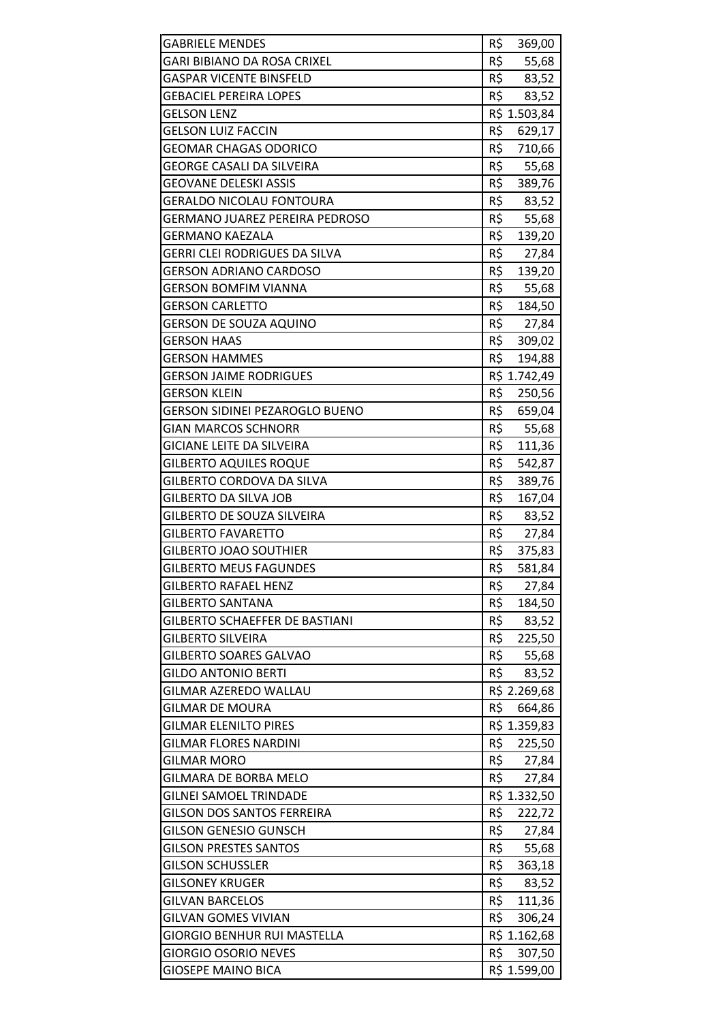| <b>GABRIELE MENDES</b>                | R\$<br>369,00 |
|---------------------------------------|---------------|
| <b>GARI BIBIANO DA ROSA CRIXEL</b>    | R\$<br>55,68  |
| <b>GASPAR VICENTE BINSFELD</b>        | R\$<br>83,52  |
| <b>GEBACIEL PEREIRA LOPES</b>         | R\$<br>83,52  |
| <b>GELSON LENZ</b>                    | R\$ 1.503,84  |
| <b>GELSON LUIZ FACCIN</b>             | R\$<br>629,17 |
| <b>GEOMAR CHAGAS ODORICO</b>          | R\$<br>710,66 |
| <b>GEORGE CASALI DA SILVEIRA</b>      | R\$<br>55,68  |
| <b>GEOVANE DELESKI ASSIS</b>          | R\$<br>389,76 |
| <b>GERALDO NICOLAU FONTOURA</b>       | R\$<br>83,52  |
| <b>GERMANO JUAREZ PEREIRA PEDROSO</b> | R\$<br>55,68  |
| <b>GERMANO KAEZALA</b>                | R\$<br>139,20 |
| <b>GERRI CLEI RODRIGUES DA SILVA</b>  | R\$<br>27,84  |
| <b>GERSON ADRIANO CARDOSO</b>         | R\$<br>139,20 |
| <b>GERSON BOMFIM VIANNA</b>           | R\$<br>55,68  |
| <b>GERSON CARLETTO</b>                | R\$<br>184,50 |
| <b>GERSON DE SOUZA AQUINO</b>         | R\$<br>27,84  |
| <b>GERSON HAAS</b>                    | R\$<br>309,02 |
| <b>GERSON HAMMES</b>                  | R\$<br>194,88 |
| <b>GERSON JAIME RODRIGUES</b>         | R\$ 1.742,49  |
| <b>GERSON KLEIN</b>                   | R\$<br>250,56 |
| <b>GERSON SIDINEI PEZAROGLO BUENO</b> | R\$<br>659,04 |
| <b>GIAN MARCOS SCHNORR</b>            | R\$<br>55,68  |
| <b>GICIANE LEITE DA SILVEIRA</b>      | R\$<br>111,36 |
| <b>GILBERTO AQUILES ROQUE</b>         | R\$<br>542,87 |
| GILBERTO CORDOVA DA SILVA             | R\$<br>389,76 |
| <b>GILBERTO DA SILVA JOB</b>          | R\$<br>167,04 |
| <b>GILBERTO DE SOUZA SILVEIRA</b>     | R\$<br>83,52  |
| <b>GILBERTO FAVARETTO</b>             | R\$<br>27,84  |
| <b>GILBERTO JOAO SOUTHIER</b>         | R\$<br>375,83 |
| <b>GILBERTO MEUS FAGUNDES</b>         | R\$<br>581,84 |
| <b>GILBERTO RAFAEL HENZ</b>           | R\$<br>27,84  |
| <b>GILBERTO SANTANA</b>               | R\$<br>184,50 |
| <b>GILBERTO SCHAEFFER DE BASTIANI</b> | R\$<br>83,52  |
| <b>GILBERTO SILVEIRA</b>              | R\$<br>225,50 |
| <b>GILBERTO SOARES GALVAO</b>         | R\$<br>55,68  |
| <b>GILDO ANTONIO BERTI</b>            | R\$<br>83,52  |
| <b>GILMAR AZEREDO WALLAU</b>          | R\$ 2.269,68  |
| <b>GILMAR DE MOURA</b>                | R\$<br>664,86 |
| <b>GILMAR ELENILTO PIRES</b>          | R\$ 1.359,83  |
| <b>GILMAR FLORES NARDINI</b>          | R\$<br>225,50 |
| <b>GILMAR MORO</b>                    | R\$<br>27,84  |
| <b>GILMARA DE BORBA MELO</b>          | R\$<br>27,84  |
| <b>GILNEI SAMOEL TRINDADE</b>         | R\$ 1.332,50  |
| <b>GILSON DOS SANTOS FERREIRA</b>     | R\$<br>222,72 |
| <b>GILSON GENESIO GUNSCH</b>          | R\$<br>27,84  |
| <b>GILSON PRESTES SANTOS</b>          | R\$<br>55,68  |
| <b>GILSON SCHUSSLER</b>               | R\$<br>363,18 |
| <b>GILSONEY KRUGER</b>                | R\$<br>83,52  |
| <b>GILVAN BARCELOS</b>                | R\$<br>111,36 |
| <b>GILVAN GOMES VIVIAN</b>            | R\$<br>306,24 |
| <b>GIORGIO BENHUR RUI MASTELLA</b>    | R\$ 1.162,68  |
| <b>GIORGIO OSORIO NEVES</b>           | R\$<br>307,50 |
| <b>GIOSEPE MAINO BICA</b>             | R\$ 1.599,00  |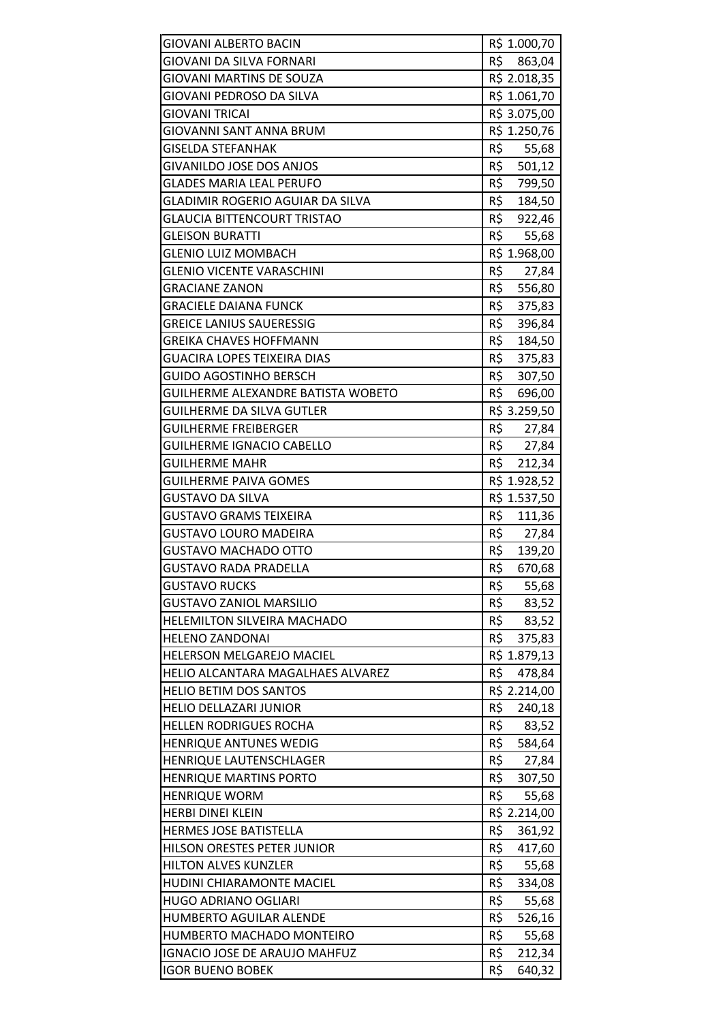| <b>GIOVANI ALBERTO BACIN</b>       | R\$ 1.000,70  |
|------------------------------------|---------------|
| GIOVANI DA SILVA FORNARI           | R\$<br>863,04 |
| GIOVANI MARTINS DE SOUZA           | R\$ 2.018,35  |
| GIOVANI PEDROSO DA SILVA           | R\$ 1.061,70  |
| GIOVANI TRICAI                     | R\$ 3.075,00  |
| <b>GIOVANNI SANT ANNA BRUM</b>     | R\$ 1.250,76  |
| <b>GISELDA STEFANHAK</b>           | R\$<br>55,68  |
| GIVANILDO JOSE DOS ANJOS           | R\$<br>501,12 |
| <b>GLADES MARIA LEAL PERUFO</b>    | R\$<br>799,50 |
| GLADIMIR ROGERIO AGUIAR DA SILVA   | R\$<br>184,50 |
| <b>GLAUCIA BITTENCOURT TRISTAO</b> | R\$ 922,46    |
| <b>GLEISON BURATTI</b>             | R\$<br>55,68  |
| <b>GLENIO LUIZ MOMBACH</b>         | R\$ 1.968,00  |
| <b>GLENIO VICENTE VARASCHINI</b>   | R\$<br>27,84  |
| <b>GRACIANE ZANON</b>              | R\$ 556,80    |
| <b>GRACIELE DAIANA FUNCK</b>       | R\$<br>375,83 |
| <b>GREICE LANIUS SAUERESSIG</b>    | R\$<br>396,84 |
| GREIKA CHAVES HOFFMANN             | R\$<br>184,50 |
| <b>GUACIRA LOPES TEIXEIRA DIAS</b> | R\$<br>375,83 |
| GUIDO AGOSTINHO BERSCH             | R\$<br>307,50 |
| GUILHERME ALEXANDRE BATISTA WOBETO | R\$<br>696,00 |
| GUILHERME DA SILVA GUTLER          | R\$ 3.259,50  |
| GUILHERME FREIBERGER               | R\$<br>27,84  |
| <b>GUILHERME IGNACIO CABELLO</b>   | R\$<br>27,84  |
| <b>GUILHERME MAHR</b>              | R\$<br>212,34 |
| <b>GUILHERME PAIVA GOMES</b>       | R\$ 1.928,52  |
| <b>GUSTAVO DA SILVA</b>            | R\$ 1.537,50  |
| <b>GUSTAVO GRAMS TEIXEIRA</b>      | R\$<br>111,36 |
| <b>GUSTAVO LOURO MADEIRA</b>       | R\$<br>27,84  |
| <b>GUSTAVO MACHADO OTTO</b>        | R\$<br>139,20 |
| GUSTAVO RADA PRADELLA              | R\$<br>670,68 |
| <b>GUSTAVO RUCKS</b>               | R\$<br>55,68  |
| <b>GUSTAVO ZANIOL MARSILIO</b>     | R\$<br>83,52  |
| HELEMILTON SILVEIRA MACHADO        | R\$<br>83,52  |
| <b>HELENO ZANDONAI</b>             | R\$<br>375,83 |
| HELERSON MELGAREJO MACIEL          | R\$ 1.879,13  |
| HELIO ALCANTARA MAGALHAES ALVAREZ  | R\$<br>478,84 |
| <b>HELIO BETIM DOS SANTOS</b>      | R\$ 2.214,00  |
| <b>HELIO DELLAZARI JUNIOR</b>      | R\$<br>240,18 |
| <b>HELLEN RODRIGUES ROCHA</b>      | R\$<br>83,52  |
| <b>HENRIQUE ANTUNES WEDIG</b>      | R\$<br>584,64 |
| HENRIQUE LAUTENSCHLAGER            | R\$<br>27,84  |
| <b>HENRIQUE MARTINS PORTO</b>      | R\$<br>307,50 |
| <b>HENRIQUE WORM</b>               | R\$<br>55,68  |
| <b>HERBI DINEI KLEIN</b>           | R\$ 2.214,00  |
| <b>HERMES JOSE BATISTELLA</b>      | R\$<br>361,92 |
| HILSON ORESTES PETER JUNIOR        | R\$<br>417,60 |
| <b>HILTON ALVES KUNZLER</b>        | R\$<br>55,68  |
| HUDINI CHIARAMONTE MACIEL          | R\$<br>334,08 |
| <b>HUGO ADRIANO OGLIARI</b>        | R\$<br>55,68  |
| <b>HUMBERTO AGUILAR ALENDE</b>     | R\$<br>526,16 |
| HUMBERTO MACHADO MONTEIRO          | R\$<br>55,68  |
| IGNACIO JOSE DE ARAUJO MAHFUZ      | R\$<br>212,34 |
| <b>IGOR BUENO BOBEK</b>            | R\$<br>640,32 |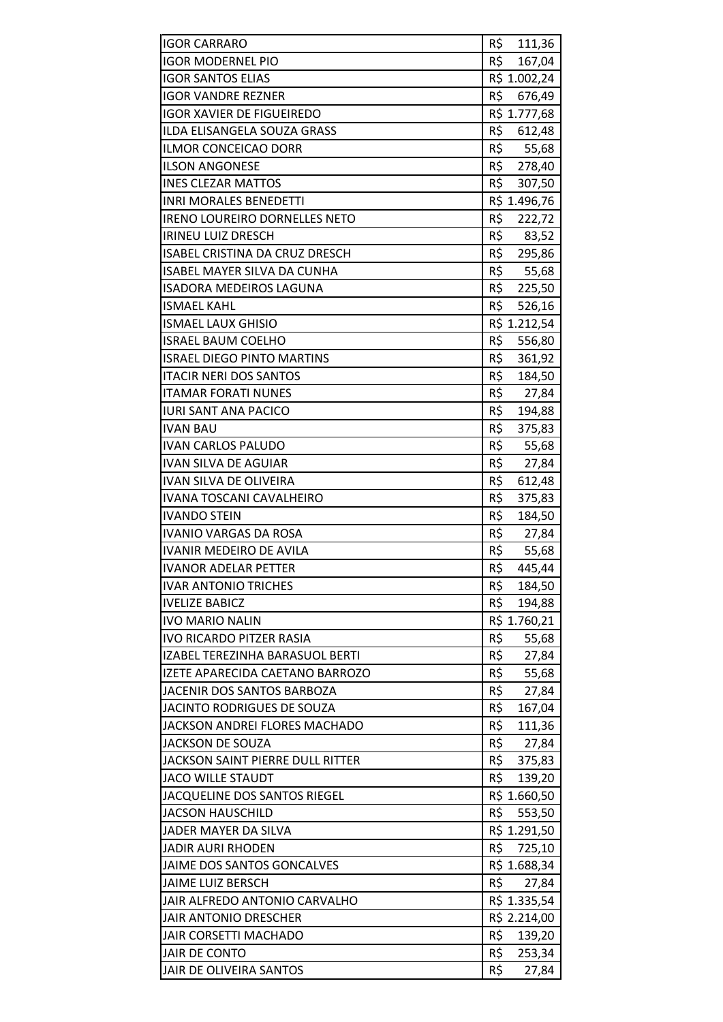| <b>IGOR CARRARO</b>                    | R\$<br>111,36 |
|----------------------------------------|---------------|
| <b>IGOR MODERNEL PIO</b>               | R\$<br>167,04 |
| <b>IGOR SANTOS ELIAS</b>               | R\$ 1.002,24  |
| <b>IGOR VANDRE REZNER</b>              | R\$<br>676,49 |
| <b>IGOR XAVIER DE FIGUEIREDO</b>       | R\$ 1.777,68  |
| ILDA ELISANGELA SOUZA GRASS            | R\$<br>612,48 |
| ILMOR CONCEICAO DORR                   | R\$<br>55,68  |
| <b>ILSON ANGONESE</b>                  | R\$ 278,40    |
| <b>INES CLEZAR MATTOS</b>              | R\$<br>307,50 |
| <b>INRI MORALES BENEDETTI</b>          | R\$ 1.496,76  |
| <b>IRENO LOUREIRO DORNELLES NETO</b>   | R\$<br>222,72 |
| <b>IRINEU LUIZ DRESCH</b>              | R\$<br>83,52  |
| <b>ISABEL CRISTINA DA CRUZ DRESCH</b>  | R\$<br>295,86 |
| <b>ISABEL MAYER SILVA DA CUNHA</b>     | R\$<br>55,68  |
| <b>ISADORA MEDEIROS LAGUNA</b>         | R\$<br>225,50 |
| <b>ISMAEL KAHL</b>                     | R\$ 526,16    |
| <b>ISMAEL LAUX GHISIO</b>              | R\$ 1.212,54  |
| <b>ISRAEL BAUM COELHO</b>              | R\$<br>556,80 |
| <b>ISRAEL DIEGO PINTO MARTINS</b>      | R\$<br>361,92 |
| <b>ITACIR NERI DOS SANTOS</b>          | R\$<br>184,50 |
| <b>ITAMAR FORATI NUNES</b>             | R\$ 27,84     |
| <b>IURI SANT ANA PACICO</b>            | R\$<br>194,88 |
| <b>IVAN BAU</b>                        | R\$<br>375,83 |
| <b>IVAN CARLOS PALUDO</b>              | R\$<br>55,68  |
| <b>IVAN SILVA DE AGUIAR</b>            | R\$<br>27,84  |
| <b>IVAN SILVA DE OLIVEIRA</b>          | R\$<br>612,48 |
| <b>IVANA TOSCANI CAVALHEIRO</b>        | R\$<br>375,83 |
| <b>IVANDO STEIN</b>                    | R\$<br>184,50 |
| <b>IVANIO VARGAS DA ROSA</b>           | R\$<br>27,84  |
| <b>IVANIR MEDEIRO DE AVILA</b>         | R\$<br>55,68  |
| <b>IVANOR ADELAR PETTER</b>            | R\$<br>445,44 |
| <b>IVAR ANTONIO TRICHES</b>            | R\$<br>184,50 |
| <b>IVELIZE BABICZ</b>                  | R\$<br>194,88 |
| <b>IVO MARIO NALIN</b>                 | R\$ 1.760,21  |
| <b>IVO RICARDO PITZER RASIA</b>        | R\$<br>55,68  |
| <b>IZABEL TEREZINHA BARASUOL BERTI</b> | R\$<br>27,84  |
| IZETE APARECIDA CAETANO BARROZO        | R\$<br>55,68  |
| JACENIR DOS SANTOS BARBOZA             | R\$<br>27,84  |
| JACINTO RODRIGUES DE SOUZA             | R\$<br>167,04 |
| JACKSON ANDREI FLORES MACHADO          | R\$<br>111,36 |
| <b>JACKSON DE SOUZA</b>                | R\$<br>27,84  |
| JACKSON SAINT PIERRE DULL RITTER       | R\$<br>375,83 |
| <b>JACO WILLE STAUDT</b>               | R\$<br>139,20 |
| JACQUELINE DOS SANTOS RIEGEL           | R\$ 1.660,50  |
| <b>JACSON HAUSCHILD</b>                | R\$<br>553,50 |
| JADER MAYER DA SILVA                   | R\$ 1.291,50  |
| <b>JADIR AURI RHODEN</b>               | R\$<br>725,10 |
| JAIME DOS SANTOS GONCALVES             | R\$ 1.688,34  |
| JAIME LUIZ BERSCH                      | R\$<br>27,84  |
| JAIR ALFREDO ANTONIO CARVALHO          | R\$ 1.335,54  |
| <b>JAIR ANTONIO DRESCHER</b>           | R\$ 2.214,00  |
| <b>JAIR CORSETTI MACHADO</b>           | R\$<br>139,20 |
| JAIR DE CONTO                          | R\$<br>253,34 |
| JAIR DE OLIVEIRA SANTOS                | R\$<br>27,84  |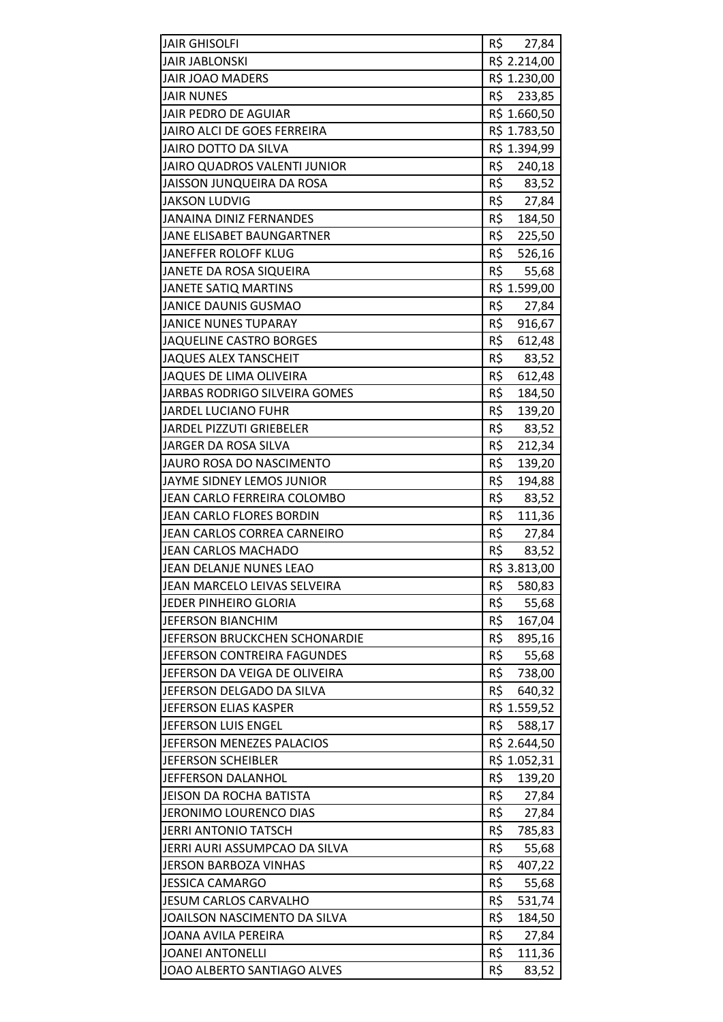| <b>JAIR GHISOLFI</b>               | R\$ 27,84     |
|------------------------------------|---------------|
| <b>JAIR JABLONSKI</b>              | R\$ 2.214,00  |
| <b>JAIR JOAO MADERS</b>            | R\$ 1.230,00  |
| <b>JAIR NUNES</b>                  | R\$<br>233,85 |
| JAIR PEDRO DE AGUIAR               | R\$ 1.660,50  |
| JAIRO ALCI DE GOES FERREIRA        | R\$ 1.783,50  |
| <b>JAIRO DOTTO DA SILVA</b>        | R\$ 1.394,99  |
| JAIRO QUADROS VALENTI JUNIOR       | R\$<br>240,18 |
| JAISSON JUNQUEIRA DA ROSA          | R\$<br>83,52  |
| <b>JAKSON LUDVIG</b>               | R\$ 27,84     |
| <b>JANAINA DINIZ FERNANDES</b>     | R\$<br>184,50 |
| JANE ELISABET BAUNGARTNER          | R\$<br>225,50 |
| JANEFFER ROLOFF KLUG               | R\$<br>526,16 |
| JANETE DA ROSA SIQUEIRA            | R\$<br>55,68  |
| <b>JANETE SATIQ MARTINS</b>        | R\$ 1.599,00  |
| <b>JANICE DAUNIS GUSMAO</b>        | R\$           |
| <b>JANICE NUNES TUPARAY</b>        | 27,84<br>R\$  |
|                                    | 916,67        |
| <b>JAQUELINE CASTRO BORGES</b>     | R\$<br>612,48 |
| <b>JAQUES ALEX TANSCHEIT</b>       | R\$<br>83,52  |
| JAQUES DE LIMA OLIVEIRA            | R\$<br>612,48 |
| JARBAS RODRIGO SILVEIRA GOMES      | R\$<br>184,50 |
| <b>JARDEL LUCIANO FUHR</b>         | R\$<br>139,20 |
| JARDEL PIZZUTI GRIEBELER           | R\$<br>83,52  |
| JARGER DA ROSA SILVA               | R\$<br>212,34 |
| <b>JAURO ROSA DO NASCIMENTO</b>    | R\$<br>139,20 |
| JAYME SIDNEY LEMOS JUNIOR          | R\$<br>194,88 |
| JEAN CARLO FERREIRA COLOMBO        | R\$<br>83,52  |
| JEAN CARLO FLORES BORDIN           | R\$<br>111,36 |
| <b>JEAN CARLOS CORREA CARNEIRO</b> | R\$<br>27,84  |
| <b>JEAN CARLOS MACHADO</b>         | R\$<br>83,52  |
| JEAN DELANJE NUNES LEAO            | R\$ 3.813,00  |
| JEAN MARCELO LEIVAS SELVEIRA       | R\$<br>580,83 |
| JEDER PINHEIRO GLORIA              | R\$<br>55,68  |
| <b>JEFERSON BIANCHIM</b>           | R\$<br>167,04 |
| JEFERSON BRUCKCHEN SCHONARDIE      | R\$<br>895,16 |
| JEFERSON CONTREIRA FAGUNDES        | R\$<br>55,68  |
| JEFERSON DA VEIGA DE OLIVEIRA      | R\$<br>738,00 |
| JEFERSON DELGADO DA SILVA          | R\$<br>640,32 |
| JEFERSON ELIAS KASPER              | R\$ 1.559,52  |
| JEFERSON LUIS ENGEL                | R\$<br>588,17 |
| JEFERSON MENEZES PALACIOS          | R\$ 2.644,50  |
| <b>JEFERSON SCHEIBLER</b>          | R\$ 1.052,31  |
| JEFFERSON DALANHOL                 | R\$<br>139,20 |
| JEISON DA ROCHA BATISTA            | R\$<br>27,84  |
| JERONIMO LOURENCO DIAS             | R\$<br>27,84  |
| <b>JERRI ANTONIO TATSCH</b>        | R\$<br>785,83 |
| JERRI AURI ASSUMPCAO DA SILVA      | R\$<br>55,68  |
| <b>JERSON BARBOZA VINHAS</b>       | R\$<br>407,22 |
| <b>JESSICA CAMARGO</b>             | R\$<br>55,68  |
| <b>JESUM CARLOS CARVALHO</b>       | R\$<br>531,74 |
| JOAILSON NASCIMENTO DA SILVA       | R\$<br>184,50 |
|                                    |               |
| JOANA AVILA PEREIRA                | R\$<br>27,84  |
| <b>JOANEI ANTONELLI</b>            | R\$<br>111,36 |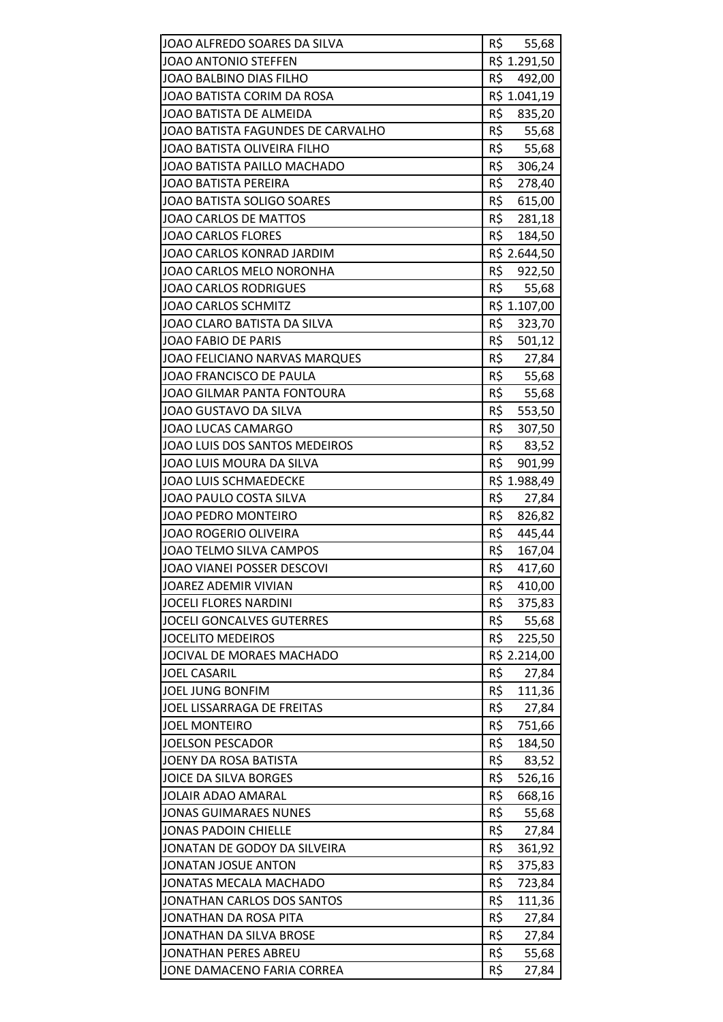| JOAO ALFREDO SOARES DA SILVA      | R\$ 55,68     |
|-----------------------------------|---------------|
| JOAO ANTONIO STEFFEN              | R\$ 1.291,50  |
| <b>JOAO BALBINO DIAS FILHO</b>    | R\$<br>492,00 |
| JOAO BATISTA CORIM DA ROSA        | R\$ 1.041,19  |
| JOAO BATISTA DE ALMEIDA           | R\$<br>835,20 |
| JOAO BATISTA FAGUNDES DE CARVALHO | R\$ 55,68     |
| JOAO BATISTA OLIVEIRA FILHO       | R\$<br>55,68  |
| JOAO BATISTA PAILLO MACHADO       | R\$<br>306,24 |
| <b>JOAO BATISTA PEREIRA</b>       | R\$<br>278,40 |
| JOAO BATISTA SOLIGO SOARES        | R\$<br>615,00 |
| JOAO CARLOS DE MATTOS             | R\$ 281,18    |
| <b>JOAO CARLOS FLORES</b>         | R\$<br>184,50 |
| JOAO CARLOS KONRAD JARDIM         | R\$ 2.644,50  |
| JOAO CARLOS MELO NORONHA          | R\$<br>922,50 |
| <b>JOAO CARLOS RODRIGUES</b>      | R\$<br>55,68  |
| <b>JOAO CARLOS SCHMITZ</b>        | R\$ 1.107,00  |
| JOAO CLARO BATISTA DA SILVA       | R\$<br>323,70 |
| JOAO FABIO DE PARIS               | R\$<br>501,12 |
| JOAO FELICIANO NARVAS MARQUES     | R\$<br>27,84  |
| JOAO FRANCISCO DE PAULA           | R\$ 55,68     |
| JOAO GILMAR PANTA FONTOURA        | R\$ 55,68     |
| JOAO GUSTAVO DA SILVA             | R\$<br>553,50 |
| JOAO LUCAS CAMARGO                | R\$<br>307,50 |
| JOAO LUIS DOS SANTOS MEDEIROS     | R\$<br>83,52  |
| JOAO LUIS MOURA DA SILVA          | R\$<br>901,99 |
| <b>JOAO LUIS SCHMAEDECKE</b>      | R\$ 1.988,49  |
| JOAO PAULO COSTA SILVA            | R\$<br>27,84  |
| JOAO PEDRO MONTEIRO               | R\$<br>826,82 |
| <b>JOAO ROGERIO OLIVEIRA</b>      | R\$<br>445,44 |
| JOAO TELMO SILVA CAMPOS           | R\$<br>167,04 |
| JOAO VIANEI POSSER DESCOVI        | R\$<br>417,60 |
| JOAREZ ADEMIR VIVIAN              | R\$<br>410,00 |
| <b>JOCELI FLORES NARDINI</b>      | R\$<br>375,83 |
| <b>JOCELI GONCALVES GUTERRES</b>  | R\$<br>55,68  |
| <b>JOCELITO MEDEIROS</b>          | R\$<br>225,50 |
| JOCIVAL DE MORAES MACHADO         | R\$ 2.214,00  |
| <b>JOEL CASARIL</b>               | R\$<br>27,84  |
| <b>JOEL JUNG BONFIM</b>           | R\$<br>111,36 |
| JOEL LISSARRAGA DE FREITAS        | R\$<br>27,84  |
| <b>JOEL MONTEIRO</b>              | R\$<br>751,66 |
| <b>JOELSON PESCADOR</b>           | R\$<br>184,50 |
| JOENY DA ROSA BATISTA             | R\$<br>83,52  |
| <b>JOICE DA SILVA BORGES</b>      | R\$<br>526,16 |
| <b>JOLAIR ADAO AMARAL</b>         | R\$<br>668,16 |
| <b>JONAS GUIMARAES NUNES</b>      | R\$<br>55,68  |
| <b>JONAS PADOIN CHIELLE</b>       | R\$<br>27,84  |
| JONATAN DE GODOY DA SILVEIRA      | R\$<br>361,92 |
| <b>JONATAN JOSUE ANTON</b>        | R\$<br>375,83 |
| JONATAS MECALA MACHADO            | R\$<br>723,84 |
| JONATHAN CARLOS DOS SANTOS        | R\$<br>111,36 |
| JONATHAN DA ROSA PITA             | R\$<br>27,84  |
| JONATHAN DA SILVA BROSE           | R\$<br>27,84  |
| <b>JONATHAN PERES ABREU</b>       | R\$<br>55,68  |
| JONE DAMACENO FARIA CORREA        | R\$<br>27,84  |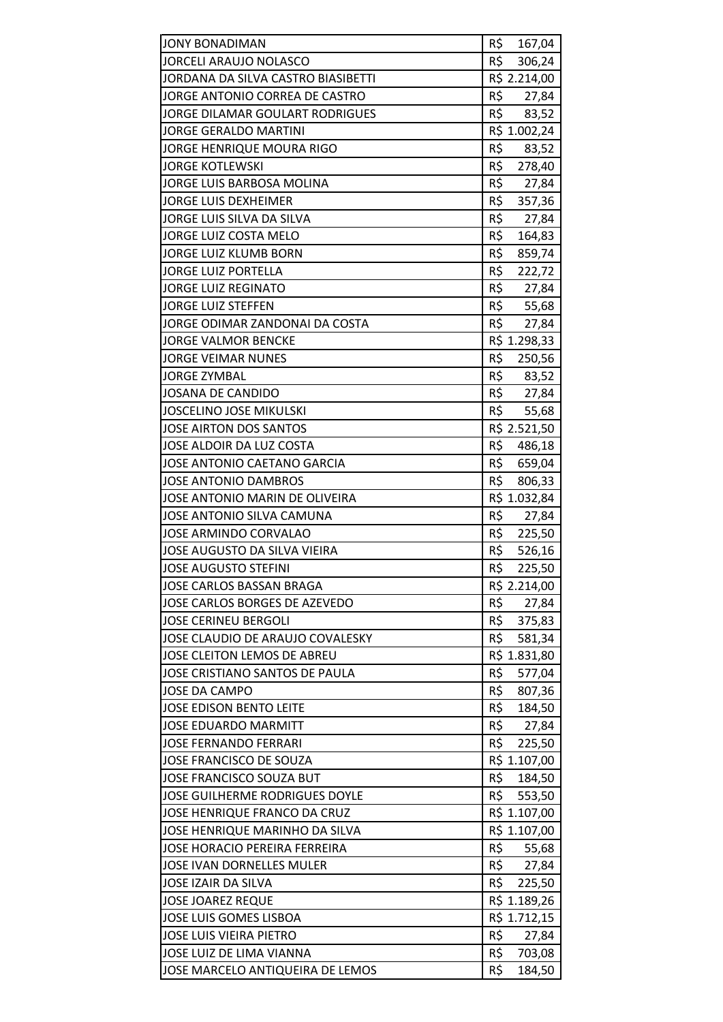| <b>JONY BONADIMAN</b>                | R\$<br>167,04 |
|--------------------------------------|---------------|
| <b>JORCELI ARAUJO NOLASCO</b>        | R\$<br>306,24 |
| JORDANA DA SILVA CASTRO BIASIBETTI   | R\$ 2.214,00  |
| JORGE ANTONIO CORREA DE CASTRO       | R\$<br>27,84  |
| JORGE DILAMAR GOULART RODRIGUES      | R\$ 83,52     |
| <b>JORGE GERALDO MARTINI</b>         | R\$ 1.002,24  |
| <b>JORGE HENRIQUE MOURA RIGO</b>     | R\$<br>83,52  |
| <b>JORGE KOTLEWSKI</b>               | R\$<br>278,40 |
| JORGE LUIS BARBOSA MOLINA            | R\$<br>27,84  |
| <b>JORGE LUIS DEXHEIMER</b>          | R\$<br>357,36 |
| JORGE LUIS SILVA DA SILVA            | R\$<br>27,84  |
| JORGE LUIZ COSTA MELO                | R\$<br>164,83 |
| <b>JORGE LUIZ KLUMB BORN</b>         | R\$<br>859,74 |
| <b>JORGE LUIZ PORTELLA</b>           | R\$<br>222,72 |
| <b>JORGE LUIZ REGINATO</b>           | R\$ 27,84     |
| <b>JORGE LUIZ STEFFEN</b>            | R\$ 55,68     |
| JORGE ODIMAR ZANDONAI DA COSTA       | R\$<br>27,84  |
| <b>JORGE VALMOR BENCKE</b>           | R\$ 1.298,33  |
| <b>JORGE VEIMAR NUNES</b>            | R\$<br>250,56 |
| <b>JORGE ZYMBAL</b>                  | R\$ 83,52     |
| <b>JOSANA DE CANDIDO</b>             | R\$<br>27,84  |
| <b>JOSCELINO JOSE MIKULSKI</b>       | R\$<br>55,68  |
| JOSE AIRTON DOS SANTOS               | R\$ 2.521,50  |
| JOSE ALDOIR DA LUZ COSTA             | R\$<br>486,18 |
| JOSE ANTONIO CAETANO GARCIA          | R\$<br>659,04 |
| <b>JOSE ANTONIO DAMBROS</b>          | R\$<br>806,33 |
| JOSE ANTONIO MARIN DE OLIVEIRA       | R\$ 1.032,84  |
| JOSE ANTONIO SILVA CAMUNA            | R\$<br>27,84  |
| JOSE ARMINDO CORVALAO                | R\$<br>225,50 |
| JOSE AUGUSTO DA SILVA VIEIRA         | R\$<br>526,16 |
| <b>JOSE AUGUSTO STEFINI</b>          | R\$<br>225,50 |
| JOSE CARLOS BASSAN BRAGA             | R\$ 2.214,00  |
| JOSE CARLOS BORGES DE AZEVEDO        | R\$<br>27,84  |
| <b>JOSE CERINEU BERGOLI</b>          | R\$<br>375,83 |
| JOSE CLAUDIO DE ARAUJO COVALESKY     | R\$<br>581,34 |
| JOSE CLEITON LEMOS DE ABREU          | R\$ 1.831,80  |
| JOSE CRISTIANO SANTOS DE PAULA       | R\$<br>577,04 |
| <b>JOSE DA CAMPO</b>                 | R\$<br>807,36 |
| <b>JOSE EDISON BENTO LEITE</b>       | R\$<br>184,50 |
| <b>JOSE EDUARDO MARMITT</b>          | R\$<br>27,84  |
| <b>JOSE FERNANDO FERRARI</b>         | R\$<br>225,50 |
| JOSE FRANCISCO DE SOUZA              | R\$ 1.107,00  |
| <b>JOSE FRANCISCO SOUZA BUT</b>      | R\$<br>184,50 |
| JOSE GUILHERME RODRIGUES DOYLE       | R\$<br>553,50 |
| <b>JOSE HENRIQUE FRANCO DA CRUZ</b>  | R\$ 1.107,00  |
| JOSE HENRIQUE MARINHO DA SILVA       | R\$ 1.107,00  |
| <b>JOSE HORACIO PEREIRA FERREIRA</b> | R\$<br>55,68  |
| <b>JOSE IVAN DORNELLES MULER</b>     | R\$<br>27,84  |
| JOSE IZAIR DA SILVA                  | R\$<br>225,50 |
| <b>JOSE JOAREZ REQUE</b>             | R\$ 1.189,26  |
| JOSE LUIS GOMES LISBOA               | R\$ 1.712,15  |
| <b>JOSE LUIS VIEIRA PIETRO</b>       | R\$<br>27,84  |
| JOSE LUIZ DE LIMA VIANNA             | R\$<br>703,08 |
| JOSE MARCELO ANTIQUEIRA DE LEMOS     | R\$<br>184,50 |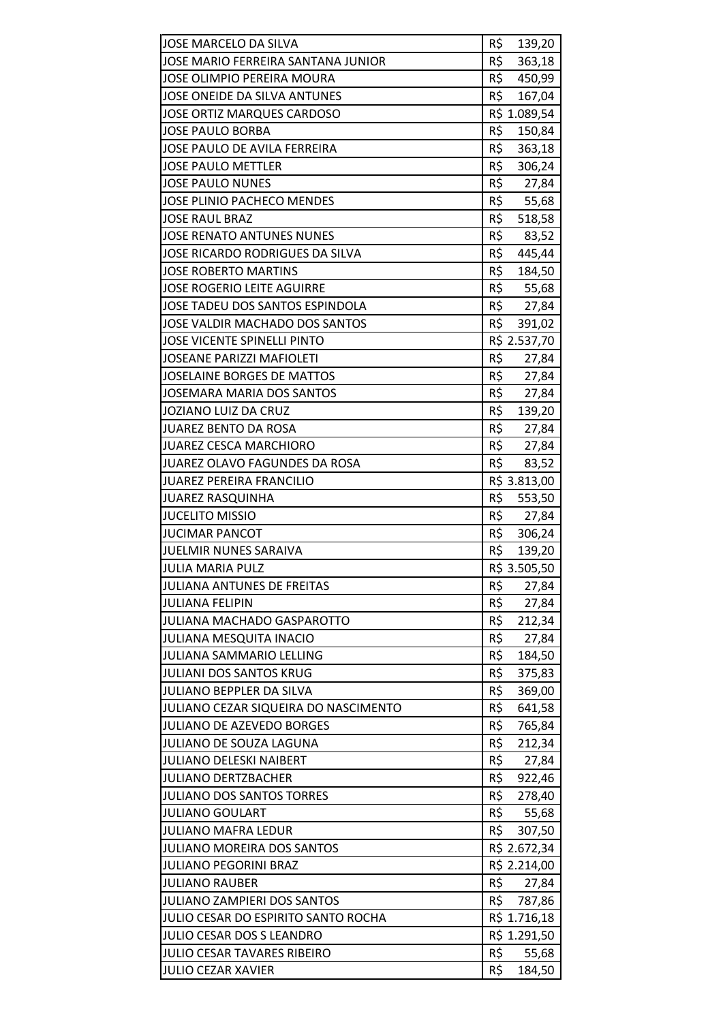| JOSE MARCELO DA SILVA                | R\$<br>139,20 |
|--------------------------------------|---------------|
| JOSE MARIO FERREIRA SANTANA JUNIOR   | R\$<br>363,18 |
| <b>JOSE OLIMPIO PEREIRA MOURA</b>    | R\$<br>450,99 |
| JOSE ONEIDE DA SILVA ANTUNES         | R\$<br>167,04 |
| <b>JOSE ORTIZ MARQUES CARDOSO</b>    | R\$ 1.089,54  |
| <b>JOSE PAULO BORBA</b>              | R\$<br>150,84 |
| JOSE PAULO DE AVILA FERREIRA         | R\$<br>363,18 |
| <b>JOSE PAULO METTLER</b>            | R\$<br>306,24 |
| <b>JOSE PAULO NUNES</b>              | R\$<br>27,84  |
| <b>JOSE PLINIO PACHECO MENDES</b>    | R\$<br>55,68  |
| <b>JOSE RAUL BRAZ</b>                | R\$ 518,58    |
| <b>JOSE RENATO ANTUNES NUNES</b>     | R\$<br>83,52  |
| JOSE RICARDO RODRIGUES DA SILVA      | R\$<br>445,44 |
| <b>JOSE ROBERTO MARTINS</b>          | R\$<br>184,50 |
| <b>JOSE ROGERIO LEITE AGUIRRE</b>    | R\$ 55,68     |
| JOSE TADEU DOS SANTOS ESPINDOLA      | R\$<br>27,84  |
| JOSE VALDIR MACHADO DOS SANTOS       | R\$<br>391,02 |
| <b>JOSE VICENTE SPINELLI PINTO</b>   | R\$ 2.537,70  |
| <b>JOSEANE PARIZZI MAFIOLETI</b>     | R\$<br>27,84  |
| <b>JOSELAINE BORGES DE MATTOS</b>    | R\$<br>27,84  |
| <b>JOSEMARA MARIA DOS SANTOS</b>     | R\$<br>27,84  |
| <b>JOZIANO LUIZ DA CRUZ</b>          | R\$<br>139,20 |
| JUAREZ BENTO DA ROSA                 | R\$<br>27,84  |
| <b>JUAREZ CESCA MARCHIORO</b>        | R\$<br>27,84  |
| JUAREZ OLAVO FAGUNDES DA ROSA        | R\$<br>83,52  |
| <b>JUAREZ PEREIRA FRANCILIO</b>      | R\$ 3.813,00  |
| <b>JUAREZ RASQUINHA</b>              | R\$<br>553,50 |
| <b>JUCELITO MISSIO</b>               | R\$<br>27,84  |
| <b>JUCIMAR PANCOT</b>                | R\$<br>306,24 |
| <b>JUELMIR NUNES SARAIVA</b>         | R\$<br>139,20 |
| <b>JULIA MARIA PULZ</b>              | R\$ 3.505,50  |
| JULIANA ANTUNES DE FREITAS           | R\$<br>27,84  |
| <b>JULIANA FELIPIN</b>               | R\$<br>27,84  |
| JULIANA MACHADO GASPAROTTO           | R\$<br>212,34 |
| <b>JULIANA MESQUITA INACIO</b>       | R\$<br>27,84  |
| <b>JULIANA SAMMARIO LELLING</b>      | R\$<br>184,50 |
| <b>JULIANI DOS SANTOS KRUG</b>       | R\$<br>375,83 |
| JULIANO BEPPLER DA SILVA             | R\$<br>369,00 |
| JULIANO CEZAR SIQUEIRA DO NASCIMENTO | R\$<br>641,58 |
| <b>JULIANO DE AZEVEDO BORGES</b>     | R\$<br>765,84 |
| JULIANO DE SOUZA LAGUNA              | R\$<br>212,34 |
| <b>JULIANO DELESKI NAIBERT</b>       | R\$<br>27,84  |
| <b>JULIANO DERTZBACHER</b>           | R\$<br>922,46 |
| <b>JULIANO DOS SANTOS TORRES</b>     | R\$<br>278,40 |
| <b>JULIANO GOULART</b>               | R\$<br>55,68  |
| <b>JULIANO MAFRA LEDUR</b>           | R\$<br>307,50 |
| <b>JULIANO MOREIRA DOS SANTOS</b>    | R\$ 2.672,34  |
| <b>JULIANO PEGORINI BRAZ</b>         | R\$ 2.214,00  |
| <b>JULIANO RAUBER</b>                | R\$<br>27,84  |
| <b>JULIANO ZAMPIERI DOS SANTOS</b>   | R\$<br>787,86 |
| JULIO CESAR DO ESPIRITO SANTO ROCHA  | R\$ 1.716,18  |
| <b>JULIO CESAR DOS S LEANDRO</b>     | R\$ 1.291,50  |
| <b>JULIO CESAR TAVARES RIBEIRO</b>   | R\$<br>55,68  |
| <b>JULIO CEZAR XAVIER</b>            | R\$<br>184,50 |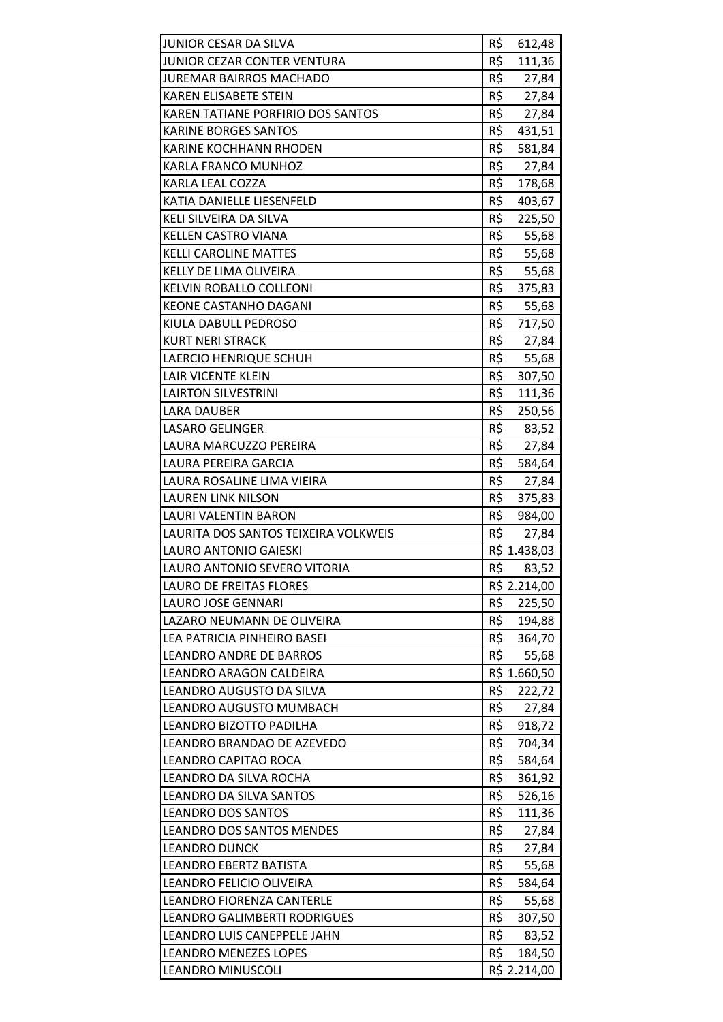| JUNIOR CESAR DA SILVA                                    | R\$<br>612,48                 |
|----------------------------------------------------------|-------------------------------|
| JUNIOR CEZAR CONTER VENTURA                              | R\$<br>111,36                 |
| <b>JUREMAR BAIRROS MACHADO</b>                           | R\$<br>27,84                  |
| <b>KAREN ELISABETE STEIN</b>                             | R\$<br>27,84                  |
| KAREN TATIANE PORFIRIO DOS SANTOS                        | R\$<br>27,84                  |
| <b>KARINE BORGES SANTOS</b>                              | R\$<br>431,51                 |
| KARINE KOCHHANN RHODEN                                   | R\$<br>581,84                 |
| KARLA FRANCO MUNHOZ                                      | R\$<br>27,84                  |
| KARLA LEAL COZZA                                         | R\$<br>178,68                 |
| KATIA DANIELLE LIESENFELD                                | R\$<br>403,67                 |
| KELI SILVEIRA DA SILVA                                   | R\$<br>225,50                 |
| KELLEN CASTRO VIANA                                      | R\$<br>55,68                  |
| <b>KELLI CAROLINE MATTES</b>                             | R\$<br>55,68                  |
| KELLY DE LIMA OLIVEIRA                                   | R\$<br>55,68                  |
| <b>KELVIN ROBALLO COLLEONI</b>                           | R\$<br>375,83                 |
| <b>KEONE CASTANHO DAGANI</b>                             | R\$<br>55,68                  |
| KIULA DABULL PEDROSO                                     | R\$<br>717,50                 |
| <b>KURT NERI STRACK</b>                                  | R\$<br>27,84                  |
| LAERCIO HENRIQUE SCHUH                                   | R\$<br>55,68                  |
| LAIR VICENTE KLEIN                                       | R\$<br>307,50                 |
| <b>LAIRTON SILVESTRINI</b>                               | R\$<br>111,36                 |
| <b>LARA DAUBER</b>                                       | R\$<br>250,56                 |
| <b>LASARO GELINGER</b>                                   | R\$<br>83,52                  |
| LAURA MARCUZZO PEREIRA                                   | R\$<br>27,84                  |
| LAURA PEREIRA GARCIA                                     | R\$<br>584,64                 |
| LAURA ROSALINE LIMA VIEIRA                               | R\$<br>27,84                  |
| <b>LAUREN LINK NILSON</b>                                | R\$<br>375,83                 |
| LAURI VALENTIN BARON                                     | R\$<br>984,00                 |
| LAURITA DOS SANTOS TEIXEIRA VOLKWEIS                     | R\$<br>27,84                  |
| LAURO ANTONIO GAIESKI                                    | R\$ 1.438,03                  |
|                                                          |                               |
| LAURO ANTONIO SEVERO VITORIA                             | R\$<br>83,52                  |
| <b>LAURO DE FREITAS FLORES</b>                           | R\$ 2.214,00                  |
| <b>LAURO JOSE GENNARI</b>                                | R\$<br>225,50                 |
| LAZARO NEUMANN DE OLIVEIRA                               | R\$<br>194,88                 |
| LEA PATRICIA PINHEIRO BASEI                              | R\$<br>364,70                 |
| LEANDRO ANDRE DE BARROS                                  | R\$<br>55,68                  |
| LEANDRO ARAGON CALDEIRA                                  | R\$ 1.660,50                  |
| LEANDRO AUGUSTO DA SILVA                                 | R\$<br>222,72                 |
| LEANDRO AUGUSTO MUMBACH                                  | R\$<br>27,84                  |
| LEANDRO BIZOTTO PADILHA                                  | R\$<br>918,72                 |
| LEANDRO BRANDAO DE AZEVEDO                               | R\$<br>704,34                 |
| LEANDRO CAPITAO ROCA                                     | R\$<br>584,64                 |
| LEANDRO DA SILVA ROCHA                                   | R\$<br>361,92                 |
| LEANDRO DA SILVA SANTOS                                  | R\$<br>526,16                 |
| <b>LEANDRO DOS SANTOS</b>                                | R\$<br>111,36                 |
| <b>LEANDRO DOS SANTOS MENDES</b>                         | R\$<br>27,84                  |
| <b>LEANDRO DUNCK</b>                                     | R\$<br>27,84                  |
| <b>LEANDRO EBERTZ BATISTA</b>                            | R\$<br>55,68                  |
| LEANDRO FELICIO OLIVEIRA                                 | R\$<br>584,64                 |
| <b>LEANDRO FIORENZA CANTERLE</b>                         | R\$<br>55,68                  |
| LEANDRO GALIMBERTI RODRIGUES                             | R\$<br>307,50                 |
| LEANDRO LUIS CANEPPELE JAHN                              | R\$<br>83,52                  |
| <b>LEANDRO MENEZES LOPES</b><br><b>LEANDRO MINUSCOLI</b> | R\$<br>184,50<br>R\$ 2.214,00 |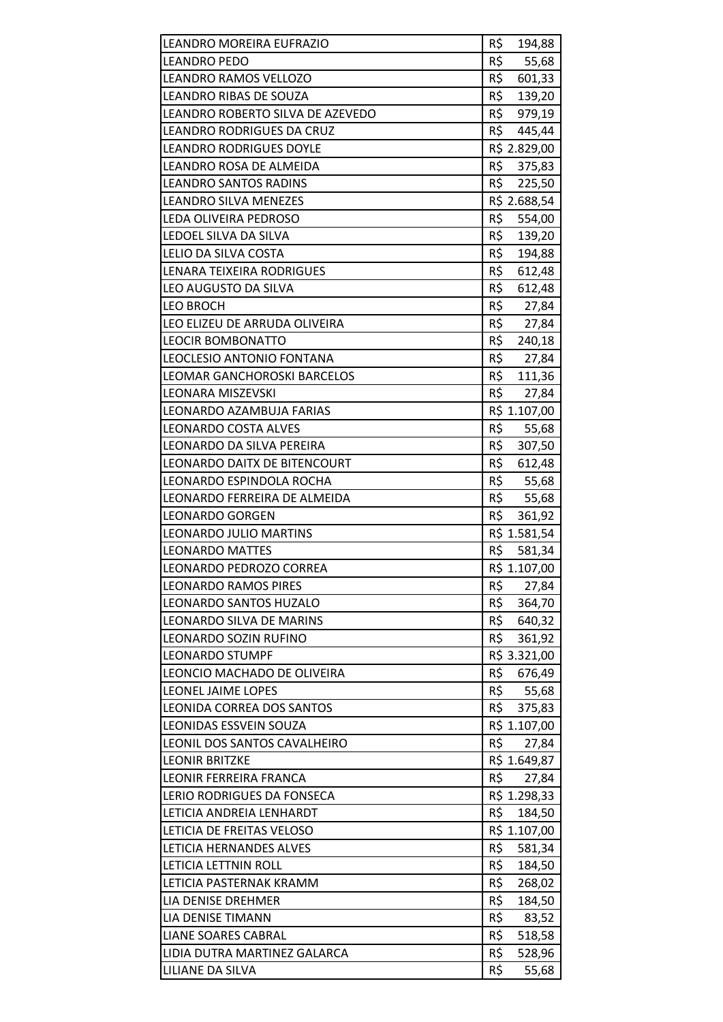| LEANDRO MOREIRA EUFRAZIO                         | R\$<br>194,88                 |
|--------------------------------------------------|-------------------------------|
| <b>LEANDRO PEDO</b>                              | R\$<br>55,68                  |
| <b>LEANDRO RAMOS VELLOZO</b>                     | R\$<br>601,33                 |
| <b>LEANDRO RIBAS DE SOUZA</b>                    | R\$<br>139,20                 |
| LEANDRO ROBERTO SILVA DE AZEVEDO                 | R\$<br>979,19                 |
| LEANDRO RODRIGUES DA CRUZ                        | R\$<br>445,44                 |
| <b>LEANDRO RODRIGUES DOYLE</b>                   | R\$ 2.829,00                  |
| LEANDRO ROSA DE ALMEIDA                          | R\$ 375,83                    |
| <b>LEANDRO SANTOS RADINS</b>                     | R\$<br>225,50                 |
| <b>LEANDRO SILVA MENEZES</b>                     | R\$ 2.688,54                  |
| LEDA OLIVEIRA PEDROSO                            | R\$ 554,00                    |
| LEDOEL SILVA DA SILVA                            | R\$<br>139,20                 |
| LELIO DA SILVA COSTA                             | R\$<br>194,88                 |
| <b>LENARA TEIXEIRA RODRIGUES</b>                 | R\$<br>612,48                 |
| LEO AUGUSTO DA SILVA                             | R\$<br>612,48                 |
| <b>LEO BROCH</b>                                 | R\$ 27,84                     |
| LEO ELIZEU DE ARRUDA OLIVEIRA                    | R\$<br>27,84                  |
| LEOCIR BOMBONATTO                                | R\$<br>240,18                 |
| LEOCLESIO ANTONIO FONTANA                        | R\$<br>27,84                  |
| LEOMAR GANCHOROSKI BARCELOS                      | R\$<br>111,36                 |
| LEONARA MISZEVSKI                                | R\$ 27,84                     |
| LEONARDO AZAMBUJA FARIAS                         | R\$ 1.107,00                  |
| LEONARDO COSTA ALVES                             | R\$<br>55,68                  |
| LEONARDO DA SILVA PEREIRA                        | R\$<br>307,50                 |
| LEONARDO DAITX DE BITENCOURT                     | R\$<br>612,48                 |
| LEONARDO ESPINDOLA ROCHA                         | R\$ 55,68                     |
| LEONARDO FERREIRA DE ALMEIDA                     | R\$<br>55,68                  |
| <b>LEONARDO GORGEN</b>                           | R\$<br>361,92                 |
| <b>LEONARDO JULIO MARTINS</b>                    | R\$ 1.581,54                  |
| <b>LEONARDO MATTES</b>                           | R\$<br>581,34                 |
| LEONARDO PEDROZO CORREA                          |                               |
|                                                  | R\$ 1.107,00                  |
| <b>LEONARDO RAMOS PIRES</b>                      | R\$<br>27,84                  |
| LEONARDO SANTOS HUZALO                           | R\$<br>364,70                 |
| LEONARDO SILVA DE MARINS                         | R\$<br>640,32                 |
| LEONARDO SOZIN RUFINO                            | R\$<br>361,92                 |
| <b>LEONARDO STUMPF</b>                           | R\$ 3.321,00                  |
| LEONCIO MACHADO DE OLIVEIRA                      | R\$<br>676,49                 |
| LEONEL JAIME LOPES                               | R\$<br>55,68                  |
| LEONIDA CORREA DOS SANTOS                        | R\$<br>375,83                 |
| LEONIDAS ESSVEIN SOUZA                           | R\$ 1.107,00                  |
| LEONIL DOS SANTOS CAVALHEIRO                     | R\$<br>27,84                  |
| <b>LEONIR BRITZKE</b>                            | R\$ 1.649,87                  |
| LEONIR FERREIRA FRANCA                           | R\$<br>27,84                  |
| LERIO RODRIGUES DA FONSECA                       | R\$ 1.298,33                  |
| LETICIA ANDREIA LENHARDT                         | R\$<br>184,50                 |
| LETICIA DE FREITAS VELOSO                        | R\$ 1.107,00                  |
| LETICIA HERNANDES ALVES                          | R\$<br>581,34                 |
| LETICIA LETTNIN ROLL                             | R\$<br>184,50                 |
| LETICIA PASTERNAK KRAMM                          | R\$<br>268,02                 |
| LIA DENISE DREHMER                               | R\$<br>184,50                 |
| LIA DENISE TIMANN                                | R\$<br>83,52                  |
| <b>LIANE SOARES CABRAL</b>                       | R\$<br>518,58                 |
| LIDIA DUTRA MARTINEZ GALARCA<br>LILIANE DA SILVA | R\$<br>528,96<br>R\$<br>55,68 |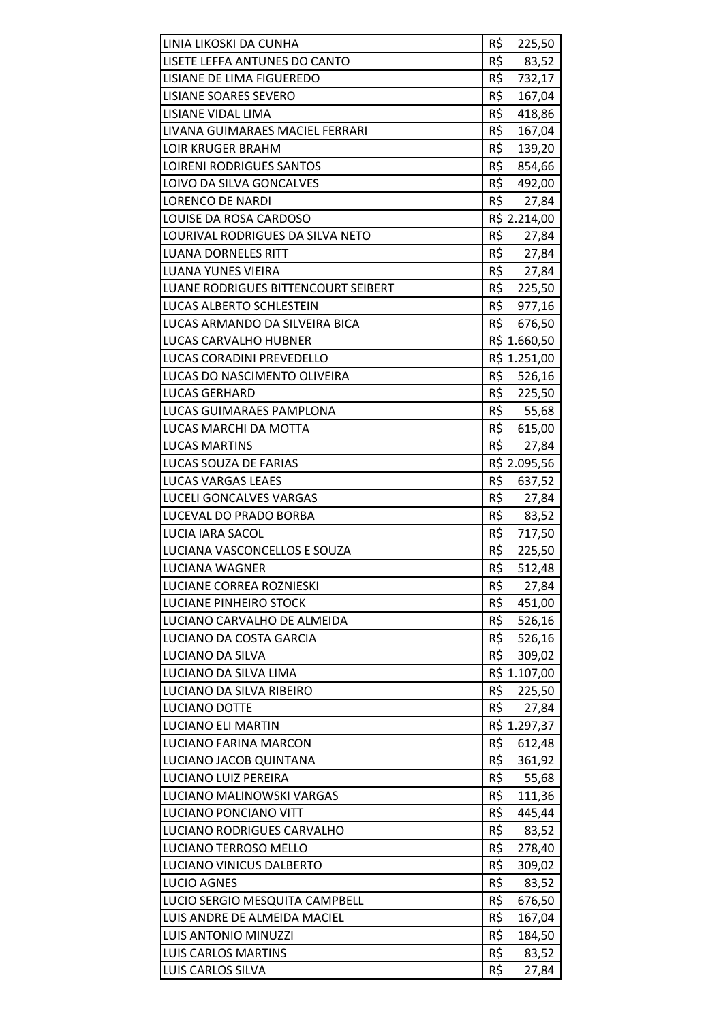| R\$<br>LISETE LEFFA ANTUNES DO CANTO<br>83,52<br>R\$<br><b>LISIANE DE LIMA FIGUEREDO</b><br>732,17<br>R\$<br>LISIANE SOARES SEVERO<br>167,04<br>R\$<br>LISIANE VIDAL LIMA<br>418,86<br>R\$<br>LIVANA GUIMARAES MACIEL FERRARI<br>167,04<br>R\$<br><b>LOIR KRUGER BRAHM</b><br>139,20<br>R\$<br><b>LOIRENI RODRIGUES SANTOS</b><br>854,66<br>R\$<br>LOIVO DA SILVA GONCALVES<br>492,00<br>R\$<br><b>LORENCO DE NARDI</b><br>27,84<br>LOUISE DA ROSA CARDOSO<br>R\$ 2.214,00<br>R\$<br>LOURIVAL RODRIGUES DA SILVA NETO<br>27,84<br>R\$<br><b>LUANA DORNELES RITT</b><br>27,84<br>R\$<br><b>LUANA YUNES VIEIRA</b><br>27,84<br>R\$ 225,50<br>LUANE RODRIGUES BITTENCOURT SEIBERT<br>R\$ 977,16<br>LUCAS ALBERTO SCHLESTEIN<br>R\$<br>LUCAS ARMANDO DA SILVEIRA BICA<br>676,50<br>LUCAS CARVALHO HUBNER<br>R\$ 1.660,50<br>R\$ 1.251,00<br>LUCAS CORADINI PREVEDELLO<br>R\$ 526,16<br>LUCAS DO NASCIMENTO OLIVEIRA<br><b>LUCAS GERHARD</b><br>R\$ 225,50<br>R\$<br>LUCAS GUIMARAES PAMPLONA<br>55,68<br>R\$<br>LUCAS MARCHI DA MOTTA<br>615,00<br>R\$<br><b>LUCAS MARTINS</b><br>27,84<br>R\$ 2.095,56<br>LUCAS SOUZA DE FARIAS<br>R\$<br>LUCAS VARGAS LEAES<br>637,52<br>R\$<br>LUCELI GONCALVES VARGAS<br>27,84<br>R\$<br>LUCEVAL DO PRADO BORBA<br>83,52<br>R\$<br>LUCIA IARA SACOL<br>717,50<br>R\$<br>LUCIANA VASCONCELLOS E SOUZA<br>225,50<br>R\$<br>512,48<br>LUCIANA WAGNER<br>R\$<br>LUCIANE CORREA ROZNIESKI<br>27,84<br>R\$<br>LUCIANE PINHEIRO STOCK<br>451,00<br>R\$<br>LUCIANO CARVALHO DE ALMEIDA<br>526,16<br>R\$<br>LUCIANO DA COSTA GARCIA<br>526,16<br>R\$<br>LUCIANO DA SILVA<br>309,02<br>LUCIANO DA SILVA LIMA<br>R\$ 1.107,00<br>R\$<br>LUCIANO DA SILVA RIBEIRO<br>225,50<br>R\$<br>LUCIANO DOTTE<br>27,84<br><b>LUCIANO ELI MARTIN</b><br>R\$ 1.297,37<br>LUCIANO FARINA MARCON<br>R\$<br>612,48<br>R\$<br>LUCIANO JACOB QUINTANA<br>361,92<br>LUCIANO LUIZ PEREIRA<br>R\$<br>55,68<br>R\$<br>111,36<br>LUCIANO MALINOWSKI VARGAS<br>R\$<br>LUCIANO PONCIANO VITT<br>445,44<br>R\$<br>LUCIANO RODRIGUES CARVALHO<br>83,52<br>R\$<br>LUCIANO TERROSO MELLO<br>278,40<br>R\$<br>LUCIANO VINICUS DALBERTO<br>309,02<br>R\$<br><b>LUCIO AGNES</b><br>83,52<br>R\$<br>LUCIO SERGIO MESQUITA CAMPBELL<br>676,50<br>LUIS ANDRE DE ALMEIDA MACIEL<br>R\$<br>167,04<br>R\$<br>LUIS ANTONIO MINUZZI<br>184,50<br>R\$<br><b>LUIS CARLOS MARTINS</b><br>83,52 | LINIA LIKOSKI DA CUNHA | R\$<br>225,50 |
|--------------------------------------------------------------------------------------------------------------------------------------------------------------------------------------------------------------------------------------------------------------------------------------------------------------------------------------------------------------------------------------------------------------------------------------------------------------------------------------------------------------------------------------------------------------------------------------------------------------------------------------------------------------------------------------------------------------------------------------------------------------------------------------------------------------------------------------------------------------------------------------------------------------------------------------------------------------------------------------------------------------------------------------------------------------------------------------------------------------------------------------------------------------------------------------------------------------------------------------------------------------------------------------------------------------------------------------------------------------------------------------------------------------------------------------------------------------------------------------------------------------------------------------------------------------------------------------------------------------------------------------------------------------------------------------------------------------------------------------------------------------------------------------------------------------------------------------------------------------------------------------------------------------------------------------------------------------------------------------------------------------------------------------------------------------------------------------------------------------------------------------------------------------------------------------------------------------------------------------------------------------------------------------------------------------------------------------------------------------------------|------------------------|---------------|
|                                                                                                                                                                                                                                                                                                                                                                                                                                                                                                                                                                                                                                                                                                                                                                                                                                                                                                                                                                                                                                                                                                                                                                                                                                                                                                                                                                                                                                                                                                                                                                                                                                                                                                                                                                                                                                                                                                                                                                                                                                                                                                                                                                                                                                                                                                                                                                          |                        |               |
|                                                                                                                                                                                                                                                                                                                                                                                                                                                                                                                                                                                                                                                                                                                                                                                                                                                                                                                                                                                                                                                                                                                                                                                                                                                                                                                                                                                                                                                                                                                                                                                                                                                                                                                                                                                                                                                                                                                                                                                                                                                                                                                                                                                                                                                                                                                                                                          |                        |               |
|                                                                                                                                                                                                                                                                                                                                                                                                                                                                                                                                                                                                                                                                                                                                                                                                                                                                                                                                                                                                                                                                                                                                                                                                                                                                                                                                                                                                                                                                                                                                                                                                                                                                                                                                                                                                                                                                                                                                                                                                                                                                                                                                                                                                                                                                                                                                                                          |                        |               |
|                                                                                                                                                                                                                                                                                                                                                                                                                                                                                                                                                                                                                                                                                                                                                                                                                                                                                                                                                                                                                                                                                                                                                                                                                                                                                                                                                                                                                                                                                                                                                                                                                                                                                                                                                                                                                                                                                                                                                                                                                                                                                                                                                                                                                                                                                                                                                                          |                        |               |
|                                                                                                                                                                                                                                                                                                                                                                                                                                                                                                                                                                                                                                                                                                                                                                                                                                                                                                                                                                                                                                                                                                                                                                                                                                                                                                                                                                                                                                                                                                                                                                                                                                                                                                                                                                                                                                                                                                                                                                                                                                                                                                                                                                                                                                                                                                                                                                          |                        |               |
|                                                                                                                                                                                                                                                                                                                                                                                                                                                                                                                                                                                                                                                                                                                                                                                                                                                                                                                                                                                                                                                                                                                                                                                                                                                                                                                                                                                                                                                                                                                                                                                                                                                                                                                                                                                                                                                                                                                                                                                                                                                                                                                                                                                                                                                                                                                                                                          |                        |               |
|                                                                                                                                                                                                                                                                                                                                                                                                                                                                                                                                                                                                                                                                                                                                                                                                                                                                                                                                                                                                                                                                                                                                                                                                                                                                                                                                                                                                                                                                                                                                                                                                                                                                                                                                                                                                                                                                                                                                                                                                                                                                                                                                                                                                                                                                                                                                                                          |                        |               |
|                                                                                                                                                                                                                                                                                                                                                                                                                                                                                                                                                                                                                                                                                                                                                                                                                                                                                                                                                                                                                                                                                                                                                                                                                                                                                                                                                                                                                                                                                                                                                                                                                                                                                                                                                                                                                                                                                                                                                                                                                                                                                                                                                                                                                                                                                                                                                                          |                        |               |
|                                                                                                                                                                                                                                                                                                                                                                                                                                                                                                                                                                                                                                                                                                                                                                                                                                                                                                                                                                                                                                                                                                                                                                                                                                                                                                                                                                                                                                                                                                                                                                                                                                                                                                                                                                                                                                                                                                                                                                                                                                                                                                                                                                                                                                                                                                                                                                          |                        |               |
|                                                                                                                                                                                                                                                                                                                                                                                                                                                                                                                                                                                                                                                                                                                                                                                                                                                                                                                                                                                                                                                                                                                                                                                                                                                                                                                                                                                                                                                                                                                                                                                                                                                                                                                                                                                                                                                                                                                                                                                                                                                                                                                                                                                                                                                                                                                                                                          |                        |               |
|                                                                                                                                                                                                                                                                                                                                                                                                                                                                                                                                                                                                                                                                                                                                                                                                                                                                                                                                                                                                                                                                                                                                                                                                                                                                                                                                                                                                                                                                                                                                                                                                                                                                                                                                                                                                                                                                                                                                                                                                                                                                                                                                                                                                                                                                                                                                                                          |                        |               |
|                                                                                                                                                                                                                                                                                                                                                                                                                                                                                                                                                                                                                                                                                                                                                                                                                                                                                                                                                                                                                                                                                                                                                                                                                                                                                                                                                                                                                                                                                                                                                                                                                                                                                                                                                                                                                                                                                                                                                                                                                                                                                                                                                                                                                                                                                                                                                                          |                        |               |
|                                                                                                                                                                                                                                                                                                                                                                                                                                                                                                                                                                                                                                                                                                                                                                                                                                                                                                                                                                                                                                                                                                                                                                                                                                                                                                                                                                                                                                                                                                                                                                                                                                                                                                                                                                                                                                                                                                                                                                                                                                                                                                                                                                                                                                                                                                                                                                          |                        |               |
|                                                                                                                                                                                                                                                                                                                                                                                                                                                                                                                                                                                                                                                                                                                                                                                                                                                                                                                                                                                                                                                                                                                                                                                                                                                                                                                                                                                                                                                                                                                                                                                                                                                                                                                                                                                                                                                                                                                                                                                                                                                                                                                                                                                                                                                                                                                                                                          |                        |               |
|                                                                                                                                                                                                                                                                                                                                                                                                                                                                                                                                                                                                                                                                                                                                                                                                                                                                                                                                                                                                                                                                                                                                                                                                                                                                                                                                                                                                                                                                                                                                                                                                                                                                                                                                                                                                                                                                                                                                                                                                                                                                                                                                                                                                                                                                                                                                                                          |                        |               |
|                                                                                                                                                                                                                                                                                                                                                                                                                                                                                                                                                                                                                                                                                                                                                                                                                                                                                                                                                                                                                                                                                                                                                                                                                                                                                                                                                                                                                                                                                                                                                                                                                                                                                                                                                                                                                                                                                                                                                                                                                                                                                                                                                                                                                                                                                                                                                                          |                        |               |
|                                                                                                                                                                                                                                                                                                                                                                                                                                                                                                                                                                                                                                                                                                                                                                                                                                                                                                                                                                                                                                                                                                                                                                                                                                                                                                                                                                                                                                                                                                                                                                                                                                                                                                                                                                                                                                                                                                                                                                                                                                                                                                                                                                                                                                                                                                                                                                          |                        |               |
|                                                                                                                                                                                                                                                                                                                                                                                                                                                                                                                                                                                                                                                                                                                                                                                                                                                                                                                                                                                                                                                                                                                                                                                                                                                                                                                                                                                                                                                                                                                                                                                                                                                                                                                                                                                                                                                                                                                                                                                                                                                                                                                                                                                                                                                                                                                                                                          |                        |               |
|                                                                                                                                                                                                                                                                                                                                                                                                                                                                                                                                                                                                                                                                                                                                                                                                                                                                                                                                                                                                                                                                                                                                                                                                                                                                                                                                                                                                                                                                                                                                                                                                                                                                                                                                                                                                                                                                                                                                                                                                                                                                                                                                                                                                                                                                                                                                                                          |                        |               |
|                                                                                                                                                                                                                                                                                                                                                                                                                                                                                                                                                                                                                                                                                                                                                                                                                                                                                                                                                                                                                                                                                                                                                                                                                                                                                                                                                                                                                                                                                                                                                                                                                                                                                                                                                                                                                                                                                                                                                                                                                                                                                                                                                                                                                                                                                                                                                                          |                        |               |
|                                                                                                                                                                                                                                                                                                                                                                                                                                                                                                                                                                                                                                                                                                                                                                                                                                                                                                                                                                                                                                                                                                                                                                                                                                                                                                                                                                                                                                                                                                                                                                                                                                                                                                                                                                                                                                                                                                                                                                                                                                                                                                                                                                                                                                                                                                                                                                          |                        |               |
|                                                                                                                                                                                                                                                                                                                                                                                                                                                                                                                                                                                                                                                                                                                                                                                                                                                                                                                                                                                                                                                                                                                                                                                                                                                                                                                                                                                                                                                                                                                                                                                                                                                                                                                                                                                                                                                                                                                                                                                                                                                                                                                                                                                                                                                                                                                                                                          |                        |               |
|                                                                                                                                                                                                                                                                                                                                                                                                                                                                                                                                                                                                                                                                                                                                                                                                                                                                                                                                                                                                                                                                                                                                                                                                                                                                                                                                                                                                                                                                                                                                                                                                                                                                                                                                                                                                                                                                                                                                                                                                                                                                                                                                                                                                                                                                                                                                                                          |                        |               |
|                                                                                                                                                                                                                                                                                                                                                                                                                                                                                                                                                                                                                                                                                                                                                                                                                                                                                                                                                                                                                                                                                                                                                                                                                                                                                                                                                                                                                                                                                                                                                                                                                                                                                                                                                                                                                                                                                                                                                                                                                                                                                                                                                                                                                                                                                                                                                                          |                        |               |
|                                                                                                                                                                                                                                                                                                                                                                                                                                                                                                                                                                                                                                                                                                                                                                                                                                                                                                                                                                                                                                                                                                                                                                                                                                                                                                                                                                                                                                                                                                                                                                                                                                                                                                                                                                                                                                                                                                                                                                                                                                                                                                                                                                                                                                                                                                                                                                          |                        |               |
|                                                                                                                                                                                                                                                                                                                                                                                                                                                                                                                                                                                                                                                                                                                                                                                                                                                                                                                                                                                                                                                                                                                                                                                                                                                                                                                                                                                                                                                                                                                                                                                                                                                                                                                                                                                                                                                                                                                                                                                                                                                                                                                                                                                                                                                                                                                                                                          |                        |               |
|                                                                                                                                                                                                                                                                                                                                                                                                                                                                                                                                                                                                                                                                                                                                                                                                                                                                                                                                                                                                                                                                                                                                                                                                                                                                                                                                                                                                                                                                                                                                                                                                                                                                                                                                                                                                                                                                                                                                                                                                                                                                                                                                                                                                                                                                                                                                                                          |                        |               |
|                                                                                                                                                                                                                                                                                                                                                                                                                                                                                                                                                                                                                                                                                                                                                                                                                                                                                                                                                                                                                                                                                                                                                                                                                                                                                                                                                                                                                                                                                                                                                                                                                                                                                                                                                                                                                                                                                                                                                                                                                                                                                                                                                                                                                                                                                                                                                                          |                        |               |
|                                                                                                                                                                                                                                                                                                                                                                                                                                                                                                                                                                                                                                                                                                                                                                                                                                                                                                                                                                                                                                                                                                                                                                                                                                                                                                                                                                                                                                                                                                                                                                                                                                                                                                                                                                                                                                                                                                                                                                                                                                                                                                                                                                                                                                                                                                                                                                          |                        |               |
|                                                                                                                                                                                                                                                                                                                                                                                                                                                                                                                                                                                                                                                                                                                                                                                                                                                                                                                                                                                                                                                                                                                                                                                                                                                                                                                                                                                                                                                                                                                                                                                                                                                                                                                                                                                                                                                                                                                                                                                                                                                                                                                                                                                                                                                                                                                                                                          |                        |               |
|                                                                                                                                                                                                                                                                                                                                                                                                                                                                                                                                                                                                                                                                                                                                                                                                                                                                                                                                                                                                                                                                                                                                                                                                                                                                                                                                                                                                                                                                                                                                                                                                                                                                                                                                                                                                                                                                                                                                                                                                                                                                                                                                                                                                                                                                                                                                                                          |                        |               |
|                                                                                                                                                                                                                                                                                                                                                                                                                                                                                                                                                                                                                                                                                                                                                                                                                                                                                                                                                                                                                                                                                                                                                                                                                                                                                                                                                                                                                                                                                                                                                                                                                                                                                                                                                                                                                                                                                                                                                                                                                                                                                                                                                                                                                                                                                                                                                                          |                        |               |
|                                                                                                                                                                                                                                                                                                                                                                                                                                                                                                                                                                                                                                                                                                                                                                                                                                                                                                                                                                                                                                                                                                                                                                                                                                                                                                                                                                                                                                                                                                                                                                                                                                                                                                                                                                                                                                                                                                                                                                                                                                                                                                                                                                                                                                                                                                                                                                          |                        |               |
|                                                                                                                                                                                                                                                                                                                                                                                                                                                                                                                                                                                                                                                                                                                                                                                                                                                                                                                                                                                                                                                                                                                                                                                                                                                                                                                                                                                                                                                                                                                                                                                                                                                                                                                                                                                                                                                                                                                                                                                                                                                                                                                                                                                                                                                                                                                                                                          |                        |               |
|                                                                                                                                                                                                                                                                                                                                                                                                                                                                                                                                                                                                                                                                                                                                                                                                                                                                                                                                                                                                                                                                                                                                                                                                                                                                                                                                                                                                                                                                                                                                                                                                                                                                                                                                                                                                                                                                                                                                                                                                                                                                                                                                                                                                                                                                                                                                                                          |                        |               |
|                                                                                                                                                                                                                                                                                                                                                                                                                                                                                                                                                                                                                                                                                                                                                                                                                                                                                                                                                                                                                                                                                                                                                                                                                                                                                                                                                                                                                                                                                                                                                                                                                                                                                                                                                                                                                                                                                                                                                                                                                                                                                                                                                                                                                                                                                                                                                                          |                        |               |
|                                                                                                                                                                                                                                                                                                                                                                                                                                                                                                                                                                                                                                                                                                                                                                                                                                                                                                                                                                                                                                                                                                                                                                                                                                                                                                                                                                                                                                                                                                                                                                                                                                                                                                                                                                                                                                                                                                                                                                                                                                                                                                                                                                                                                                                                                                                                                                          |                        |               |
|                                                                                                                                                                                                                                                                                                                                                                                                                                                                                                                                                                                                                                                                                                                                                                                                                                                                                                                                                                                                                                                                                                                                                                                                                                                                                                                                                                                                                                                                                                                                                                                                                                                                                                                                                                                                                                                                                                                                                                                                                                                                                                                                                                                                                                                                                                                                                                          |                        |               |
|                                                                                                                                                                                                                                                                                                                                                                                                                                                                                                                                                                                                                                                                                                                                                                                                                                                                                                                                                                                                                                                                                                                                                                                                                                                                                                                                                                                                                                                                                                                                                                                                                                                                                                                                                                                                                                                                                                                                                                                                                                                                                                                                                                                                                                                                                                                                                                          |                        |               |
|                                                                                                                                                                                                                                                                                                                                                                                                                                                                                                                                                                                                                                                                                                                                                                                                                                                                                                                                                                                                                                                                                                                                                                                                                                                                                                                                                                                                                                                                                                                                                                                                                                                                                                                                                                                                                                                                                                                                                                                                                                                                                                                                                                                                                                                                                                                                                                          |                        |               |
|                                                                                                                                                                                                                                                                                                                                                                                                                                                                                                                                                                                                                                                                                                                                                                                                                                                                                                                                                                                                                                                                                                                                                                                                                                                                                                                                                                                                                                                                                                                                                                                                                                                                                                                                                                                                                                                                                                                                                                                                                                                                                                                                                                                                                                                                                                                                                                          |                        |               |
|                                                                                                                                                                                                                                                                                                                                                                                                                                                                                                                                                                                                                                                                                                                                                                                                                                                                                                                                                                                                                                                                                                                                                                                                                                                                                                                                                                                                                                                                                                                                                                                                                                                                                                                                                                                                                                                                                                                                                                                                                                                                                                                                                                                                                                                                                                                                                                          |                        |               |
|                                                                                                                                                                                                                                                                                                                                                                                                                                                                                                                                                                                                                                                                                                                                                                                                                                                                                                                                                                                                                                                                                                                                                                                                                                                                                                                                                                                                                                                                                                                                                                                                                                                                                                                                                                                                                                                                                                                                                                                                                                                                                                                                                                                                                                                                                                                                                                          |                        |               |
|                                                                                                                                                                                                                                                                                                                                                                                                                                                                                                                                                                                                                                                                                                                                                                                                                                                                                                                                                                                                                                                                                                                                                                                                                                                                                                                                                                                                                                                                                                                                                                                                                                                                                                                                                                                                                                                                                                                                                                                                                                                                                                                                                                                                                                                                                                                                                                          |                        |               |
|                                                                                                                                                                                                                                                                                                                                                                                                                                                                                                                                                                                                                                                                                                                                                                                                                                                                                                                                                                                                                                                                                                                                                                                                                                                                                                                                                                                                                                                                                                                                                                                                                                                                                                                                                                                                                                                                                                                                                                                                                                                                                                                                                                                                                                                                                                                                                                          |                        |               |
|                                                                                                                                                                                                                                                                                                                                                                                                                                                                                                                                                                                                                                                                                                                                                                                                                                                                                                                                                                                                                                                                                                                                                                                                                                                                                                                                                                                                                                                                                                                                                                                                                                                                                                                                                                                                                                                                                                                                                                                                                                                                                                                                                                                                                                                                                                                                                                          |                        |               |
|                                                                                                                                                                                                                                                                                                                                                                                                                                                                                                                                                                                                                                                                                                                                                                                                                                                                                                                                                                                                                                                                                                                                                                                                                                                                                                                                                                                                                                                                                                                                                                                                                                                                                                                                                                                                                                                                                                                                                                                                                                                                                                                                                                                                                                                                                                                                                                          |                        |               |
|                                                                                                                                                                                                                                                                                                                                                                                                                                                                                                                                                                                                                                                                                                                                                                                                                                                                                                                                                                                                                                                                                                                                                                                                                                                                                                                                                                                                                                                                                                                                                                                                                                                                                                                                                                                                                                                                                                                                                                                                                                                                                                                                                                                                                                                                                                                                                                          |                        |               |
|                                                                                                                                                                                                                                                                                                                                                                                                                                                                                                                                                                                                                                                                                                                                                                                                                                                                                                                                                                                                                                                                                                                                                                                                                                                                                                                                                                                                                                                                                                                                                                                                                                                                                                                                                                                                                                                                                                                                                                                                                                                                                                                                                                                                                                                                                                                                                                          |                        |               |
|                                                                                                                                                                                                                                                                                                                                                                                                                                                                                                                                                                                                                                                                                                                                                                                                                                                                                                                                                                                                                                                                                                                                                                                                                                                                                                                                                                                                                                                                                                                                                                                                                                                                                                                                                                                                                                                                                                                                                                                                                                                                                                                                                                                                                                                                                                                                                                          |                        |               |
|                                                                                                                                                                                                                                                                                                                                                                                                                                                                                                                                                                                                                                                                                                                                                                                                                                                                                                                                                                                                                                                                                                                                                                                                                                                                                                                                                                                                                                                                                                                                                                                                                                                                                                                                                                                                                                                                                                                                                                                                                                                                                                                                                                                                                                                                                                                                                                          |                        |               |
|                                                                                                                                                                                                                                                                                                                                                                                                                                                                                                                                                                                                                                                                                                                                                                                                                                                                                                                                                                                                                                                                                                                                                                                                                                                                                                                                                                                                                                                                                                                                                                                                                                                                                                                                                                                                                                                                                                                                                                                                                                                                                                                                                                                                                                                                                                                                                                          | LUIS CARLOS SILVA      | R\$<br>27,84  |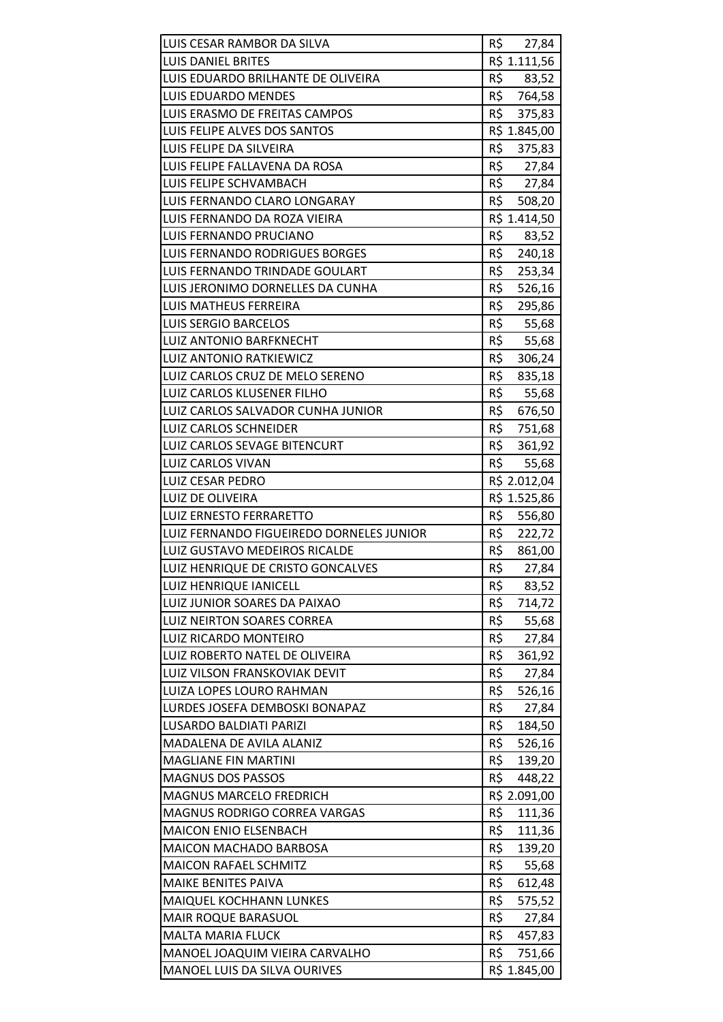| LUIS CESAR RAMBOR DA SILVA                                     | R\$ 27,84                     |
|----------------------------------------------------------------|-------------------------------|
| <b>LUIS DANIEL BRITES</b>                                      | R\$ 1.111,56                  |
| LUIS EDUARDO BRILHANTE DE OLIVEIRA                             | R\$<br>83,52                  |
| <b>LUIS EDUARDO MENDES</b>                                     | R\$<br>764,58                 |
| LUIS ERASMO DE FREITAS CAMPOS                                  | R\$<br>375,83                 |
| LUIS FELIPE ALVES DOS SANTOS                                   | R\$ 1.845,00                  |
| LUIS FELIPE DA SILVEIRA                                        | R\$<br>375,83                 |
| LUIS FELIPE FALLAVENA DA ROSA                                  | R\$<br>27,84                  |
| LUIS FELIPE SCHVAMBACH                                         | R\$<br>27,84                  |
| LUIS FERNANDO CLARO LONGARAY                                   | R\$<br>508,20                 |
| LUIS FERNANDO DA ROZA VIEIRA                                   | R\$ 1.414,50                  |
| LUIS FERNANDO PRUCIANO                                         | R\$<br>83,52                  |
| LUIS FERNANDO RODRIGUES BORGES                                 | R\$<br>240,18                 |
| LUIS FERNANDO TRINDADE GOULART                                 | R\$<br>253,34                 |
| LUIS JERONIMO DORNELLES DA CUNHA                               | R\$<br>526,16                 |
| LUIS MATHEUS FERREIRA                                          | R\$<br>295,86                 |
| <b>LUIS SERGIO BARCELOS</b>                                    | R\$<br>55,68                  |
| <b>LUIZ ANTONIO BARFKNECHT</b>                                 | R\$<br>55,68                  |
| <b>LUIZ ANTONIO RATKIEWICZ</b>                                 | R\$<br>306,24                 |
| LUIZ CARLOS CRUZ DE MELO SERENO                                | R\$<br>835,18                 |
| LUIZ CARLOS KLUSENER FILHO                                     | R\$<br>55,68                  |
| LUIZ CARLOS SALVADOR CUNHA JUNIOR                              | R\$<br>676,50                 |
| LUIZ CARLOS SCHNEIDER                                          | R\$<br>751,68                 |
| LUIZ CARLOS SEVAGE BITENCURT                                   | R\$<br>361,92                 |
| <b>LUIZ CARLOS VIVAN</b>                                       | R\$<br>55,68                  |
| <b>LUIZ CESAR PEDRO</b>                                        | R\$ 2.012,04                  |
| LUIZ DE OLIVEIRA                                               | R\$ 1.525,86                  |
|                                                                |                               |
| <b>LUIZ ERNESTO FERRARETTO</b>                                 | R\$<br>556,80                 |
| LUIZ FERNANDO FIGUEIREDO DORNELES JUNIOR                       | R\$<br>222,72                 |
| <b>LUIZ GUSTAVO MEDEIROS RICALDE</b>                           | R\$<br>861,00                 |
| LUIZ HENRIQUE DE CRISTO GONCALVES                              | R\$<br>27,84                  |
| LUIZ HENRIQUE IANICELL                                         | R\$<br>83,52                  |
| LUIZ JUNIOR SOARES DA PAIXAO                                   | R\$<br>714,72                 |
| <b>LUIZ NEIRTON SOARES CORREA</b>                              | R\$<br>55,68                  |
| LUIZ RICARDO MONTEIRO                                          | R\$<br>27,84                  |
| LUIZ ROBERTO NATEL DE OLIVEIRA                                 | R\$<br>361,92                 |
| LUIZ VILSON FRANSKOVIAK DEVIT                                  | R\$<br>27,84                  |
| LUIZA LOPES LOURO RAHMAN                                       | R\$<br>526,16                 |
| LURDES JOSEFA DEMBOSKI BONAPAZ                                 | R\$<br>27,84                  |
| LUSARDO BALDIATI PARIZI                                        | R\$<br>184,50                 |
| MADALENA DE AVILA ALANIZ                                       | R\$<br>526,16                 |
| <b>MAGLIANE FIN MARTINI</b>                                    | R\$<br>139,20                 |
| <b>MAGNUS DOS PASSOS</b>                                       | R\$<br>448,22                 |
| <b>MAGNUS MARCELO FREDRICH</b>                                 | R\$ 2.091,00                  |
| MAGNUS RODRIGO CORREA VARGAS                                   | R\$<br>111,36                 |
| MAICON ENIO ELSENBACH                                          | R\$<br>111,36                 |
| <b>MAICON MACHADO BARBOSA</b>                                  | R\$<br>139,20                 |
| <b>MAICON RAFAEL SCHMITZ</b>                                   | R\$<br>55,68                  |
| MAIKE BENITES PAIVA                                            | R\$<br>612,48                 |
| MAIQUEL KOCHHANN LUNKES                                        | R\$<br>575,52                 |
| MAIR ROQUE BARASUOL                                            | R\$<br>27,84                  |
| <b>MALTA MARIA FLUCK</b>                                       | R\$<br>457,83                 |
| MANOEL JOAQUIM VIEIRA CARVALHO<br>MANOEL LUIS DA SILVA OURIVES | R\$<br>751,66<br>R\$ 1.845,00 |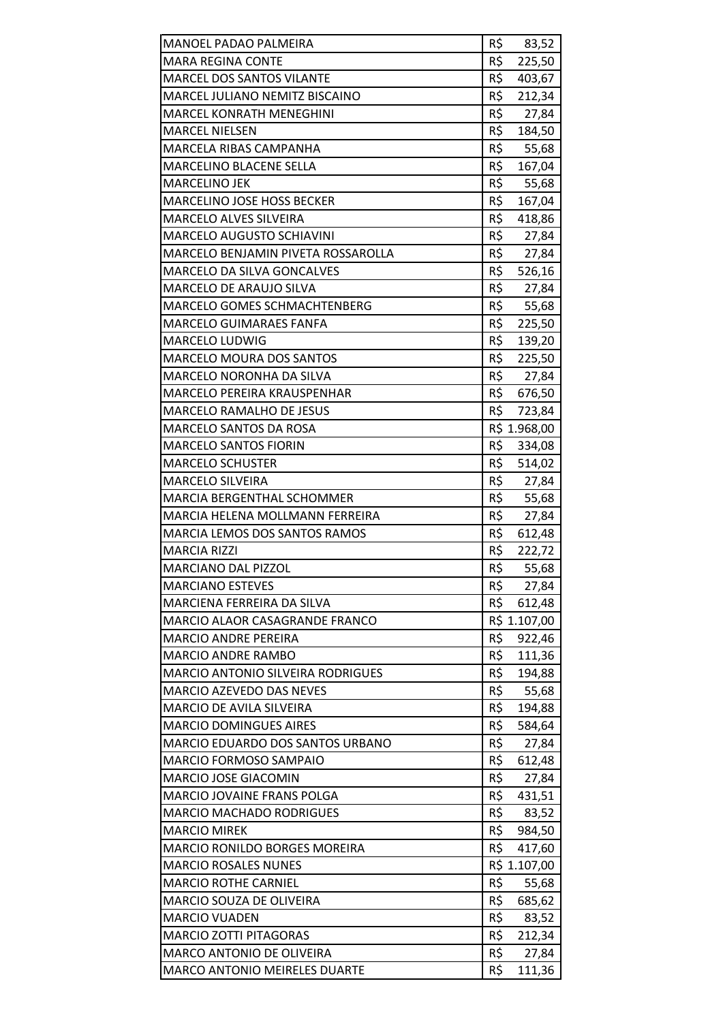| MANOEL PADAO PALMEIRA                                 | R\$<br>83,52           |
|-------------------------------------------------------|------------------------|
| <b>MARA REGINA CONTE</b>                              | R\$<br>225,50          |
| <b>MARCEL DOS SANTOS VILANTE</b>                      | R\$<br>403,67          |
| MARCEL JULIANO NEMITZ BISCAINO                        | R\$<br>212,34          |
| <b>MARCEL KONRATH MENEGHINI</b>                       | R\$<br>27,84           |
| <b>MARCEL NIELSEN</b>                                 | R\$<br>184,50          |
| MARCELA RIBAS CAMPANHA                                | R\$<br>55,68           |
| MARCELINO BLACENE SELLA                               | R\$<br>167,04          |
| <b>MARCELINO JEK</b>                                  | R\$<br>55,68           |
| <b>MARCELINO JOSE HOSS BECKER</b>                     | R\$<br>167,04          |
| MARCELO ALVES SILVEIRA                                | R\$<br>418,86          |
| <b>MARCELO AUGUSTO SCHIAVINI</b>                      | R\$<br>27,84           |
| MARCELO BENJAMIN PIVETA ROSSAROLLA                    | R\$<br>27,84           |
| MARCELO DA SILVA GONCALVES                            | R\$<br>526,16          |
| MARCELO DE ARAUJO SILVA                               | R\$<br>27,84           |
| MARCELO GOMES SCHMACHTENBERG                          | R\$<br>55,68           |
| MARCELO GUIMARAES FANFA                               | R\$<br>225,50          |
| <b>MARCELO LUDWIG</b>                                 | R\$<br>139,20          |
| <b>MARCELO MOURA DOS SANTOS</b>                       | R\$<br>225,50          |
| <b>MARCELO NORONHA DA SILVA</b>                       | R\$<br>27,84           |
| MARCELO PEREIRA KRAUSPENHAR                           | R\$ 676,50             |
| MARCELO RAMALHO DE JESUS                              | R\$<br>723,84          |
| MARCELO SANTOS DA ROSA                                | R\$ 1.968,00           |
| <b>MARCELO SANTOS FIORIN</b>                          | R\$<br>334,08          |
| <b>MARCELO SCHUSTER</b>                               | R\$<br>514,02          |
| <b>MARCELO SILVEIRA</b>                               | R\$ 27,84              |
| <b>MARCIA BERGENTHAL SCHOMMER</b>                     | R\$<br>55,68           |
| <b>MARCIA HELENA MOLLMANN FERREIRA</b>                | R\$<br>27,84           |
| MARCIA LEMOS DOS SANTOS RAMOS                         | R\$<br>612,48          |
| <b>MARCIA RIZZI</b>                                   | R\$<br>222,72          |
| <b>MARCIANO DAL PIZZOL</b>                            | R\$<br>55,68           |
| <b>MARCIANO ESTEVES</b>                               | R\$<br>27,84           |
| MARCIENA FERREIRA DA SILVA                            | R\$<br>612,48          |
| MARCIO ALAOR CASAGRANDE FRANCO                        | R\$ 1.107,00           |
| <b>MARCIO ANDRE PEREIRA</b>                           | R\$<br>922,46          |
| <b>MARCIO ANDRE RAMBO</b>                             | R\$<br>111,36          |
| <b>MARCIO ANTONIO SILVEIRA RODRIGUES</b>              | R\$<br>194,88          |
| <b>MARCIO AZEVEDO DAS NEVES</b>                       | R\$<br>55,68           |
| MARCIO DE AVILA SILVEIRA                              | R\$<br>194,88          |
| <b>MARCIO DOMINGUES AIRES</b>                         | R\$<br>584,64          |
| MARCIO EDUARDO DOS SANTOS URBANO                      | R\$<br>27,84           |
| <b>MARCIO FORMOSO SAMPAIO</b>                         | R\$<br>612,48          |
| <b>MARCIO JOSE GIACOMIN</b>                           | R\$<br>27,84           |
| MARCIO JOVAINE FRANS POLGA                            | R\$<br>431,51          |
| <b>MARCIO MACHADO RODRIGUES</b>                       | R\$<br>83,52           |
| <b>MARCIO MIREK</b>                                   | R\$<br>984,50          |
| <b>MARCIO RONILDO BORGES MOREIRA</b>                  | R\$<br>417,60          |
| <b>MARCIO ROSALES NUNES</b>                           | R\$ 1.107,00           |
| <b>MARCIO ROTHE CARNIEL</b>                           | R\$<br>55,68           |
| MARCIO SOUZA DE OLIVEIRA                              | R\$<br>685,62          |
| <b>MARCIO VUADEN</b><br><b>MARCIO ZOTTI PITAGORAS</b> | R\$<br>83,52<br>R\$    |
| MARCO ANTONIO DE OLIVEIRA                             | 212,34<br>R\$<br>27,84 |
| <b>MARCO ANTONIO MEIRELES DUARTE</b>                  | R\$<br>111,36          |
|                                                       |                        |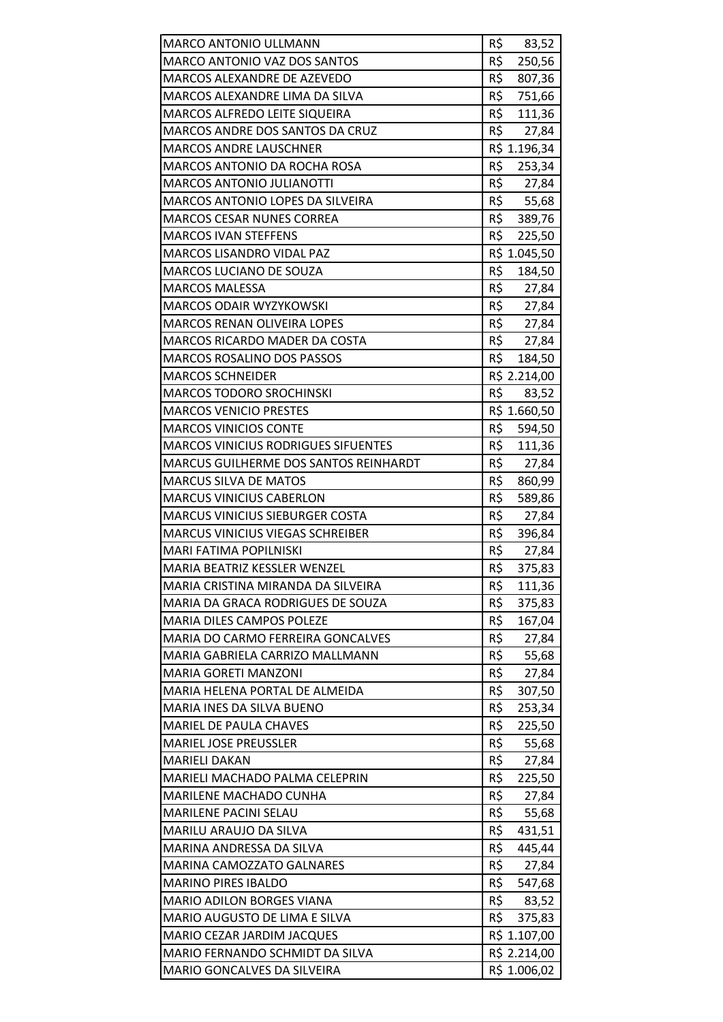| <b>MARCO ANTONIO ULLMANN</b>             | R\$<br>83,52  |
|------------------------------------------|---------------|
| MARCO ANTONIO VAZ DOS SANTOS             | R\$<br>250,56 |
| MARCOS ALEXANDRE DE AZEVEDO              | R\$<br>807,36 |
| MARCOS ALEXANDRE LIMA DA SILVA           | R\$<br>751,66 |
| <b>MARCOS ALFREDO LEITE SIQUEIRA</b>     | R\$<br>111,36 |
| MARCOS ANDRE DOS SANTOS DA CRUZ          | R\$<br>27,84  |
| MARCOS ANDRE LAUSCHNER                   | R\$ 1.196,34  |
| <b>MARCOS ANTONIO DA ROCHA ROSA</b>      | R\$<br>253,34 |
| <b>MARCOS ANTONIO JULIANOTTI</b>         | R\$<br>27,84  |
| MARCOS ANTONIO LOPES DA SILVEIRA         | R\$<br>55,68  |
| <b>MARCOS CESAR NUNES CORREA</b>         | R\$<br>389,76 |
| <b>MARCOS IVAN STEFFENS</b>              | R\$<br>225,50 |
| <b>MARCOS LISANDRO VIDAL PAZ</b>         | R\$ 1.045,50  |
| MARCOS LUCIANO DE SOUZA                  | R\$<br>184,50 |
| <b>MARCOS MALESSA</b>                    | R\$<br>27,84  |
| MARCOS ODAIR WYZYKOWSKI                  | R\$<br>27,84  |
| <b>MARCOS RENAN OLIVEIRA LOPES</b>       | R\$<br>27,84  |
| <b>MARCOS RICARDO MADER DA COSTA</b>     | R\$<br>27,84  |
| <b>MARCOS ROSALINO DOS PASSOS</b>        | R\$<br>184,50 |
| <b>MARCOS SCHNEIDER</b>                  | R\$ 2.214,00  |
| <b>MARCOS TODORO SROCHINSKI</b>          | R\$<br>83,52  |
| <b>MARCOS VENICIO PRESTES</b>            | R\$ 1.660,50  |
| <b>MARCOS VINICIOS CONTE</b>             | R\$<br>594,50 |
| MARCOS VINICIUS RODRIGUES SIFUENTES      | R\$<br>111,36 |
| MARCUS GUILHERME DOS SANTOS REINHARDT    | R\$<br>27,84  |
| <b>MARCUS SILVA DE MATOS</b>             | R\$<br>860,99 |
| <b>MARCUS VINICIUS CABERLON</b>          | R\$<br>589,86 |
| <b>MARCUS VINICIUS SIEBURGER COSTA</b>   | R\$<br>27,84  |
| <b>MARCUS VINICIUS VIEGAS SCHREIBER</b>  | R\$<br>396,84 |
| MARI FATIMA POPILNISKI                   | R\$<br>27,84  |
| MARIA BEATRIZ KESSLER WENZEL             | R\$<br>375,83 |
| MARIA CRISTINA MIRANDA DA SILVEIRA       | R\$<br>111,36 |
| MARIA DA GRACA RODRIGUES DE SOUZA        | R\$<br>375,83 |
| MARIA DILES CAMPOS POLEZE                | R\$<br>167,04 |
| <b>MARIA DO CARMO FERREIRA GONCALVES</b> | R\$<br>27,84  |
| MARIA GABRIELA CARRIZO MALLMANN          | R\$<br>55,68  |
| <b>MARIA GORETI MANZONI</b>              | R\$<br>27,84  |
| MARIA HELENA PORTAL DE ALMEIDA           | R\$<br>307,50 |
| MARIA INES DA SILVA BUENO                | R\$<br>253,34 |
| <b>MARIEL DE PAULA CHAVES</b>            | R\$<br>225,50 |
| <b>MARIEL JOSE PREUSSLER</b>             | R\$<br>55,68  |
| <b>MARIELI DAKAN</b>                     | R\$<br>27,84  |
| <b>MARIELI MACHADO PALMA CELEPRIN</b>    | R\$<br>225,50 |
| MARILENE MACHADO CUNHA                   | R\$<br>27,84  |
| MARILENE PACINI SELAU                    | R\$<br>55,68  |
| MARILU ARAUJO DA SILVA                   | R\$<br>431,51 |
| MARINA ANDRESSA DA SILVA                 | R\$<br>445,44 |
| MARINA CAMOZZATO GALNARES                | R\$<br>27,84  |
| <b>MARINO PIRES IBALDO</b>               | R\$<br>547,68 |
| <b>MARIO ADILON BORGES VIANA</b>         | R\$<br>83,52  |
| MARIO AUGUSTO DE LIMA E SILVA            | R\$<br>375,83 |
| MARIO CEZAR JARDIM JACQUES               | R\$ 1.107,00  |
| MARIO FERNANDO SCHMIDT DA SILVA          | R\$ 2.214,00  |
| MARIO GONCALVES DA SILVEIRA              | R\$ 1.006,02  |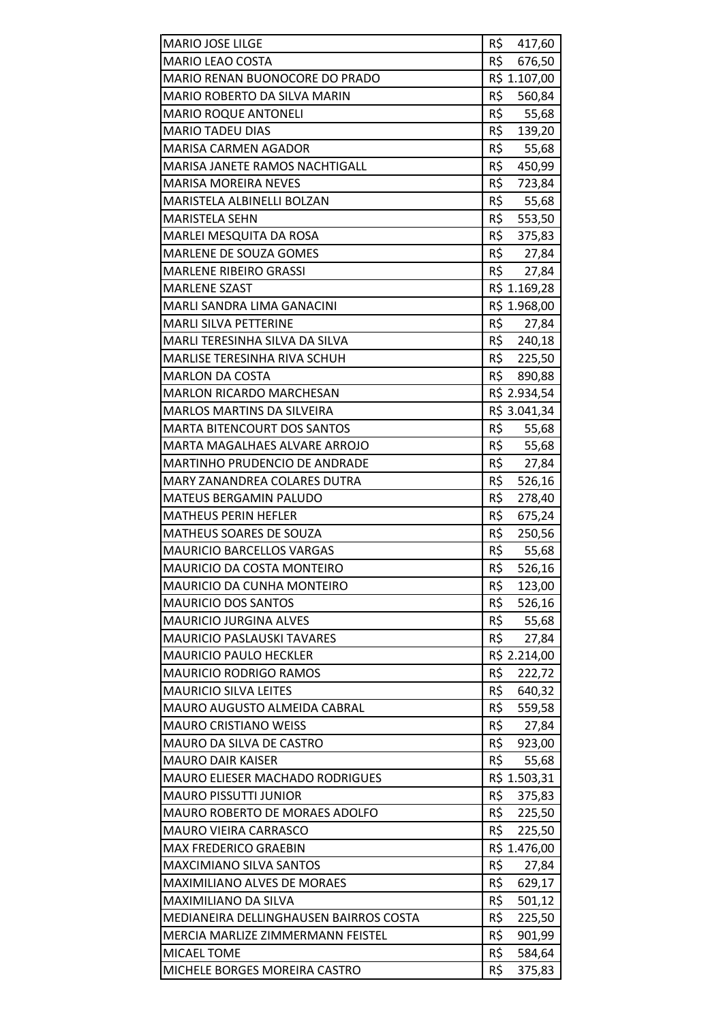| MARIO JOSE LILGE                                 | R\$<br>417,60           |
|--------------------------------------------------|-------------------------|
| <b>MARIO LEAO COSTA</b>                          | R\$<br>676,50           |
| <b>MARIO RENAN BUONOCORE DO PRADO</b>            | R\$ 1.107,00            |
| MARIO ROBERTO DA SILVA MARIN                     | R\$<br>560,84           |
| <b>MARIO ROQUE ANTONELI</b>                      | R\$<br>55,68            |
| <b>MARIO TADEU DIAS</b>                          | R\$ 139,20              |
| <b>MARISA CARMEN AGADOR</b>                      | R\$<br>55,68            |
| MARISA JANETE RAMOS NACHTIGALL                   | R\$<br>450,99           |
| <b>MARISA MOREIRA NEVES</b>                      | R\$<br>723,84           |
| MARISTELA ALBINELLI BOLZAN                       | R\$<br>55,68            |
| <b>MARISTELA SEHN</b>                            | R\$ 553,50              |
| MARLEI MESQUITA DA ROSA                          | R\$<br>375,83           |
| <b>MARLENE DE SOUZA GOMES</b>                    | R\$<br>27,84            |
| <b>MARLENE RIBEIRO GRASSI</b>                    | R\$<br>27,84            |
| <b>MARLENE SZAST</b>                             | R\$ 1.169,28            |
| MARLI SANDRA LIMA GANACINI                       | R\$ 1.968,00            |
| <b>MARLI SILVA PETTERINE</b>                     | R\$<br>27,84            |
| MARLI TERESINHA SILVA DA SILVA                   | R\$ 240,18              |
| MARLISE TERESINHA RIVA SCHUH                     | R\$ 225,50              |
| <b>MARLON DA COSTA</b>                           | R\$<br>890,88           |
| <b>MARLON RICARDO MARCHESAN</b>                  | R\$ 2.934,54            |
| <b>MARLOS MARTINS DA SILVEIRA</b>                | R\$ 3.041,34            |
| <b>MARTA BITENCOURT DOS SANTOS</b>               | R\$<br>55,68            |
| MARTA MAGALHAES ALVARE ARROJO                    | R\$<br>55,68            |
| MARTINHO PRUDENCIO DE ANDRADE                    | R\$<br>27,84            |
| MARY ZANANDREA COLARES DUTRA                     | R\$<br>526,16           |
| MATEUS BERGAMIN PALUDO                           | R\$<br>278,40           |
| <b>MATHEUS PERIN HEFLER</b>                      | R\$<br>675,24           |
| MATHEUS SOARES DE SOUZA                          | R\$<br>250,56           |
| <b>MAURICIO BARCELLOS VARGAS</b>                 | R\$<br>55,68            |
| <b>MAURICIO DA COSTA MONTEIRO</b>                | R\$<br>526,16           |
| MAURICIO DA CUNHA MONTEIRO                       | R\$<br>123,00           |
| <b>MAURICIO DOS SANTOS</b>                       | R\$<br>526,16           |
| MAURICIO JURGINA ALVES                           | R\$<br>55,68            |
| <b>MAURICIO PASLAUSKI TAVARES</b>                | R\$<br>27,84            |
| <b>MAURICIO PAULO HECKLER</b>                    | R\$ 2.214,00            |
| <b>MAURICIO RODRIGO RAMOS</b>                    | R\$<br>222,72           |
| <b>MAURICIO SILVA LEITES</b>                     | R\$<br>640,32           |
| MAURO AUGUSTO ALMEIDA CABRAL                     | R\$<br>559,58           |
| <b>MAURO CRISTIANO WEISS</b>                     | R\$<br>27,84            |
| MAURO DA SILVA DE CASTRO                         | R\$<br>923,00           |
| <b>MAURO DAIR KAISER</b>                         | R\$<br>55,68            |
| <b>MAURO ELIESER MACHADO RODRIGUES</b>           | R\$ 1.503,31            |
| <b>MAURO PISSUTTI JUNIOR</b>                     | R\$<br>375,83           |
| MAURO ROBERTO DE MORAES ADOLFO                   | R\$<br>225,50           |
| <b>MAURO VIEIRA CARRASCO</b>                     | R\$<br>225,50           |
| <b>MAX FREDERICO GRAEBIN</b>                     | R\$ 1.476,00            |
| <b>MAXCIMIANO SILVA SANTOS</b>                   | R\$<br>27,84            |
| MAXIMILIANO ALVES DE MORAES                      | R\$<br>629,17           |
| <b>MAXIMILIANO DA SILVA</b>                      | R\$<br>501,12           |
| MEDIANEIRA DELLINGHAUSEN BAIRROS COSTA           | R\$<br>225,50<br>R\$    |
| MERCIA MARLIZE ZIMMERMANN FEISTEL<br>MICAEL TOME | 901,99<br>R\$<br>584,64 |
| MICHELE BORGES MOREIRA CASTRO                    | R\$<br>375,83           |
|                                                  |                         |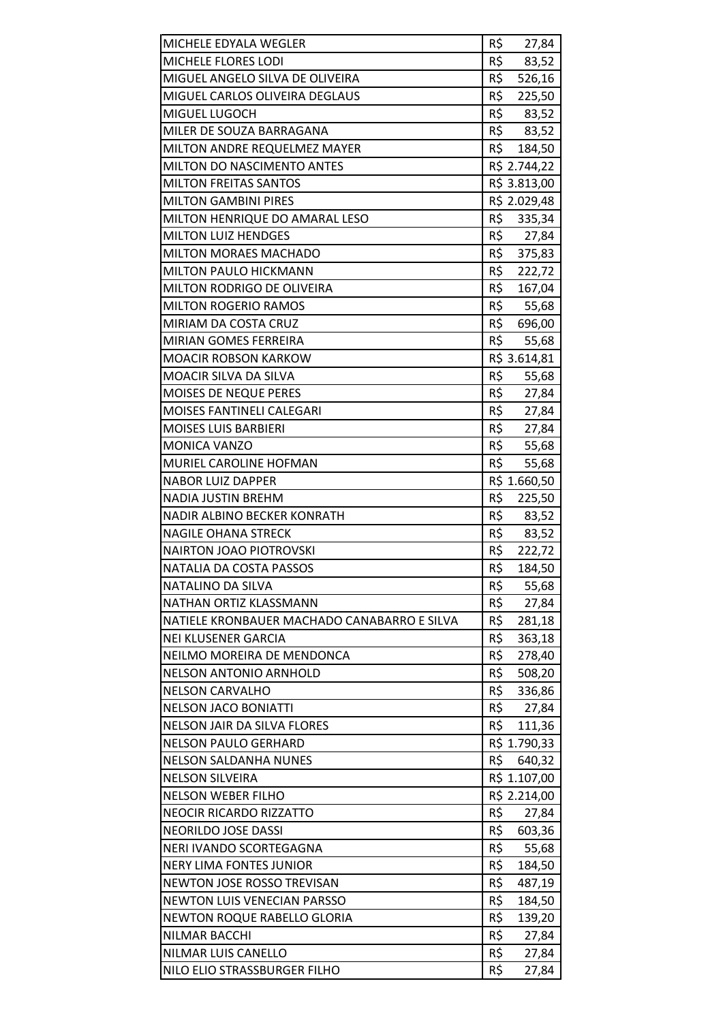| MICHELE EDYALA WEGLER                       | R\$<br>27,84  |
|---------------------------------------------|---------------|
| MICHELE FLORES LODI                         | R\$<br>83,52  |
| MIGUEL ANGELO SILVA DE OLIVEIRA             | R\$<br>526,16 |
| MIGUEL CARLOS OLIVEIRA DEGLAUS              | R\$<br>225,50 |
| MIGUEL LUGOCH                               | R\$ 83,52     |
| MILER DE SOUZA BARRAGANA                    | R\$<br>83,52  |
| MILTON ANDRE REQUELMEZ MAYER                | R\$<br>184,50 |
| MILTON DO NASCIMENTO ANTES                  | R\$ 2.744,22  |
| <b>MILTON FREITAS SANTOS</b>                | R\$ 3.813,00  |
| <b>MILTON GAMBINI PIRES</b>                 | R\$ 2.029,48  |
| MILTON HENRIQUE DO AMARAL LESO              | R\$<br>335,34 |
| <b>MILTON LUIZ HENDGES</b>                  | R\$<br>27,84  |
| <b>MILTON MORAES MACHADO</b>                | R\$<br>375,83 |
| MILTON PAULO HICKMANN                       | R\$<br>222,72 |
| <b>MILTON RODRIGO DE OLIVEIRA</b>           | R\$<br>167,04 |
| <b>MILTON ROGERIO RAMOS</b>                 | R\$<br>55,68  |
| MIRIAM DA COSTA CRUZ                        | R\$<br>696,00 |
| <b>MIRIAN GOMES FERREIRA</b>                | R\$<br>55,68  |
| <b>MOACIR ROBSON KARKOW</b>                 | R\$ 3.614,81  |
| MOACIR SILVA DA SILVA                       | R\$<br>55,68  |
| MOISES DE NEQUE PERES                       | R\$<br>27,84  |
| <b>MOISES FANTINELI CALEGARI</b>            | R\$<br>27,84  |
| <b>MOISES LUIS BARBIERI</b>                 | R\$<br>27,84  |
| MONICA VANZO                                | R\$<br>55,68  |
| MURIEL CAROLINE HOFMAN                      | R\$<br>55,68  |
| <b>NABOR LUIZ DAPPER</b>                    | R\$ 1.660,50  |
| <b>NADIA JUSTIN BREHM</b>                   | R\$<br>225,50 |
| NADIR ALBINO BECKER KONRATH                 | R\$<br>83,52  |
| <b>NAGILE OHANA STRECK</b>                  | R\$<br>83,52  |
| <b>NAIRTON JOAO PIOTROVSKI</b>              | R\$<br>222,72 |
| NATALIA DA COSTA PASSOS                     | R\$<br>184,50 |
| <b>NATALINO DA SILVA</b>                    | R\$<br>55,68  |
| NATHAN ORTIZ KLASSMANN                      | R\$<br>27,84  |
| NATIELE KRONBAUER MACHADO CANABARRO E SILVA | R\$<br>281,18 |
| <b>NEI KLUSENER GARCIA</b>                  | R\$<br>363,18 |
| NEILMO MOREIRA DE MENDONCA                  | R\$<br>278,40 |
| <b>NELSON ANTONIO ARNHOLD</b>               | R\$<br>508,20 |
| <b>NELSON CARVALHO</b>                      | R\$<br>336,86 |
| <b>NELSON JACO BONIATTI</b>                 | R\$<br>27,84  |
| <b>NELSON JAIR DA SILVA FLORES</b>          | R\$<br>111,36 |
| <b>NELSON PAULO GERHARD</b>                 | R\$ 1.790,33  |
| <b>NELSON SALDANHA NUNES</b>                | R\$<br>640,32 |
| <b>NELSON SILVEIRA</b>                      | R\$ 1.107,00  |
| <b>NELSON WEBER FILHO</b>                   | R\$ 2.214,00  |
| <b>NEOCIR RICARDO RIZZATTO</b>              | R\$<br>27,84  |
| <b>NEORILDO JOSE DASSI</b>                  | R\$<br>603,36 |
| NERI IVANDO SCORTEGAGNA                     | R\$<br>55,68  |
| <b>NERY LIMA FONTES JUNIOR</b>              | R\$<br>184,50 |
| NEWTON JOSE ROSSO TREVISAN                  | R\$<br>487,19 |
| <b>NEWTON LUIS VENECIAN PARSSO</b>          | R\$<br>184,50 |
| <b>NEWTON ROQUE RABELLO GLORIA</b>          | R\$<br>139,20 |
| NILMAR BACCHI                               | R\$<br>27,84  |
| NILMAR LUIS CANELLO                         | R\$<br>27,84  |
| NILO ELIO STRASSBURGER FILHO                | R\$<br>27,84  |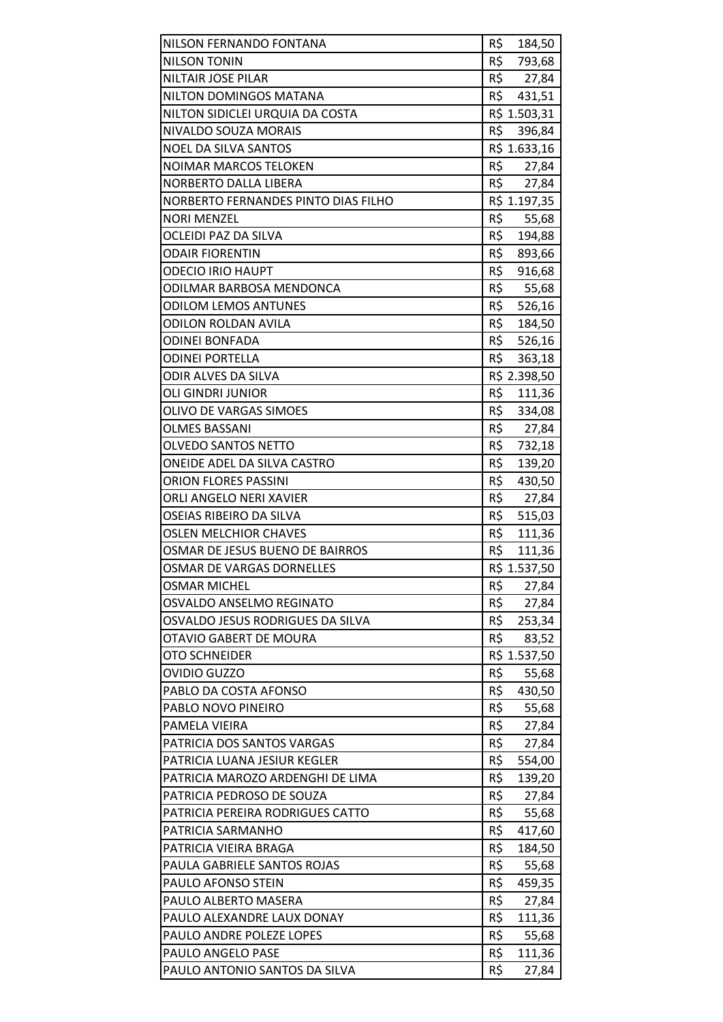| NILSON FERNANDO FONTANA             | R\$ 184,50    |
|-------------------------------------|---------------|
| <b>NILSON TONIN</b>                 | R\$<br>793,68 |
| <b>NILTAIR JOSE PILAR</b>           | R\$<br>27,84  |
| NILTON DOMINGOS MATANA              | R\$<br>431,51 |
| NILTON SIDICLEI URQUIA DA COSTA     | R\$ 1.503,31  |
| NIVALDO SOUZA MORAIS                | R\$<br>396,84 |
| <b>NOEL DA SILVA SANTOS</b>         | R\$ 1.633,16  |
| <b>NOIMAR MARCOS TELOKEN</b>        | R\$<br>27,84  |
| NORBERTO DALLA LIBERA               | R\$ 27,84     |
| NORBERTO FERNANDES PINTO DIAS FILHO | R\$ 1.197,35  |
| <b>NORI MENZEL</b>                  | R\$<br>55,68  |
| <b>OCLEIDI PAZ DA SILVA</b>         | R\$<br>194,88 |
| <b>ODAIR FIORENTIN</b>              | R\$<br>893,66 |
| <b>ODECIO IRIO HAUPT</b>            | R\$<br>916,68 |
| ODILMAR BARBOSA MENDONCA            | R\$<br>55,68  |
| <b>ODILOM LEMOS ANTUNES</b>         | R\$ 526,16    |
| <b>ODILON ROLDAN AVILA</b>          | R\$<br>184,50 |
| <b>ODINEI BONFADA</b>               | R\$<br>526,16 |
| <b>ODINEI PORTELLA</b>              | R\$<br>363,18 |
| ODIR ALVES DA SILVA                 | R\$ 2.398,50  |
| <b>OLI GINDRI JUNIOR</b>            | R\$<br>111,36 |
| <b>OLIVO DE VARGAS SIMOES</b>       | R\$<br>334,08 |
| <b>OLMES BASSANI</b>                | R\$<br>27,84  |
| <b>OLVEDO SANTOS NETTO</b>          | R\$<br>732,18 |
| ONEIDE ADEL DA SILVA CASTRO         | R\$<br>139,20 |
| <b>ORION FLORES PASSINI</b>         | R\$<br>430,50 |
| ORLI ANGELO NERI XAVIER             | R\$<br>27,84  |
| OSEIAS RIBEIRO DA SILVA             | R\$<br>515,03 |
| <b>OSLEN MELCHIOR CHAVES</b>        | R\$<br>111,36 |
| OSMAR DE JESUS BUENO DE BAIRROS     | R\$<br>111,36 |
| OSMAR DE VARGAS DORNELLES           | R\$ 1.537,50  |
| <b>OSMAR MICHEL</b>                 | R\$<br>27,84  |
| OSVALDO ANSELMO REGINATO            | R\$<br>27,84  |
| OSVALDO JESUS RODRIGUES DA SILVA    | R\$<br>253,34 |
| OTAVIO GABERT DE MOURA              | R\$<br>83,52  |
| <b>OTO SCHNEIDER</b>                | R\$ 1.537,50  |
| <b>OVIDIO GUZZO</b>                 | R\$<br>55,68  |
| PABLO DA COSTA AFONSO               | R\$<br>430,50 |
| PABLO NOVO PINEIRO                  | R\$<br>55,68  |
| PAMELA VIEIRA                       | R\$<br>27,84  |
| PATRICIA DOS SANTOS VARGAS          | R\$<br>27,84  |
| PATRICIA LUANA JESIUR KEGLER        | R\$<br>554,00 |
| PATRICIA MAROZO ARDENGHI DE LIMA    | R\$<br>139,20 |
| PATRICIA PEDROSO DE SOUZA           | R\$<br>27,84  |
| PATRICIA PEREIRA RODRIGUES CATTO    | R\$<br>55,68  |
| PATRICIA SARMANHO                   | R\$<br>417,60 |
| PATRICIA VIEIRA BRAGA               | R\$<br>184,50 |
| PAULA GABRIELE SANTOS ROJAS         | R\$<br>55,68  |
| PAULO AFONSO STEIN                  | R\$<br>459,35 |
| PAULO ALBERTO MASERA                | R\$<br>27,84  |
| PAULO ALEXANDRE LAUX DONAY          | R\$<br>111,36 |
| PAULO ANDRE POLEZE LOPES            | R\$<br>55,68  |
| PAULO ANGELO PASE                   | R\$<br>111,36 |
| PAULO ANTONIO SANTOS DA SILVA       | R\$<br>27,84  |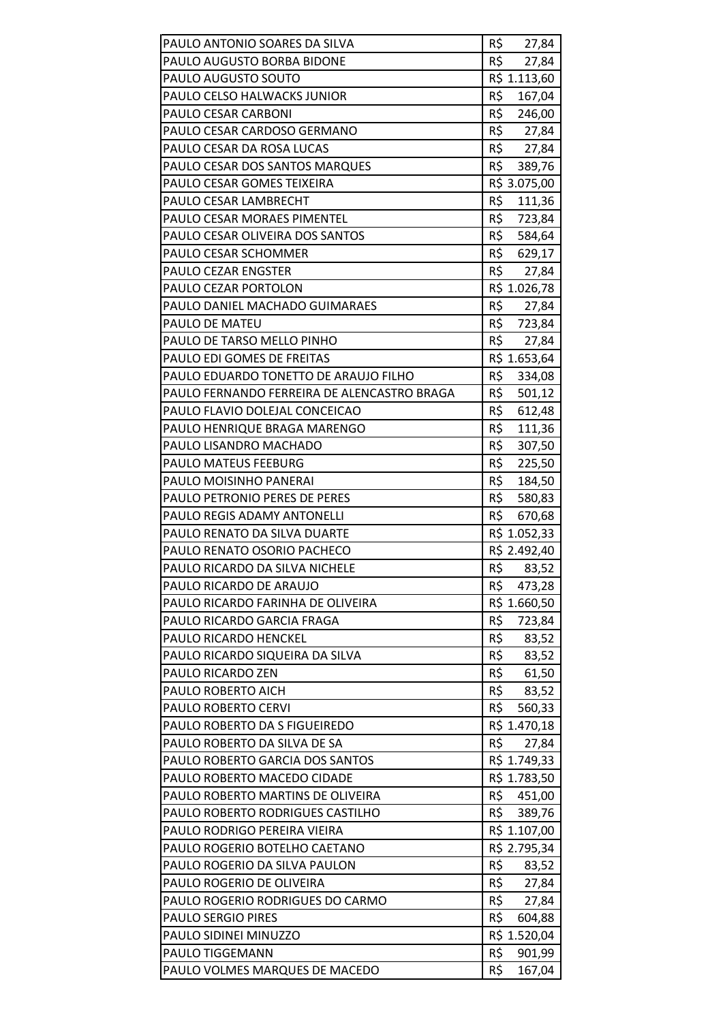| PAULO ANTONIO SOARES DA SILVA                                         | R\$<br>27,84            |
|-----------------------------------------------------------------------|-------------------------|
| PAULO AUGUSTO BORBA BIDONE                                            | R\$<br>27,84            |
| PAULO AUGUSTO SOUTO                                                   | R\$ 1.113,60            |
| PAULO CELSO HALWACKS JUNIOR                                           | R\$<br>167,04           |
| PAULO CESAR CARBONI                                                   | R\$<br>246,00           |
| PAULO CESAR CARDOSO GERMANO                                           | R\$ 27,84               |
| PAULO CESAR DA ROSA LUCAS                                             | R\$<br>27,84            |
| PAULO CESAR DOS SANTOS MARQUES                                        | R\$<br>389,76           |
| PAULO CESAR GOMES TEIXEIRA                                            | R\$ 3.075,00            |
| PAULO CESAR LAMBRECHT                                                 | R\$<br>111,36           |
| PAULO CESAR MORAES PIMENTEL                                           | R\$<br>723,84           |
| PAULO CESAR OLIVEIRA DOS SANTOS                                       | R\$<br>584,64           |
| PAULO CESAR SCHOMMER                                                  | R\$<br>629,17           |
| PAULO CEZAR ENGSTER                                                   | R\$<br>27,84            |
| PAULO CEZAR PORTOLON                                                  | R\$ 1.026,78            |
| PAULO DANIEL MACHADO GUIMARAES                                        | R\$<br>27,84            |
| PAULO DE MATEU                                                        | R\$<br>723,84           |
| PAULO DE TARSO MELLO PINHO                                            | R\$<br>27,84            |
| PAULO EDI GOMES DE FREITAS                                            | R\$ 1.653,64            |
| PAULO EDUARDO TONETTO DE ARAUJO FILHO                                 | R\$<br>334,08           |
| PAULO FERNANDO FERREIRA DE ALENCASTRO BRAGA                           | R\$<br>501,12           |
| PAULO FLAVIO DOLEJAL CONCEICAO                                        | R\$<br>612,48           |
| PAULO HENRIQUE BRAGA MARENGO                                          | R\$<br>111,36           |
| PAULO LISANDRO MACHADO                                                | R\$<br>307,50           |
| <b>PAULO MATEUS FEEBURG</b>                                           | R\$<br>225,50           |
| PAULO MOISINHO PANERAI                                                | R\$<br>184,50           |
| <b>PAULO PETRONIO PERES DE PERES</b>                                  | R\$<br>580,83           |
| <b>PAULO REGIS ADAMY ANTONELLI</b>                                    | R\$<br>670,68           |
| PAULO RENATO DA SILVA DUARTE                                          | R\$ 1.052,33            |
| PAULO RENATO OSORIO PACHECO                                           | R\$ 2.492,40            |
| PAULO RICARDO DA SILVA NICHELE                                        | R\$<br>83,52            |
| PAULO RICARDO DE ARAUJO                                               | R\$<br>473,28           |
| PAULO RICARDO FARINHA DE OLIVEIRA                                     | R\$ 1.660,50            |
| PAULO RICARDO GARCIA FRAGA                                            | R\$<br>723,84           |
| PAULO RICARDO HENCKEL                                                 | R\$<br>83,52            |
| PAULO RICARDO SIQUEIRA DA SILVA                                       | R\$<br>83,52            |
| PAULO RICARDO ZEN                                                     | R\$<br>61,50            |
| PAULO ROBERTO AICH                                                    | R\$<br>83,52            |
| PAULO ROBERTO CERVI                                                   | R\$<br>560,33           |
| PAULO ROBERTO DA S FIGUEIREDO                                         | R\$ 1.470,18            |
| PAULO ROBERTO DA SILVA DE SA                                          | R\$<br>27,84            |
| PAULO ROBERTO GARCIA DOS SANTOS                                       | R\$ 1.749,33            |
| PAULO ROBERTO MACEDO CIDADE                                           | R\$ 1.783,50<br>R\$     |
| PAULO ROBERTO MARTINS DE OLIVEIRA<br>PAULO ROBERTO RODRIGUES CASTILHO | 451,00<br>R\$<br>389,76 |
| PAULO RODRIGO PEREIRA VIEIRA                                          | R\$ 1.107,00            |
| PAULO ROGERIO BOTELHO CAETANO                                         | R\$ 2.795,34            |
| PAULO ROGERIO DA SILVA PAULON                                         | R\$<br>83,52            |
| PAULO ROGERIO DE OLIVEIRA                                             | R\$<br>27,84            |
| PAULO ROGERIO RODRIGUES DO CARMO                                      | R\$<br>27,84            |
| <b>PAULO SERGIO PIRES</b>                                             | R\$<br>604,88           |
| PAULO SIDINEI MINUZZO                                                 | R\$ 1.520,04            |
| PAULO TIGGEMANN                                                       | R\$<br>901,99           |
| PAULO VOLMES MARQUES DE MACEDO                                        | R\$<br>167,04           |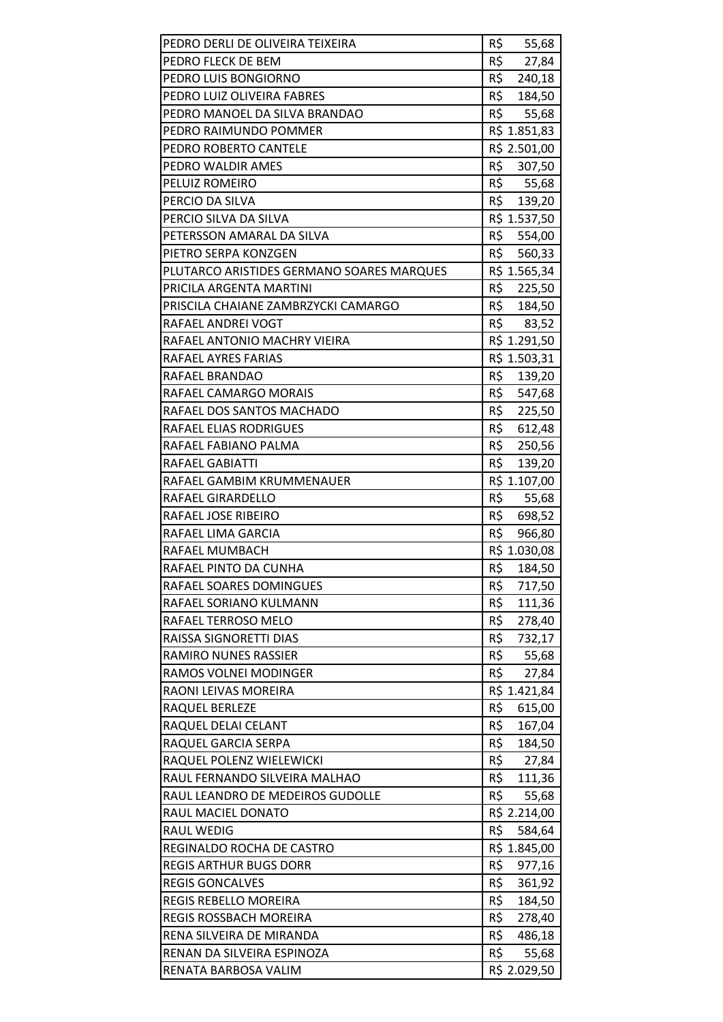| PEDRO DERLI DE OLIVEIRA TEIXEIRA          | R\$<br>55,68  |
|-------------------------------------------|---------------|
| PEDRO FLECK DE BEM                        | R\$<br>27,84  |
| PEDRO LUIS BONGIORNO                      | R\$<br>240,18 |
| PEDRO LUIZ OLIVEIRA FABRES                | R\$<br>184,50 |
| PEDRO MANOEL DA SILVA BRANDAO             | R\$ 55,68     |
| PEDRO RAIMUNDO POMMER                     | R\$ 1.851,83  |
| PEDRO ROBERTO CANTELE                     | R\$ 2.501,00  |
| PEDRO WALDIR AMES                         | R\$ 307,50    |
| PELUIZ ROMEIRO                            | R\$<br>55,68  |
| PERCIO DA SILVA                           | R\$ 139,20    |
| PERCIO SILVA DA SILVA                     | R\$ 1.537,50  |
| PETERSSON AMARAL DA SILVA                 | R\$ 554,00    |
| PIETRO SERPA KONZGEN                      | R\$<br>560,33 |
| PLUTARCO ARISTIDES GERMANO SOARES MARQUES | R\$ 1.565,34  |
| PRICILA ARGENTA MARTINI                   | R\$ 225,50    |
| PRISCILA CHAIANE ZAMBRZYCKI CAMARGO       | R\$ 184,50    |
| RAFAEL ANDREI VOGT                        | R\$<br>83,52  |
| RAFAEL ANTONIO MACHRY VIEIRA              | R\$ 1.291,50  |
| RAFAEL AYRES FARIAS                       | R\$ 1.503,31  |
| RAFAEL BRANDAO                            | R\$ 139,20    |
| RAFAEL CAMARGO MORAIS                     | R\$ 547,68    |
| RAFAEL DOS SANTOS MACHADO                 | R\$<br>225,50 |
| RAFAEL ELIAS RODRIGUES                    | R\$<br>612,48 |
| RAFAEL FABIANO PALMA                      | R\$<br>250,56 |
| RAFAEL GABIATTI                           | R\$<br>139,20 |
| RAFAEL GAMBIM KRUMMENAUER                 | R\$ 1.107,00  |
| RAFAEL GIRARDELLO                         | R\$<br>55,68  |
| RAFAEL JOSE RIBEIRO                       | R\$<br>698,52 |
| RAFAEL LIMA GARCIA                        | R\$<br>966,80 |
| RAFAEL MUMBACH                            | R\$ 1.030,08  |
| RAFAEL PINTO DA CUNHA                     | R\$<br>184,50 |
| RAFAEL SOARES DOMINGUES                   | R\$<br>717,50 |
| RAFAEL SORIANO KULMANN                    | R\$<br>111,36 |
| RAFAEL TERROSO MELO                       | R\$<br>278,40 |
| RAISSA SIGNORETTI DIAS                    | R\$<br>732,17 |
| <b>RAMIRO NUNES RASSIER</b>               | R\$<br>55,68  |
| RAMOS VOLNEI MODINGER                     | R\$<br>27,84  |
| RAONI LEIVAS MOREIRA                      | R\$ 1.421,84  |
| RAQUEL BERLEZE                            | R\$<br>615,00 |
| RAQUEL DELAI CELANT                       | R\$<br>167,04 |
| RAQUEL GARCIA SERPA                       | R\$<br>184,50 |
| RAQUEL POLENZ WIELEWICKI                  | R\$<br>27,84  |
| RAUL FERNANDO SILVEIRA MALHAO             | R\$<br>111,36 |
| RAUL LEANDRO DE MEDEIROS GUDOLLE          | R\$<br>55,68  |
| RAUL MACIEL DONATO                        | R\$ 2.214,00  |
| <b>RAUL WEDIG</b>                         | R\$<br>584,64 |
| REGINALDO ROCHA DE CASTRO                 | R\$ 1.845,00  |
| <b>REGIS ARTHUR BUGS DORR</b>             | R\$<br>977,16 |
| <b>REGIS GONCALVES</b>                    | R\$<br>361,92 |
| REGIS REBELLO MOREIRA                     | R\$<br>184,50 |
| <b>REGIS ROSSBACH MOREIRA</b>             | R\$<br>278,40 |
| RENA SILVEIRA DE MIRANDA                  | R\$<br>486,18 |
| RENAN DA SILVEIRA ESPINOZA                | R\$<br>55,68  |
| RENATA BARBOSA VALIM                      | R\$ 2.029,50  |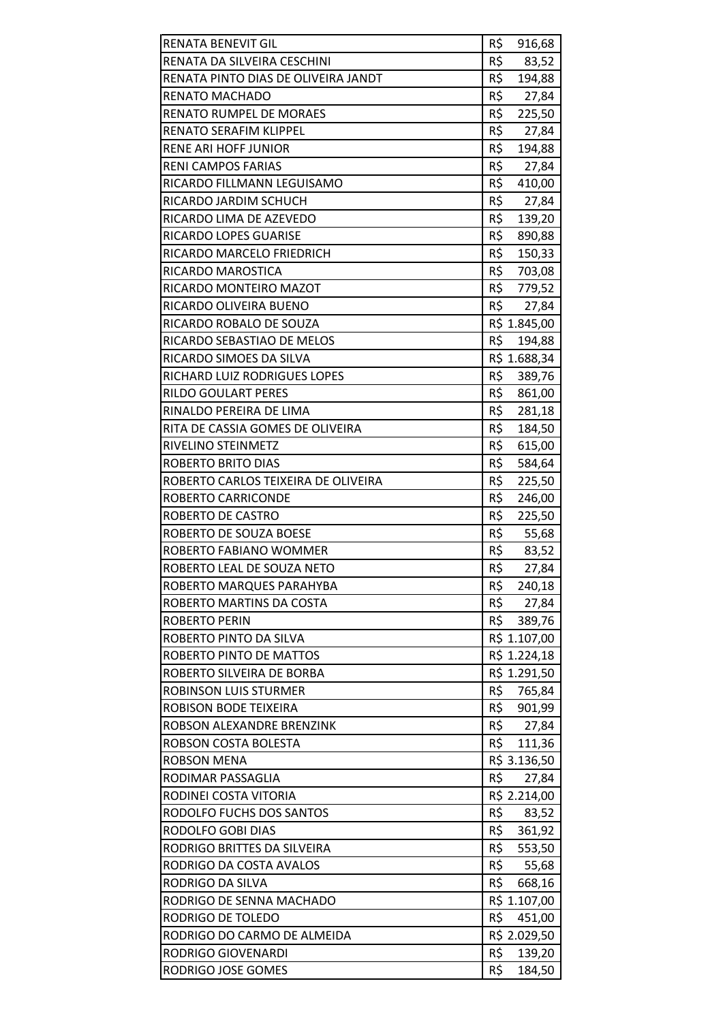| RENATA BENEVIT GIL                            | R\$<br>916,68          |
|-----------------------------------------------|------------------------|
| RENATA DA SILVEIRA CESCHINI                   | R\$<br>83,52           |
| RENATA PINTO DIAS DE OLIVEIRA JANDT           | R\$<br>194,88          |
| RENATO MACHADO                                | R\$<br>27,84           |
| RENATO RUMPEL DE MORAES                       | R\$<br>225,50          |
| RENATO SERAFIM KLIPPEL                        | R\$<br>27,84           |
| RENE ARI HOFF JUNIOR                          | R\$<br>194,88          |
| <b>RENI CAMPOS FARIAS</b>                     | R\$<br>27,84           |
| RICARDO FILLMANN LEGUISAMO                    | R\$<br>410,00          |
| RICARDO JARDIM SCHUCH                         | R\$<br>27,84           |
| RICARDO LIMA DE AZEVEDO                       | R\$<br>139,20          |
| RICARDO LOPES GUARISE                         | R\$<br>890,88          |
| RICARDO MARCELO FRIEDRICH                     | R\$<br>150,33          |
| RICARDO MAROSTICA                             | R\$<br>703,08          |
| RICARDO MONTEIRO MAZOT                        | R\$<br>779,52          |
| RICARDO OLIVEIRA BUENO                        | R\$ 27,84              |
| RICARDO ROBALO DE SOUZA                       | R\$ 1.845,00           |
| RICARDO SEBASTIAO DE MELOS                    | R\$<br>194,88          |
| RICARDO SIMOES DA SILVA                       | R\$ 1.688,34           |
| RICHARD LUIZ RODRIGUES LOPES                  | R\$<br>389,76          |
| <b>RILDO GOULART PERES</b>                    | R\$<br>861,00          |
| RINALDO PEREIRA DE LIMA                       | R\$<br>281,18          |
| RITA DE CASSIA GOMES DE OLIVEIRA              | R\$<br>184,50          |
| RIVELINO STEINMETZ                            | R\$<br>615,00          |
| ROBERTO BRITO DIAS                            | R\$<br>584,64          |
| ROBERTO CARLOS TEIXEIRA DE OLIVEIRA           | R\$<br>225,50          |
| ROBERTO CARRICONDE                            | R\$<br>246,00          |
| ROBERTO DE CASTRO                             | R\$<br>225,50          |
| ROBERTO DE SOUZA BOESE                        | R\$<br>55,68           |
| ROBERTO FABIANO WOMMER                        | R\$<br>83,52           |
| ROBERTO LEAL DE SOUZA NETO                    | R\$<br>27,84           |
| ROBERTO MARQUES PARAHYBA                      | R\$<br>240,18          |
| ROBERTO MARTINS DA COSTA                      | R\$<br>27,84           |
| <b>ROBERTO PERIN</b>                          | R\$<br>389,76          |
| ROBERTO PINTO DA SILVA                        | R\$ 1.107,00           |
| ROBERTO PINTO DE MATTOS                       | R\$ 1.224,18           |
| ROBERTO SILVEIRA DE BORBA                     | R\$ 1.291,50           |
| <b>ROBINSON LUIS STURMER</b>                  | R\$<br>765,84          |
| ROBISON BODE TEIXEIRA                         | R\$<br>901,99          |
| ROBSON ALEXANDRE BRENZINK                     | R\$<br>27,84           |
| ROBSON COSTA BOLESTA                          | R\$<br>111,36          |
| <b>ROBSON MENA</b>                            | R\$ 3.136,50           |
| RODIMAR PASSAGLIA                             | R\$<br>27,84           |
| RODINEI COSTA VITORIA                         | R\$ 2.214,00           |
| RODOLFO FUCHS DOS SANTOS                      | R\$<br>83,52           |
| RODOLFO GOBI DIAS                             | R\$<br>361,92          |
| RODRIGO BRITTES DA SILVEIRA                   | R\$<br>553,50          |
| RODRIGO DA COSTA AVALOS                       | R\$<br>55,68           |
| RODRIGO DA SILVA                              | R\$<br>668,16          |
| RODRIGO DE SENNA MACHADO<br>RODRIGO DE TOLEDO | R\$ 1.107,00<br>R\$    |
| RODRIGO DO CARMO DE ALMEIDA                   | 451,00<br>R\$ 2.029,50 |
| RODRIGO GIOVENARDI                            | R\$<br>139,20          |
| RODRIGO JOSE GOMES                            | R\$<br>184,50          |
|                                               |                        |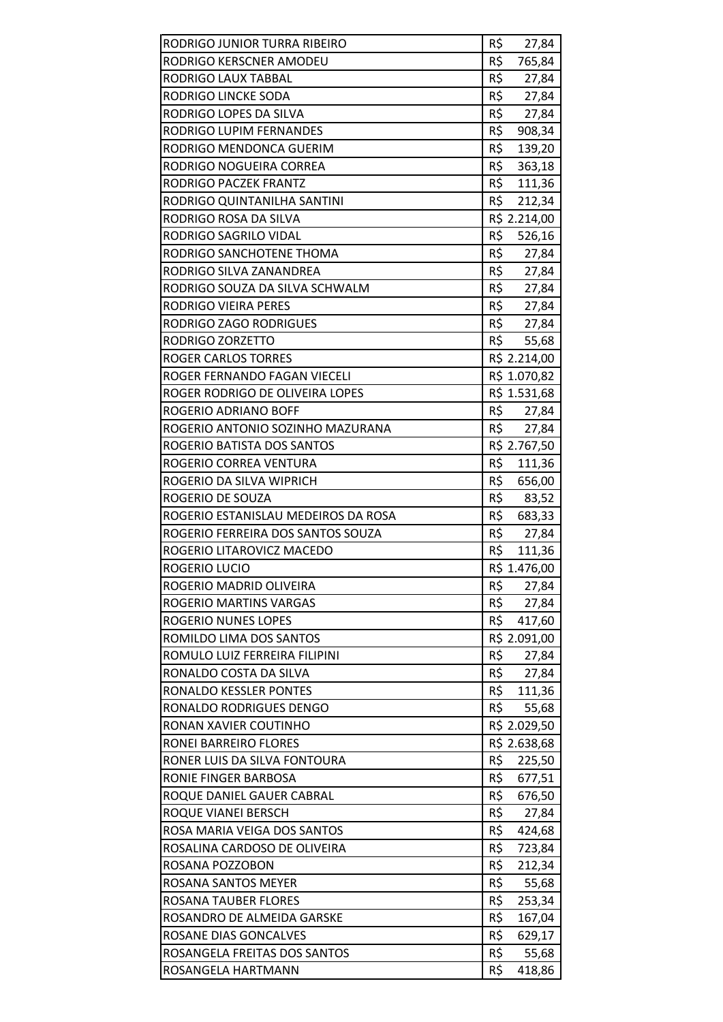| RODRIGO JUNIOR TURRA RIBEIRO        | R\$<br>27,84        |
|-------------------------------------|---------------------|
| RODRIGO KERSCNER AMODEU             | R\$<br>765,84       |
| RODRIGO LAUX TABBAL                 | R\$<br>27,84        |
| RODRIGO LINCKE SODA                 | R\$<br>27,84        |
| RODRIGO LOPES DA SILVA              | R\$<br>27,84        |
| RODRIGO LUPIM FERNANDES             | R\$<br>908,34       |
| RODRIGO MENDONCA GUERIM             | R\$<br>139,20       |
| RODRIGO NOGUEIRA CORREA             | R\$<br>363,18       |
| RODRIGO PACZEK FRANTZ               | R\$<br>111,36       |
| RODRIGO QUINTANILHA SANTINI         | R\$<br>212,34       |
| RODRIGO ROSA DA SILVA               | R\$ 2.214,00        |
| RODRIGO SAGRILO VIDAL               | R\$<br>526,16       |
| RODRIGO SANCHOTENE THOMA            | R\$<br>27,84        |
| RODRIGO SILVA ZANANDREA             | R\$<br>27,84        |
| RODRIGO SOUZA DA SILVA SCHWALM      | R\$<br>27,84        |
| RODRIGO VIEIRA PERES                | R\$ 27,84           |
| RODRIGO ZAGO RODRIGUES              | R\$<br>27,84        |
| RODRIGO ZORZETTO                    | R\$<br>55,68        |
| <b>ROGER CARLOS TORRES</b>          | R\$ 2.214,00        |
| ROGER FERNANDO FAGAN VIECELI        | R\$ 1.070,82        |
| ROGER RODRIGO DE OLIVEIRA LOPES     | R\$ 1.531,68        |
| ROGERIO ADRIANO BOFF                | R\$<br>27,84        |
| ROGERIO ANTONIO SOZINHO MAZURANA    | R\$<br>27,84        |
| ROGERIO BATISTA DOS SANTOS          | R\$ 2.767,50        |
| ROGERIO CORREA VENTURA              | R\$<br>111,36       |
| ROGERIO DA SILVA WIPRICH            | R\$<br>656,00       |
| ROGERIO DE SOUZA                    | R\$<br>83,52        |
| ROGERIO ESTANISLAU MEDEIROS DA ROSA | R\$<br>683,33       |
| ROGERIO FERREIRA DOS SANTOS SOUZA   | R\$<br>27,84        |
| ROGERIO LITAROVICZ MACEDO           | R\$<br>111,36       |
| <b>ROGERIO LUCIO</b>                | R\$ 1.476,00        |
| ROGERIO MADRID OLIVEIRA             | R\$<br>27,84        |
| ROGERIO MARTINS VARGAS              | R\$<br>27,84        |
| <b>ROGERIO NUNES LOPES</b>          | R\$<br>417,60       |
| ROMILDO LIMA DOS SANTOS             | R\$ 2.091,00        |
| ROMULO LUIZ FERREIRA FILIPINI       | R\$<br>27,84        |
| RONALDO COSTA DA SILVA              | R\$<br>27,84        |
| RONALDO KESSLER PONTES              | R\$<br>111,36       |
| RONALDO RODRIGUES DENGO             | R\$<br>55,68        |
| RONAN XAVIER COUTINHO               | R\$ 2.029,50        |
| RONEI BARREIRO FLORES               | R\$ 2.638,68        |
| RONER LUIS DA SILVA FONTOURA        | R\$<br>225,50       |
| RONIE FINGER BARBOSA                | R\$<br>677,51       |
| ROQUE DANIEL GAUER CABRAL           | R\$<br>676,50       |
| ROQUE VIANEI BERSCH                 | R\$<br>27,84        |
| ROSA MARIA VEIGA DOS SANTOS         | R\$<br>424,68       |
| ROSALINA CARDOSO DE OLIVEIRA        | R\$<br>723,84       |
| ROSANA POZZOBON                     | R\$<br>212,34       |
| ROSANA SANTOS MEYER                 | R\$<br>55,68        |
| ROSANA TAUBER FLORES                | R\$<br>253,34       |
| ROSANDRO DE ALMEIDA GARSKE          | R\$<br>167,04       |
| ROSANE DIAS GONCALVES               | R\$<br>629,17       |
|                                     |                     |
| ROSANGELA FREITAS DOS SANTOS        | R\$<br>55,68<br>R\$ |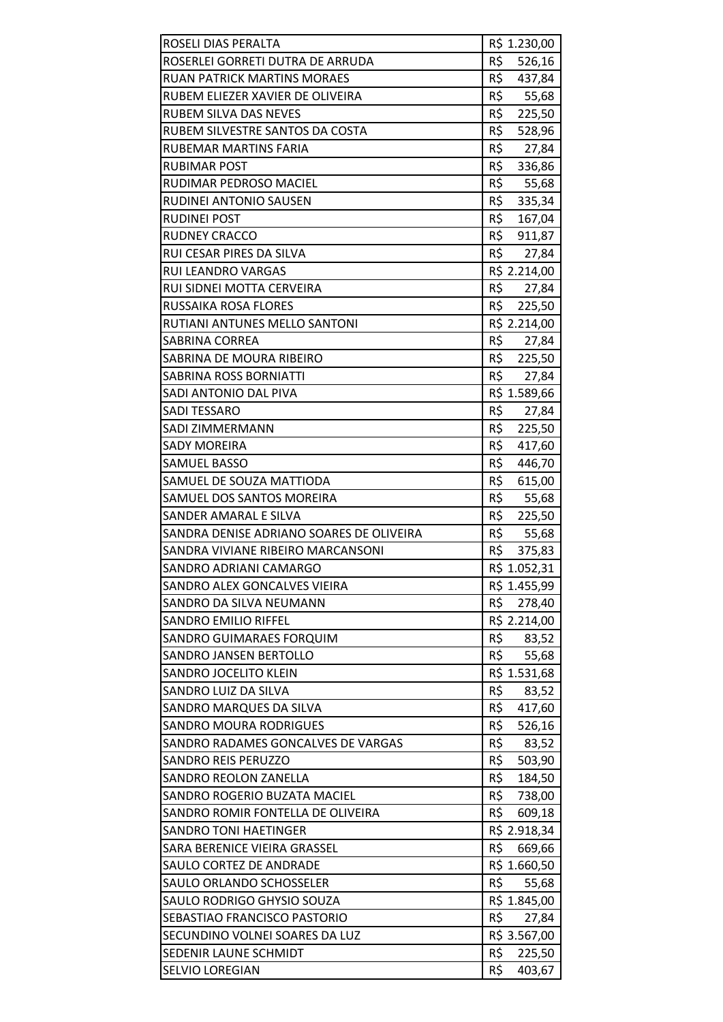| ROSELI DIAS PERALTA                                        | R\$ 1.230,00          |
|------------------------------------------------------------|-----------------------|
| ROSERLEI GORRETI DUTRA DE ARRUDA                           | R\$<br>526,16         |
| <b>RUAN PATRICK MARTINS MORAES</b>                         | R\$<br>437,84         |
| RUBEM ELIEZER XAVIER DE OLIVEIRA                           | R\$<br>55,68          |
| <b>RUBEM SILVA DAS NEVES</b>                               | R\$<br>225,50         |
| RUBEM SILVESTRE SANTOS DA COSTA                            | R\$<br>528,96         |
| RUBEMAR MARTINS FARIA                                      | R\$<br>27,84          |
| <b>RUBIMAR POST</b>                                        | R\$<br>336,86         |
| RUDIMAR PEDROSO MACIEL                                     | R\$<br>55,68          |
| RUDINEI ANTONIO SAUSEN                                     | R\$<br>335,34         |
| <b>RUDINEI POST</b>                                        | R\$<br>167,04         |
| <b>RUDNEY CRACCO</b>                                       | R\$<br>911,87         |
| RUI CESAR PIRES DA SILVA                                   | R\$<br>27,84          |
| RUI LEANDRO VARGAS                                         | R\$ 2.214,00          |
| RUI SIDNEI MOTTA CERVEIRA                                  | R\$ 27,84             |
| RUSSAIKA ROSA FLORES                                       | R\$ 225,50            |
| RUTIANI ANTUNES MELLO SANTONI                              | R\$ 2.214,00          |
| <b>SABRINA CORREA</b>                                      | R\$<br>27,84          |
| SABRINA DE MOURA RIBEIRO                                   | R\$<br>225,50         |
| <b>SABRINA ROSS BORNIATTI</b>                              | R\$ 27,84             |
| SADI ANTONIO DAL PIVA                                      | R\$ 1.589,66          |
| <b>SADI TESSARO</b>                                        | R\$<br>27,84          |
| SADI ZIMMERMANN                                            | R\$<br>225,50         |
| <b>SADY MOREIRA</b>                                        | R\$<br>417,60         |
| <b>SAMUEL BASSO</b>                                        | R\$<br>446,70         |
| SAMUEL DE SOUZA MATTIODA                                   | R\$<br>615,00         |
| SAMUEL DOS SANTOS MOREIRA                                  | R\$<br>55,68          |
| SANDER AMARAL E SILVA                                      | R\$<br>225,50         |
| SANDRA DENISE ADRIANO SOARES DE OLIVEIRA                   | R\$<br>55,68          |
| SANDRA VIVIANE RIBEIRO MARCANSONI                          | R\$<br>375,83         |
| SANDRO ADRIANI CAMARGO                                     | R\$ 1.052,31          |
| SANDRO ALEX GONCALVES VIEIRA                               | R\$ 1.455,99          |
| SANDRO DA SILVA NEUMANN                                    | R\$<br>278,40         |
| <b>SANDRO EMILIO RIFFEL</b>                                | R\$ 2.214,00          |
| SANDRO GUIMARAES FORQUIM                                   | R\$<br>83,52          |
| <b>SANDRO JANSEN BERTOLLO</b>                              | R\$<br>55,68          |
| SANDRO JOCELITO KLEIN                                      | R\$ 1.531,68          |
| SANDRO LUIZ DA SILVA                                       | R\$<br>83,52          |
| SANDRO MARQUES DA SILVA                                    | R\$<br>417,60         |
| <b>SANDRO MOURA RODRIGUES</b>                              | R\$<br>526,16         |
| SANDRO RADAMES GONCALVES DE VARGAS                         | R\$<br>83,52          |
| <b>SANDRO REIS PERUZZO</b>                                 | R\$<br>503,90         |
| <b>SANDRO REOLON ZANELLA</b>                               | R\$<br>184,50         |
| SANDRO ROGERIO BUZATA MACIEL                               | R\$<br>738,00         |
| SANDRO ROMIR FONTELLA DE OLIVEIRA                          | R\$<br>609,18         |
| <b>SANDRO TONI HAETINGER</b>                               | R\$ 2.918,34          |
| SARA BERENICE VIEIRA GRASSEL                               | R\$<br>669,66         |
| SAULO CORTEZ DE ANDRADE                                    | R\$ 1.660,50<br>R\$   |
| SAULO ORLANDO SCHOSSELER                                   | 55,68                 |
| SAULO RODRIGO GHYSIO SOUZA<br>SEBASTIAO FRANCISCO PASTORIO | R\$ 1.845,00<br>R\$   |
| SECUNDINO VOLNEI SOARES DA LUZ                             | 27,84<br>R\$ 3.567,00 |
| SEDENIR LAUNE SCHMIDT                                      | R\$<br>225,50         |
| SELVIO LOREGIAN                                            | R\$<br>403,67         |
|                                                            |                       |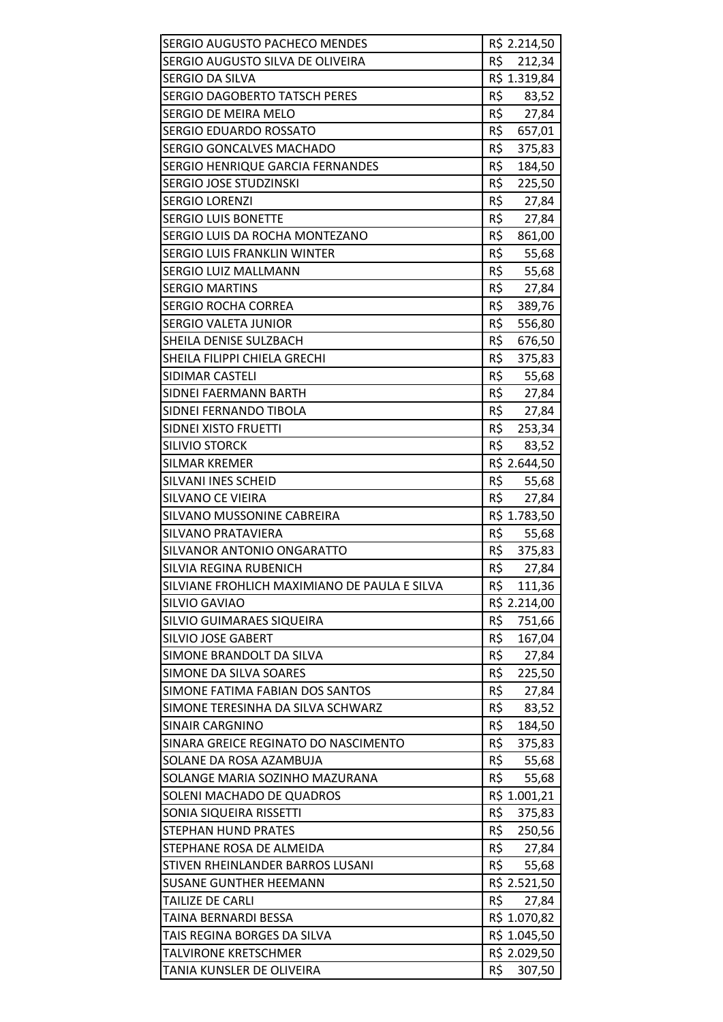| SERGIO AUGUSTO PACHECO MENDES                   | R\$ 2.214,50                 |
|-------------------------------------------------|------------------------------|
| SERGIO AUGUSTO SILVA DE OLIVEIRA                | R\$<br>212,34                |
| SERGIO DA SILVA                                 | R\$ 1.319,84                 |
| <b>SERGIO DAGOBERTO TATSCH PERES</b>            | R\$<br>83,52                 |
| SERGIO DE MEIRA MELO                            | R\$<br>27,84                 |
| SERGIO EDUARDO ROSSATO                          | R\$<br>657,01                |
| SERGIO GONCALVES MACHADO                        | R\$<br>375,83                |
| SERGIO HENRIQUE GARCIA FERNANDES                | R\$<br>184,50                |
| SERGIO JOSE STUDZINSKI                          | R\$<br>225,50                |
| <b>SERGIO LORENZI</b>                           | R\$<br>27,84                 |
| <b>SERGIO LUIS BONETTE</b>                      | R\$<br>27,84                 |
| SERGIO LUIS DA ROCHA MONTEZANO                  | R\$<br>861,00                |
| <b>SERGIO LUIS FRANKLIN WINTER</b>              | R\$<br>55,68                 |
| <b>SERGIO LUIZ MALLMANN</b>                     | R\$<br>55,68                 |
| <b>SERGIO MARTINS</b>                           | R\$<br>27,84                 |
| <b>SERGIO ROCHA CORREA</b>                      | R\$<br>389,76                |
| <b>SERGIO VALETA JUNIOR</b>                     | R\$<br>556,80                |
| SHEILA DENISE SULZBACH                          | R\$<br>676,50                |
| SHEILA FILIPPI CHIELA GRECHI                    | R\$<br>375,83                |
| SIDIMAR CASTELI                                 | R\$<br>55,68                 |
| SIDNEI FAERMANN BARTH                           | R\$ 27,84                    |
| SIDNEI FERNANDO TIBOLA                          | R\$<br>27,84                 |
| SIDNEI XISTO FRUETTI                            | R\$<br>253,34                |
| <b>SILIVIO STORCK</b>                           | R\$<br>83,52                 |
| <b>SILMAR KREMER</b>                            | R\$ 2.644,50                 |
| SILVANI INES SCHEID                             | R\$<br>55,68                 |
| SILVANO CE VIEIRA                               | R\$<br>27,84                 |
| SILVANO MUSSONINE CABREIRA                      | R\$ 1.783,50                 |
| SILVANO PRATAVIERA                              | R\$<br>55,68                 |
| SILVANOR ANTONIO ONGARATTO                      | R\$<br>375,83                |
| SILVIA REGINA RUBENICH                          | R\$<br>27,84                 |
| SILVIANE FROHLICH MAXIMIANO DE PAULA E SILVA    | R\$<br>111,36                |
| <b>SILVIO GAVIAO</b>                            | R\$ 2.214,00                 |
| SILVIO GUIMARAES SIQUEIRA                       | R\$<br>751,66                |
| <b>SILVIO JOSE GABERT</b>                       | R\$<br>167,04                |
| SIMONE BRANDOLT DA SILVA                        | R\$<br>27,84                 |
| SIMONE DA SILVA SOARES                          | R\$<br>225,50                |
| SIMONE FATIMA FABIAN DOS SANTOS                 | R\$<br>27,84                 |
| SIMONE TERESINHA DA SILVA SCHWARZ               | R\$<br>83,52                 |
| SINAIR CARGNINO                                 | R\$<br>184,50                |
| SINARA GREICE REGINATO DO NASCIMENTO            | R\$<br>375,83                |
| SOLANE DA ROSA AZAMBUJA                         | R\$<br>55,68                 |
| SOLANGE MARIA SOZINHO MAZURANA                  | R\$<br>55,68                 |
| SOLENI MACHADO DE QUADROS                       | R\$ 1.001,21                 |
| SONIA SIQUEIRA RISSETTI                         | R\$<br>375,83                |
| STEPHAN HUND PRATES                             | R\$<br>250,56                |
| STEPHANE ROSA DE ALMEIDA                        | R\$<br>27,84                 |
| STIVEN RHEINLANDER BARROS LUSANI                | R\$<br>55,68                 |
| <b>SUSANE GUNTHER HEEMANN</b>                   | R\$ 2.521,50                 |
| <b>TAILIZE DE CARLI</b><br>TAINA BERNARDI BESSA | R\$<br>27,84                 |
| TAIS REGINA BORGES DA SILVA                     | R\$ 1.070,82<br>R\$ 1.045,50 |
| <b>TALVIRONE KRETSCHMER</b>                     | R\$ 2.029,50                 |
| TANIA KUNSLER DE OLIVEIRA                       | R\$<br>307,50                |
|                                                 |                              |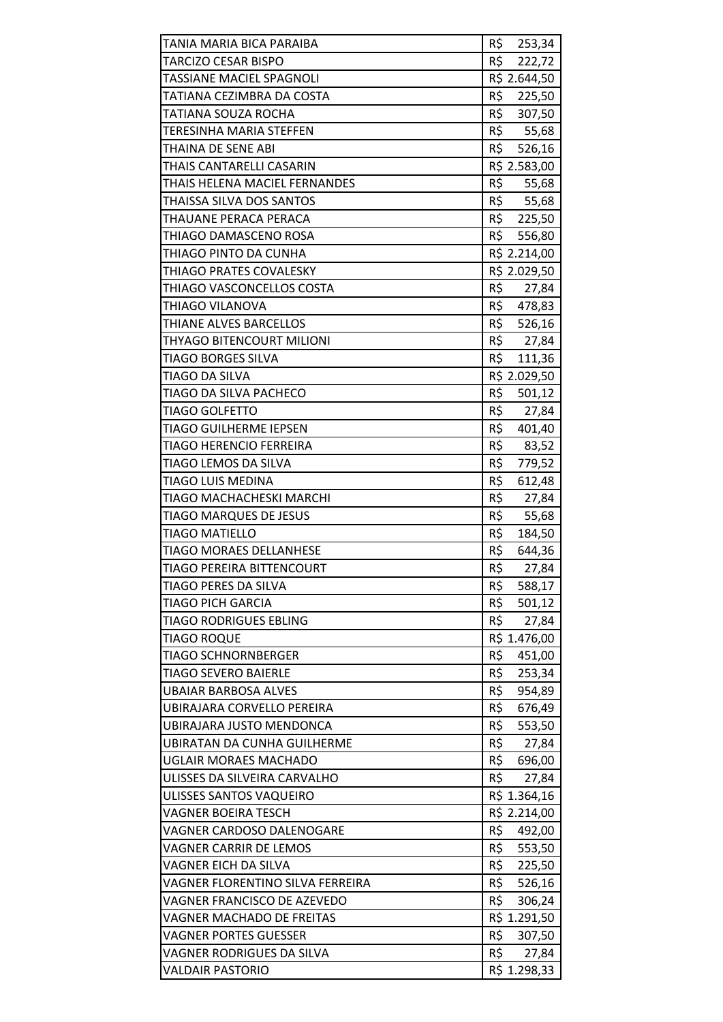| TANIA MARIA BICA PARAIBA           | R\$ 253,34              |
|------------------------------------|-------------------------|
| TARCIZO CESAR BISPO                | R\$<br>222,72           |
| TASSIANE MACIEL SPAGNOLI           | R\$ 2.644,50            |
| TATIANA CEZIMBRA DA COSTA          | R\$<br>225,50           |
| TATIANA SOUZA ROCHA                | R\$ 307,50              |
| TERESINHA MARIA STEFFEN            | R\$ 55,68               |
| THAINA DE SENE ABI                 | R\$<br>526,16           |
| THAIS CANTARELLI CASARIN           | R\$ 2.583,00            |
| THAIS HELENA MACIEL FERNANDES      | R\$<br>55,68            |
| THAISSA SILVA DOS SANTOS           | R\$ 55,68               |
| THAUANE PERACA PERACA              | R\$ 225,50              |
| THIAGO DAMASCENO ROSA              | R\$<br>556,80           |
| THIAGO PINTO DA CUNHA              | R\$ 2.214,00            |
| THIAGO PRATES COVALESKY            | R\$ 2.029,50            |
| THIAGO VASCONCELLOS COSTA          | R\$ 27,84               |
| THIAGO VILANOVA                    | R\$ 478,83              |
| THIANE ALVES BARCELLOS             | R\$<br>526,16           |
| THYAGO BITENCOURT MILIONI          | R\$<br>27,84            |
| TIAGO BORGES SILVA                 | R\$<br>111,36           |
| TIAGO DA SILVA                     | R\$ 2.029,50            |
| TIAGO DA SILVA PACHECO             | R\$ 501,12              |
| TIAGO GOLFETTO                     | R\$<br>27,84            |
| TIAGO GUILHERME IEPSEN             | R\$<br>401,40           |
| TIAGO HERENCIO FERREIRA            | R\$<br>83,52            |
| TIAGO LEMOS DA SILVA               | R\$<br>779,52           |
| <b>TIAGO LUIS MEDINA</b>           | R\$<br>612,48           |
| TIAGO MACHACHESKI MARCHI           | R\$                     |
| TIAGO MARQUES DE JESUS             | 27,84<br>R\$            |
| TIAGO MATIELLO                     | 55,68<br>R\$<br>184,50  |
| <b>TIAGO MORAES DELLANHESE</b>     | R\$<br>644,36           |
| TIAGO PEREIRA BITTENCOURT          | R\$<br>27,84            |
| TIAGO PERES DA SILVA               | R\$<br>588,17           |
| <b>TIAGO PICH GARCIA</b>           | R\$<br>501,12           |
| <b>TIAGO RODRIGUES EBLING</b>      | R\$<br>27,84            |
| TIAGO ROQUE                        | R\$ 1.476,00            |
| <b>TIAGO SCHNORNBERGER</b>         | R\$<br>451,00           |
| TIAGO SEVERO BAIERLE               | R\$<br>253,34           |
| UBAIAR BARBOSA ALVES               | R\$<br>954,89           |
| UBIRAJARA CORVELLO PEREIRA         | R\$<br>676,49           |
| UBIRAJARA JUSTO MENDONCA           | R\$<br>553,50           |
| <b>UBIRATAN DA CUNHA GUILHERME</b> | R\$<br>27,84            |
| UGLAIR MORAES MACHADO              | R\$                     |
| ULISSES DA SILVEIRA CARVALHO       | 696,00<br>R\$<br>27,84  |
| ULISSES SANTOS VAQUEIRO            | R\$ 1.364,16            |
| VAGNER BOEIRA TESCH                | R\$ 2.214,00            |
| VAGNER CARDOSO DALENOGARE          | R\$                     |
| VAGNER CARRIR DE LEMOS             | 492,00<br>R\$<br>553,50 |
| VAGNER EICH DA SILVA               | R\$<br>225,50           |
| VAGNER FLORENTINO SILVA FERREIRA   | R\$<br>526,16           |
| VAGNER FRANCISCO DE AZEVEDO        | R\$<br>306,24           |
| VAGNER MACHADO DE FREITAS          | R\$ 1.291,50            |
| VAGNER PORTES GUESSER              | R\$<br>307,50           |
| VAGNER RODRIGUES DA SILVA          | R\$<br>27,84            |
| <b>VALDAIR PASTORIO</b>            | R\$ 1.298,33            |
|                                    |                         |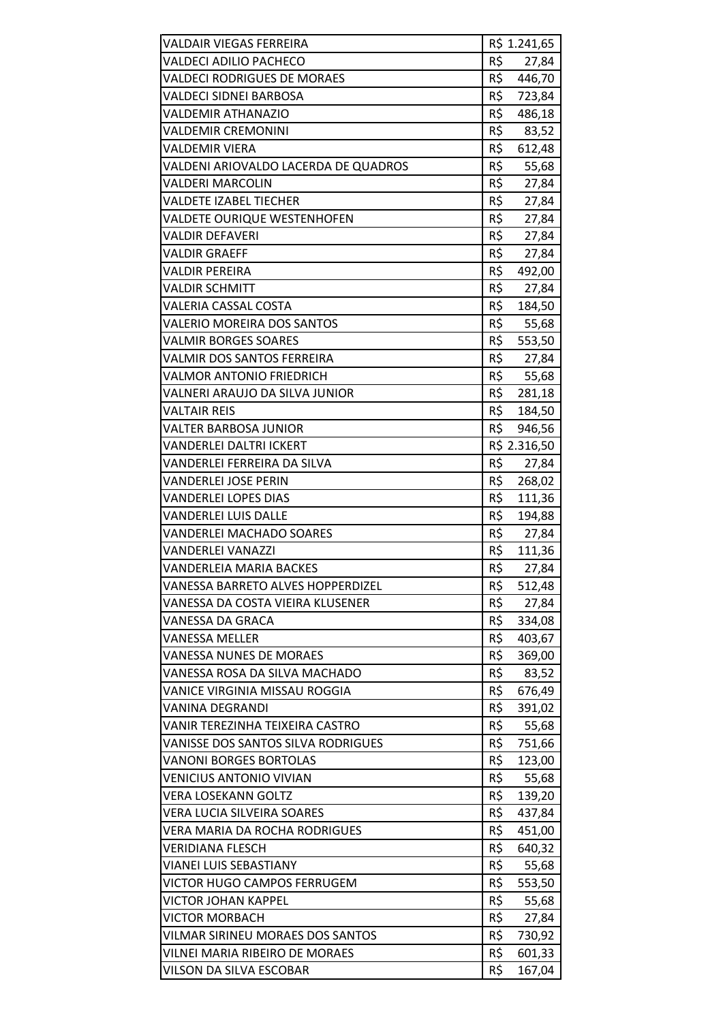| VALDAIR VIEGAS FERREIRA              |     | R\$ 1.241,65 |
|--------------------------------------|-----|--------------|
| VALDECI ADILIO PACHECO               | R\$ | 27,84        |
| <b>VALDECI RODRIGUES DE MORAES</b>   | R\$ | 446,70       |
| <b>VALDECI SIDNEI BARBOSA</b>        | R\$ | 723,84       |
| VALDEMIR ATHANAZIO                   | R\$ | 486,18       |
| <b>VALDEMIR CREMONINI</b>            | R\$ | 83,52        |
| <b>VALDEMIR VIERA</b>                | R\$ | 612,48       |
| VALDENI ARIOVALDO LACERDA DE QUADROS | R\$ | 55,68        |
| <b>VALDERI MARCOLIN</b>              | R\$ | 27,84        |
| <b>VALDETE IZABEL TIECHER</b>        | R\$ | 27,84        |
| VALDETE OURIQUE WESTENHOFEN          | R\$ | 27,84        |
| VALDIR DEFAVERI                      | R\$ | 27,84        |
| VALDIR GRAEFF                        | R\$ | 27,84        |
| <b>VALDIR PEREIRA</b>                | R\$ | 492,00       |
| <b>VALDIR SCHMITT</b>                | R\$ | 27,84        |
| VALERIA CASSAL COSTA                 | R\$ | 184,50       |
| <b>VALERIO MOREIRA DOS SANTOS</b>    | R\$ | 55,68        |
| VALMIR BORGES SOARES                 | R\$ | 553,50       |
| VALMIR DOS SANTOS FERREIRA           | R\$ | 27,84        |
| <b>VALMOR ANTONIO FRIEDRICH</b>      | R\$ | 55,68        |
| VALNERI ARAUJO DA SILVA JUNIOR       | R\$ | 281,18       |
| VALTAIR REIS                         | R\$ | 184,50       |
| VALTER BARBOSA JUNIOR                | R\$ | 946,56       |
| <b>VANDERLEI DALTRI ICKERT</b>       |     | R\$ 2.316,50 |
| VANDERLEI FERREIRA DA SILVA          | R\$ | 27,84        |
| VANDERLEI JOSE PERIN                 | R\$ | 268,02       |
| VANDERLEI LOPES DIAS                 | R\$ | 111,36       |
| VANDERLEI LUIS DALLE                 | R\$ | 194,88       |
| <b>VANDERLEI MACHADO SOARES</b>      | R\$ | 27,84        |
| VANDERLEI VANAZZI                    | R\$ | 111,36       |
| VANDERLEIA MARIA BACKES              | R\$ | 27,84        |
| VANESSA BARRETO ALVES HOPPERDIZEL    | R\$ | 512,48       |
| VANESSA DA COSTA VIEIRA KLUSENER     | R\$ | 27,84        |
| VANESSA DA GRACA                     | R\$ | 334,08       |
| <b>VANESSA MELLER</b>                | R\$ | 403,67       |
| VANESSA NUNES DE MORAES              | R\$ | 369,00       |
| VANESSA ROSA DA SILVA MACHADO        | R\$ | 83,52        |
| VANICE VIRGINIA MISSAU ROGGIA        | R\$ | 676,49       |
| VANINA DEGRANDI                      | R\$ | 391,02       |
| VANIR TEREZINHA TEIXEIRA CASTRO      | R\$ | 55,68        |
| VANISSE DOS SANTOS SILVA RODRIGUES   | R\$ | 751,66       |
| <b>VANONI BORGES BORTOLAS</b>        | R\$ | 123,00       |
| VENICIUS ANTONIO VIVIAN              | R\$ | 55,68        |
| <b>VERA LOSEKANN GOLTZ</b>           | R\$ | 139,20       |
| VERA LUCIA SILVEIRA SOARES           | R\$ | 437,84       |
| VERA MARIA DA ROCHA RODRIGUES        | R\$ | 451,00       |
| VERIDIANA FLESCH                     | R\$ | 640,32       |
| VIANEI LUIS SEBASTIANY               | R\$ | 55,68        |
| VICTOR HUGO CAMPOS FERRUGEM          | R\$ | 553,50       |
| VICTOR JOHAN KAPPEL                  | R\$ | 55,68        |
| <b>VICTOR MORBACH</b>                | R\$ | 27,84        |
| VILMAR SIRINEU MORAES DOS SANTOS     | R\$ | 730,92       |
| VILNEI MARIA RIBEIRO DE MORAES       | R\$ | 601,33       |
| VILSON DA SILVA ESCOBAR              | R\$ | 167,04       |